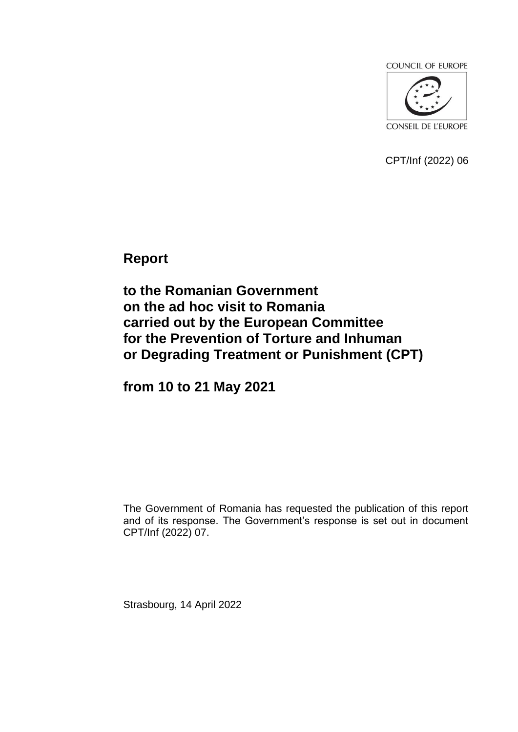**COUNCIL OF EUROPE** 



CPT/Inf (2022) 06

**Report**

**to the Romanian Government on the ad hoc visit to Romania carried out by the European Committee for the Prevention of Torture and Inhuman or Degrading Treatment or Punishment (CPT)**

**from 10 to 21 May 2021**

The Government of Romania has requested the publication of this report and of its response. The Government's response is set out in document CPT/Inf (2022) 07.

Strasbourg, 14 April 2022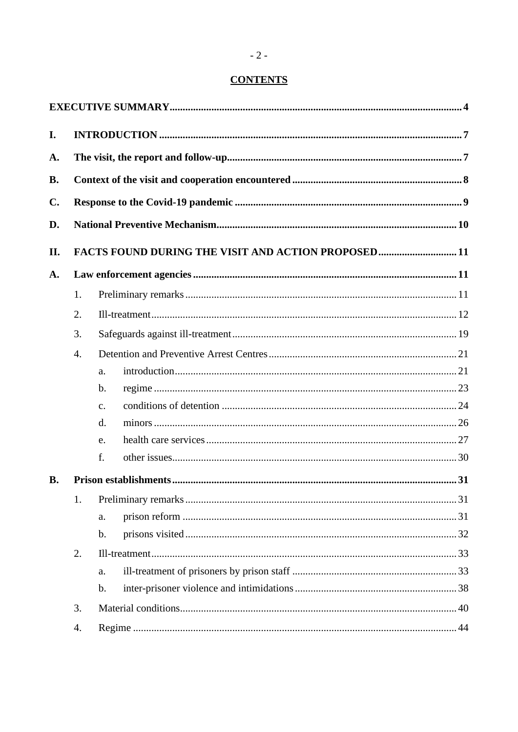## **CONTENTS**

| I.        |                                                    |                |  |  |
|-----------|----------------------------------------------------|----------------|--|--|
| A.        |                                                    |                |  |  |
| <b>B.</b> |                                                    |                |  |  |
| C.        |                                                    |                |  |  |
| D.        |                                                    |                |  |  |
| Π.        | FACTS FOUND DURING THE VISIT AND ACTION PROPOSED11 |                |  |  |
| A.        |                                                    |                |  |  |
|           | 1.                                                 |                |  |  |
|           | 2.                                                 |                |  |  |
|           | 3.                                                 |                |  |  |
|           | $\overline{4}$ .                                   |                |  |  |
|           |                                                    | a.             |  |  |
|           |                                                    | $\mathbf{b}$ . |  |  |
|           |                                                    | C <sub>1</sub> |  |  |
|           |                                                    | $\mathbf{d}$ . |  |  |
|           |                                                    | e.             |  |  |
|           |                                                    | f.             |  |  |
| <b>B.</b> |                                                    |                |  |  |
|           | 1.                                                 |                |  |  |
|           |                                                    | a.             |  |  |
|           |                                                    | $\mathbf b$ .  |  |  |
|           | 2.                                                 |                |  |  |
|           |                                                    | a.             |  |  |
|           |                                                    | $\mathbf b$ .  |  |  |
|           | 3.                                                 |                |  |  |
|           | 4.                                                 |                |  |  |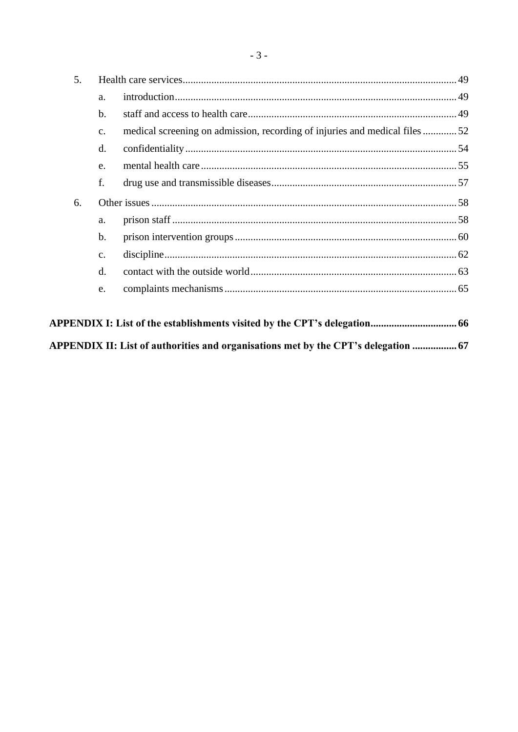| 5. |                |                                                                            |  |
|----|----------------|----------------------------------------------------------------------------|--|
|    | a.             |                                                                            |  |
|    | $b$            |                                                                            |  |
|    | C <sub>1</sub> | medical screening on admission, recording of injuries and medical files 52 |  |
|    | $\mathbf{d}$ . |                                                                            |  |
|    | e.             |                                                                            |  |
|    | f.             |                                                                            |  |
| 6. |                |                                                                            |  |
|    | a.             |                                                                            |  |
|    | $\mathbf b$ .  |                                                                            |  |
|    | $\mathbf{C}$ . |                                                                            |  |
|    | $\rm d$ .      |                                                                            |  |
|    | e.             |                                                                            |  |
|    |                |                                                                            |  |
|    |                |                                                                            |  |

| APPENDIX II: List of authorities and organisations met by the CPT's delegation  67 |  |  |
|------------------------------------------------------------------------------------|--|--|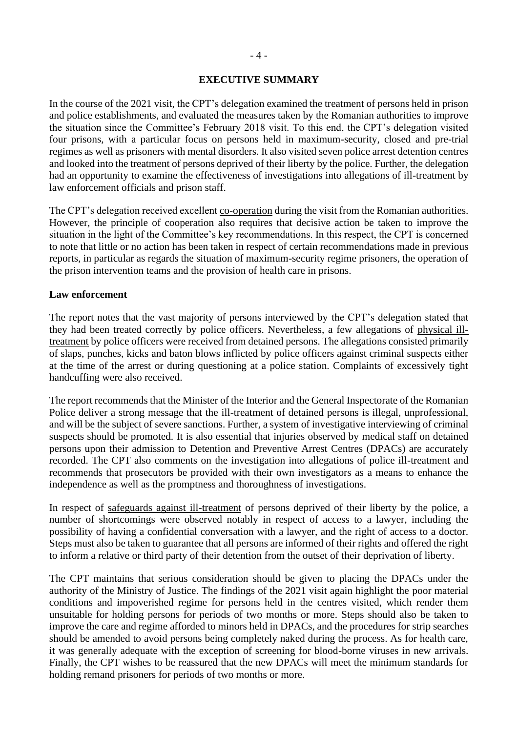#### **EXECUTIVE SUMMARY**

<span id="page-3-0"></span>In the course of the 2021 visit, the CPT's delegation examined the treatment of persons held in prison and police establishments, and evaluated the measures taken by the Romanian authorities to improve the situation since the Committee's February 2018 visit. To this end, the CPT's delegation visited four prisons, with a particular focus on persons held in maximum-security, closed and pre-trial regimes as well as prisoners with mental disorders. It also visited seven police arrest detention centres and looked into the treatment of persons deprived of their liberty by the police. Further, the delegation had an opportunity to examine the effectiveness of investigations into allegations of ill-treatment by law enforcement officials and prison staff.

The CPT's delegation received excellent co-operation during the visit from the Romanian authorities. However, the principle of cooperation also requires that decisive action be taken to improve the situation in the light of the Committee's key recommendations. In this respect, the CPT is concerned to note that little or no action has been taken in respect of certain recommendations made in previous reports, in particular as regards the situation of maximum-security regime prisoners, the operation of the prison intervention teams and the provision of health care in prisons.

#### **Law enforcement**

The report notes that the vast majority of persons interviewed by the CPT's delegation stated that they had been treated correctly by police officers. Nevertheless, a few allegations of physical illtreatment by police officers were received from detained persons. The allegations consisted primarily of slaps, punches, kicks and baton blows inflicted by police officers against criminal suspects either at the time of the arrest or during questioning at a police station. Complaints of excessively tight handcuffing were also received.

The report recommends that the Minister of the Interior and the General Inspectorate of the Romanian Police deliver a strong message that the ill-treatment of detained persons is illegal, unprofessional, and will be the subject of severe sanctions. Further, a system of investigative interviewing of criminal suspects should be promoted. It is also essential that injuries observed by medical staff on detained persons upon their admission to Detention and Preventive Arrest Centres (DPACs) are accurately recorded. The CPT also comments on the investigation into allegations of police ill-treatment and recommends that prosecutors be provided with their own investigators as a means to enhance the independence as well as the promptness and thoroughness of investigations.

In respect of safeguards against ill-treatment of persons deprived of their liberty by the police, a number of shortcomings were observed notably in respect of access to a lawyer, including the possibility of having a confidential conversation with a lawyer, and the right of access to a doctor. Steps must also be taken to guarantee that all persons are informed of their rights and offered the right to inform a relative or third party of their detention from the outset of their deprivation of liberty.

The CPT maintains that serious consideration should be given to placing the DPACs under the authority of the Ministry of Justice. The findings of the 2021 visit again highlight the poor material conditions and impoverished regime for persons held in the centres visited, which render them unsuitable for holding persons for periods of two months or more. Steps should also be taken to improve the care and regime afforded to minors held in DPACs, and the procedures for strip searches should be amended to avoid persons being completely naked during the process. As for health care, it was generally adequate with the exception of screening for blood-borne viruses in new arrivals. Finally, the CPT wishes to be reassured that the new DPACs will meet the minimum standards for holding remand prisoners for periods of two months or more.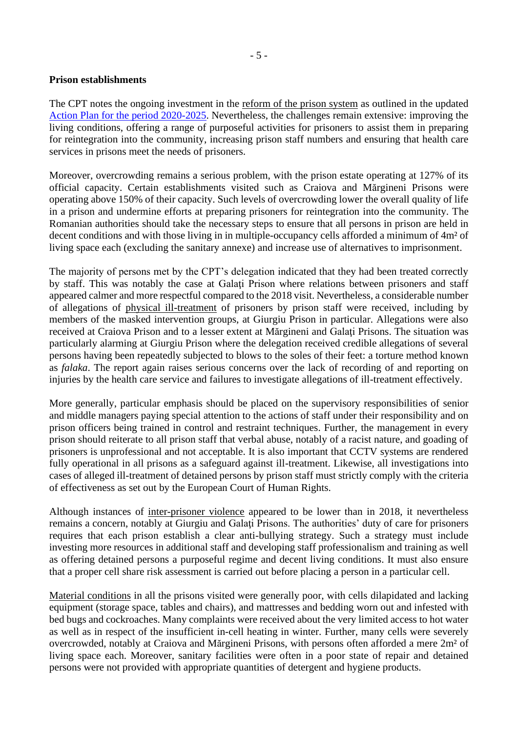#### **Prison establishments**

The CPT notes the ongoing investment in the reform of the prison system as outlined in the updated Action Plan for the period 2020-2025. Nevertheless, the challenges remain extensive: improving the living conditions, offering a range of purposeful activities for prisoners to assist them in preparing for reintegration into the community, increasing prison staff numbers and ensuring that health care services in prisons meet the needs of prisoners.

Moreover, overcrowding remains a serious problem, with the prison estate operating at 127% of its official capacity. Certain establishments visited such as Craiova and Mărgineni Prisons were operating above 150% of their capacity. Such levels of overcrowding lower the overall quality of life in a prison and undermine efforts at preparing prisoners for reintegration into the community. The Romanian authorities should take the necessary steps to ensure that all persons in prison are held in decent conditions and with those living in in multiple-occupancy cells afforded a minimum of 4m² of living space each (excluding the sanitary annexe) and increase use of alternatives to imprisonment.

The majority of persons met by the CPT's delegation indicated that they had been treated correctly by staff. This was notably the case at Galaţi Prison where relations between prisoners and staff appeared calmer and more respectful compared to the 2018 visit. Nevertheless, a considerable number of allegations of physical ill-treatment of prisoners by prison staff were received, including by members of the masked intervention groups, at Giurgiu Prison in particular. Allegations were also received at Craiova Prison and to a lesser extent at Mărgineni and Galati Prisons. The situation was particularly alarming at Giurgiu Prison where the delegation received credible allegations of several persons having been repeatedly subjected to blows to the soles of their feet: a torture method known as *falaka*. The report again raises serious concerns over the lack of recording of and reporting on injuries by the health care service and failures to investigate allegations of ill-treatment effectively.

More generally, particular emphasis should be placed on the supervisory responsibilities of senior and middle managers paying special attention to the actions of staff under their responsibility and on prison officers being trained in control and restraint techniques. Further, the management in every prison should reiterate to all prison staff that verbal abuse, notably of a racist nature, and goading of prisoners is unprofessional and not acceptable. It is also important that CCTV systems are rendered fully operational in all prisons as a safeguard against ill-treatment. Likewise, all investigations into cases of alleged ill-treatment of detained persons by prison staff must strictly comply with the criteria of effectiveness as set out by the European Court of Human Rights.

Although instances of inter-prisoner violence appeared to be lower than in 2018, it nevertheless remains a concern, notably at Giurgiu and Galaţi Prisons. The authorities' duty of care for prisoners requires that each prison establish a clear anti-bullying strategy. Such a strategy must include investing more resources in additional staff and developing staff professionalism and training as well as offering detained persons a purposeful regime and decent living conditions. It must also ensure that a proper cell share risk assessment is carried out before placing a person in a particular cell.

Material conditions in all the prisons visited were generally poor, with cells dilapidated and lacking equipment (storage space, tables and chairs), and mattresses and bedding worn out and infested with bed bugs and cockroaches. Many complaints were received about the very limited access to hot water as well as in respect of the insufficient in-cell heating in winter. Further, many cells were severely overcrowded, notably at Craiova and Mărgineni Prisons, with persons often afforded a mere 2m² of living space each. Moreover, sanitary facilities were often in a poor state of repair and detained persons were not provided with appropriate quantities of detergent and hygiene products.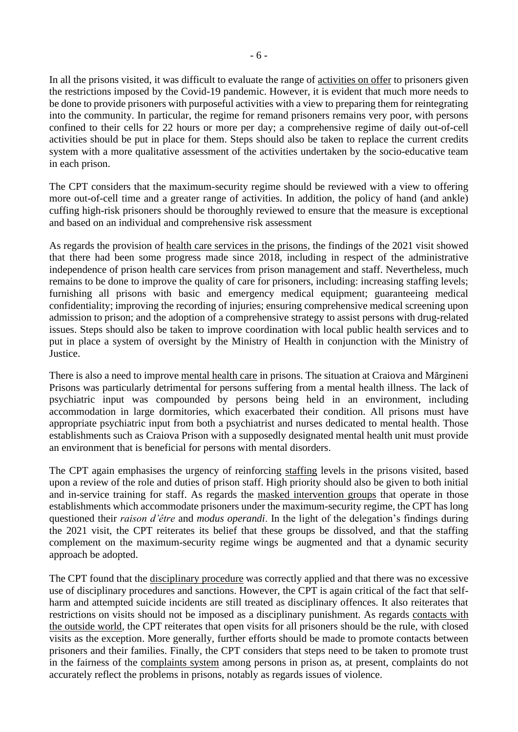In all the prisons visited, it was difficult to evaluate the range of activities on offer to prisoners given the restrictions imposed by the Covid-19 pandemic. However, it is evident that much more needs to be done to provide prisoners with purposeful activities with a view to preparing them for reintegrating into the community. In particular, the regime for remand prisoners remains very poor, with persons confined to their cells for 22 hours or more per day; a comprehensive regime of daily out-of-cell activities should be put in place for them. Steps should also be taken to replace the current credits system with a more qualitative assessment of the activities undertaken by the socio-educative team in each prison.

The CPT considers that the maximum-security regime should be reviewed with a view to offering more out-of-cell time and a greater range of activities. In addition, the policy of hand (and ankle) cuffing high-risk prisoners should be thoroughly reviewed to ensure that the measure is exceptional and based on an individual and comprehensive risk assessment

As regards the provision of health care services in the prisons, the findings of the 2021 visit showed that there had been some progress made since 2018, including in respect of the administrative independence of prison health care services from prison management and staff. Nevertheless, much remains to be done to improve the quality of care for prisoners, including: increasing staffing levels; furnishing all prisons with basic and emergency medical equipment; guaranteeing medical confidentiality; improving the recording of injuries; ensuring comprehensive medical screening upon admission to prison; and the adoption of a comprehensive strategy to assist persons with drug-related issues. Steps should also be taken to improve coordination with local public health services and to put in place a system of oversight by the Ministry of Health in conjunction with the Ministry of Justice.

There is also a need to improve mental health care in prisons. The situation at Craiova and Mărgineni Prisons was particularly detrimental for persons suffering from a mental health illness. The lack of psychiatric input was compounded by persons being held in an environment, including accommodation in large dormitories, which exacerbated their condition. All prisons must have appropriate psychiatric input from both a psychiatrist and nurses dedicated to mental health. Those establishments such as Craiova Prison with a supposedly designated mental health unit must provide an environment that is beneficial for persons with mental disorders.

The CPT again emphasises the urgency of reinforcing staffing levels in the prisons visited, based upon a review of the role and duties of prison staff. High priority should also be given to both initial and in-service training for staff. As regards the masked intervention groups that operate in those establishments which accommodate prisoners under the maximum-security regime, the CPT has long questioned their *raison d'être* and *modus operandi*. In the light of the delegation's findings during the 2021 visit, the CPT reiterates its belief that these groups be dissolved, and that the staffing complement on the maximum-security regime wings be augmented and that a dynamic security approach be adopted.

The CPT found that the disciplinary procedure was correctly applied and that there was no excessive use of disciplinary procedures and sanctions. However, the CPT is again critical of the fact that selfharm and attempted suicide incidents are still treated as disciplinary offences. It also reiterates that restrictions on visits should not be imposed as a disciplinary punishment. As regards contacts with the outside world, the CPT reiterates that open visits for all prisoners should be the rule, with closed visits as the exception. More generally, further efforts should be made to promote contacts between prisoners and their families. Finally, the CPT considers that steps need to be taken to promote trust in the fairness of the complaints system among persons in prison as, at present, complaints do not accurately reflect the problems in prisons, notably as regards issues of violence.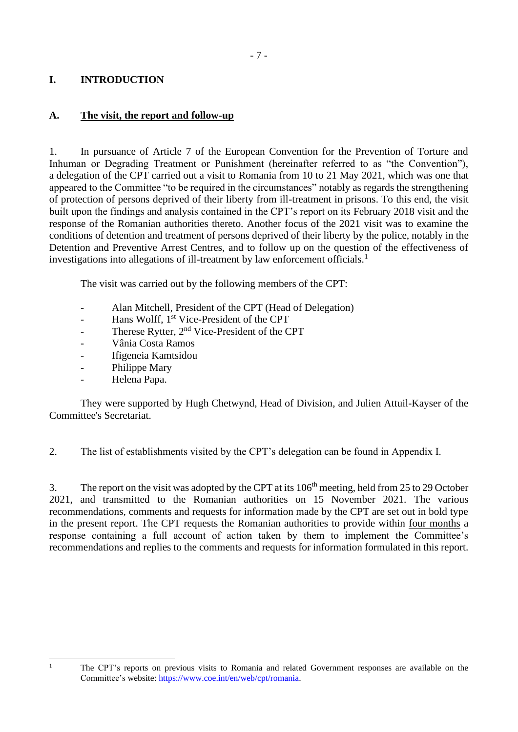## <span id="page-6-0"></span>**I. INTRODUCTION**

### <span id="page-6-1"></span>**A. The visit, the report and follow-up**

1. In pursuance of Article 7 of the European Convention for the Prevention of Torture and Inhuman or Degrading Treatment or Punishment (hereinafter referred to as "the Convention"), a delegation of the CPT carried out a visit to Romania from 10 to 21 May 2021, which was one that appeared to the Committee "to be required in the circumstances" notably as regards the strengthening of protection of persons deprived of their liberty from ill-treatment in prisons. To this end, the visit built upon the findings and analysis contained in the CPT's report on its February 2018 visit and the response of the Romanian authorities thereto. Another focus of the 2021 visit was to examine the conditions of detention and treatment of persons deprived of their liberty by the police, notably in the Detention and Preventive Arrest Centres, and to follow up on the question of the effectiveness of investigations into allegations of ill-treatment by law enforcement officials.<sup>1</sup>

The visit was carried out by the following members of the CPT:

- Alan Mitchell, President of the CPT (Head of Delegation)
- Hans Wolff, 1<sup>st</sup> Vice-President of the CPT
- Therese Rytter, 2<sup>nd</sup> Vice-President of the CPT
- Vânia Costa Ramos
- Ifigeneia Kamtsidou
- Philippe Mary
- Helena Papa.

They were supported by Hugh Chetwynd, Head of Division, and Julien Attuil-Kayser of the Committee's Secretariat.

2. The list of establishments visited by the CPT's delegation can be found in Appendix I.

3. The report on the visit was adopted by the CPT at its 106<sup>th</sup> meeting, held from 25 to 29 October 2021, and transmitted to the Romanian authorities on 15 November 2021. The various recommendations, comments and requests for information made by the CPT are set out in bold type in the present report. The CPT requests the Romanian authorities to provide within four months a response containing a full account of action taken by them to implement the Committee's recommendations and replies to the comments and requests for information formulated in this report.

<sup>&</sup>lt;sup>1</sup> The CPT's reports on previous visits to Romania and related Government responses are available on the Committee's website: [https://www.coe.int/en/web/cpt/romania.](https://www.coe.int/en/web/cpt/romania)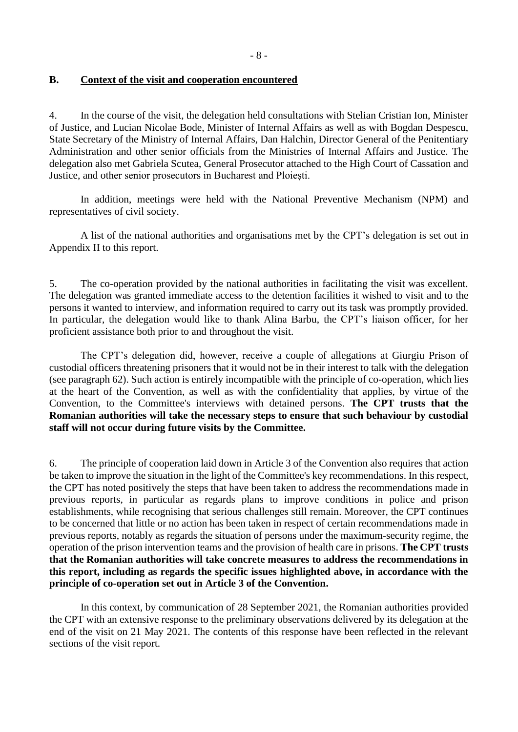#### <span id="page-7-0"></span>**B. Context of the visit and cooperation encountered**

4. In the course of the visit, the delegation held consultations with Stelian Cristian Ion, Minister of Justice, and Lucian Nicolae Bode, Minister of Internal Affairs as well as with Bogdan Despescu, State Secretary of the Ministry of Internal Affairs, Dan Halchin, Director General of the Penitentiary Administration and other senior officials from the Ministries of Internal Affairs and Justice. The delegation also met Gabriela Scutea, General Prosecutor attached to the High Court of Cassation and Justice, and other senior prosecutors in Bucharest and Ploiești.

In addition, meetings were held with the National Preventive Mechanism (NPM) and representatives of civil society.

A list of the national authorities and organisations met by the CPT's delegation is set out in Appendix II to this report.

5. The co-operation provided by the national authorities in facilitating the visit was excellent. The delegation was granted immediate access to the detention facilities it wished to visit and to the persons it wanted to interview, and information required to carry out its task was promptly provided. In particular, the delegation would like to thank Alina Barbu, the CPT's liaison officer, for her proficient assistance both prior to and throughout the visit.

The CPT's delegation did, however, receive a couple of allegations at Giurgiu Prison of custodial officers threatening prisoners that it would not be in their interest to talk with the delegation (see paragraph 62). Such action is entirely incompatible with the principle of co-operation, which lies at the heart of the Convention, as well as with the confidentiality that applies, by virtue of the Convention, to the Committee's interviews with detained persons. **The CPT trusts that the Romanian authorities will take the necessary steps to ensure that such behaviour by custodial staff will not occur during future visits by the Committee.**

6. The principle of cooperation laid down in Article 3 of the Convention also requires that action be taken to improve the situation in the light of the Committee's key recommendations. In this respect, the CPT has noted positively the steps that have been taken to address the recommendations made in previous reports, in particular as regards plans to improve conditions in police and prison establishments, while recognising that serious challenges still remain. Moreover, the CPT continues to be concerned that little or no action has been taken in respect of certain recommendations made in previous reports, notably as regards the situation of persons under the maximum-security regime, the operation of the prison intervention teams and the provision of health care in prisons. **The CPT trusts that the Romanian authorities will take concrete measures to address the recommendations in this report, including as regards the specific issues highlighted above, in accordance with the principle of co-operation set out in Article 3 of the Convention.**

In this context, by communication of 28 September 2021, the Romanian authorities provided the CPT with an extensive response to the preliminary observations delivered by its delegation at the end of the visit on 21 May 2021. The contents of this response have been reflected in the relevant sections of the visit report.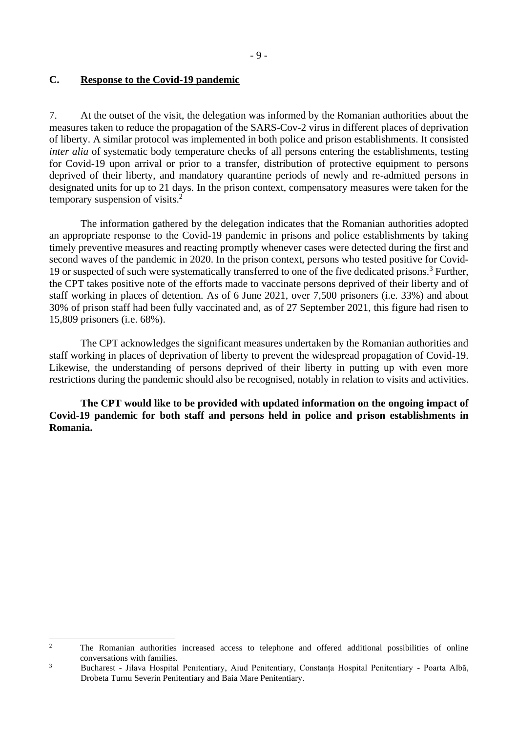#### <span id="page-8-0"></span>**C. Response to the Covid-19 pandemic**

7. At the outset of the visit, the delegation was informed by the Romanian authorities about the measures taken to reduce the propagation of the SARS-Cov-2 virus in different places of deprivation of liberty. A similar protocol was implemented in both police and prison establishments. It consisted *inter alia* of systematic body temperature checks of all persons entering the establishments, testing for Covid-19 upon arrival or prior to a transfer, distribution of protective equipment to persons deprived of their liberty, and mandatory quarantine periods of newly and re-admitted persons in designated units for up to 21 days. In the prison context, compensatory measures were taken for the temporary suspension of visits.<sup>2</sup>

The information gathered by the delegation indicates that the Romanian authorities adopted an appropriate response to the Covid-19 pandemic in prisons and police establishments by taking timely preventive measures and reacting promptly whenever cases were detected during the first and second waves of the pandemic in 2020. In the prison context, persons who tested positive for Covid-19 or suspected of such were systematically transferred to one of the five dedicated prisons. <sup>3</sup> Further, the CPT takes positive note of the efforts made to vaccinate persons deprived of their liberty and of staff working in places of detention. As of 6 June 2021, over 7,500 prisoners (i.e. 33%) and about 30% of prison staff had been fully vaccinated and, as of 27 September 2021, this figure had risen to 15,809 prisoners (i.e. 68%).

The CPT acknowledges the significant measures undertaken by the Romanian authorities and staff working in places of deprivation of liberty to prevent the widespread propagation of Covid-19. Likewise, the understanding of persons deprived of their liberty in putting up with even more restrictions during the pandemic should also be recognised, notably in relation to visits and activities.

**The CPT would like to be provided with updated information on the ongoing impact of Covid-19 pandemic for both staff and persons held in police and prison establishments in Romania.** 

<sup>&</sup>lt;sup>2</sup> The Romanian authorities increased access to telephone and offered additional possibilities of online conversations with families.

<sup>3</sup> Bucharest - Jilava Hospital Penitentiary, Aiud Penitentiary, Constanța Hospital Penitentiary - Poarta Albă, Drobeta Turnu Severin Penitentiary and Baia Mare Penitentiary.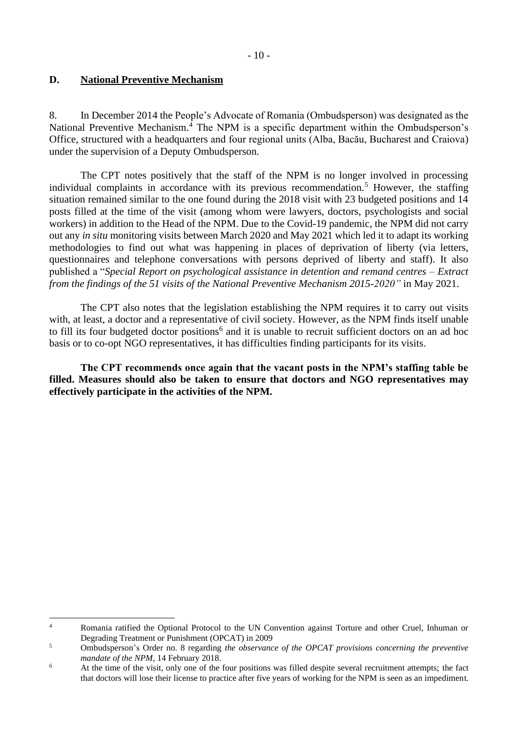## <span id="page-9-0"></span>**D. National Preventive Mechanism**

8. In December 2014 the People's Advocate of Romania (Ombudsperson) was designated as the National Preventive Mechanism. $\frac{1}{4}$  The NPM is a specific department within the Ombudsperson's Office, structured with a headquarters and four regional units (Alba, Bacău, Bucharest and Craiova) under the supervision of a Deputy Ombudsperson.

The CPT notes positively that the staff of the NPM is no longer involved in processing individual complaints in accordance with its previous recommendation.<sup>5</sup> However, the staffing situation remained similar to the one found during the 2018 visit with 23 budgeted positions and 14 posts filled at the time of the visit (among whom were lawyers, doctors, psychologists and social workers) in addition to the Head of the NPM. Due to the Covid-19 pandemic, the NPM did not carry out any *in situ* monitoring visits between March 2020 and May 2021 which led it to adapt its working methodologies to find out what was happening in places of deprivation of liberty (via letters, questionnaires and telephone conversations with persons deprived of liberty and staff). It also published a "*Special Report on psychological assistance in detention and remand centres – Extract from the findings of the 51 visits of the National Preventive Mechanism 2015-2020"* in May 2021.

The CPT also notes that the legislation establishing the NPM requires it to carry out visits with, at least, a doctor and a representative of civil society. However, as the NPM finds itself unable to fill its four budgeted doctor positions<sup>6</sup> and it is unable to recruit sufficient doctors on an ad hoc basis or to co-opt NGO representatives, it has difficulties finding participants for its visits.

**The CPT recommends once again that the vacant posts in the NPM's staffing table be filled. Measures should also be taken to ensure that doctors and NGO representatives may effectively participate in the activities of the NPM.**

<sup>4</sup> Romania ratified the Optional Protocol to the UN Convention against Torture and other Cruel, Inhuman or Degrading Treatment or Punishment (OPCAT) in 2009

<sup>5</sup> Ombudsperson's Order no. 8 regarding *the observance of the OPCAT provisions concerning the preventive mandate of the NPM*, 14 February 2018.

<sup>&</sup>lt;sup>6</sup> At the time of the visit, only one of the four positions was filled despite several recruitment attempts; the fact that doctors will lose their license to practice after five years of working for the NPM is seen as an impediment.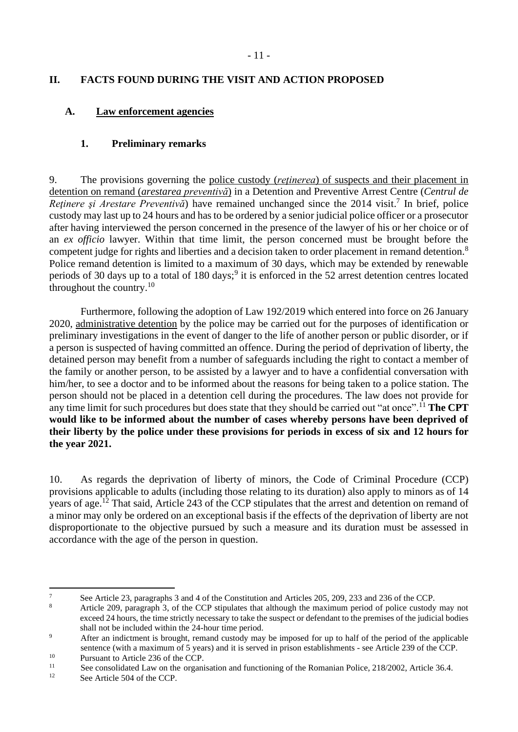## <span id="page-10-0"></span>**II. FACTS FOUND DURING THE VISIT AND ACTION PROPOSED**

### <span id="page-10-1"></span>**A. Law enforcement agencies**

## <span id="page-10-2"></span>**1. Preliminary remarks**

9. The provisions governing the police custody (*reţinerea*) of suspects and their placement in detention on remand (*arestarea preventivă*) in a Detention and Preventive Arrest Centre (*Centrul de*  Reținere și Arestare Preventivă) have remained unchanged since the 2014 visit.<sup>7</sup> In brief, police custody may last up to 24 hours and has to be ordered by a senior judicial police officer or a prosecutor after having interviewed the person concerned in the presence of the lawyer of his or her choice or of an *ex officio* lawyer. Within that time limit, the person concerned must be brought before the competent judge for rights and liberties and a decision taken to order placement in remand detention.<sup>8</sup> Police remand detention is limited to a maximum of 30 days, which may be extended by renewable periods of 30 days up to a total of 180 days;<sup>9</sup> it is enforced in the 52 arrest detention centres located throughout the country. $10$ 

Furthermore, following the adoption of Law 192/2019 which entered into force on 26 January 2020, administrative detention by the police may be carried out for the purposes of identification or preliminary investigations in the event of danger to the life of another person or public disorder, or if a person is suspected of having committed an offence. During the period of deprivation of liberty, the detained person may benefit from a number of safeguards including the right to contact a member of the family or another person, to be assisted by a lawyer and to have a confidential conversation with him/her, to see a doctor and to be informed about the reasons for being taken to a police station. The person should not be placed in a detention cell during the procedures. The law does not provide for any time limit for such procedures but does state that they should be carried out "at once".<sup>11</sup> **The CPT would like to be informed about the number of cases whereby persons have been deprived of their liberty by the police under these provisions for periods in excess of six and 12 hours for the year 2021.**

10. As regards the deprivation of liberty of minors, the Code of Criminal Procedure (CCP) provisions applicable to adults (including those relating to its duration) also apply to minors as of 14 years of age.<sup>12</sup> That said, Article 243 of the CCP stipulates that the arrest and detention on remand of a minor may only be ordered on an exceptional basis if the effects of the deprivation of liberty are not disproportionate to the objective pursued by such a measure and its duration must be assessed in accordance with the age of the person in question.

<sup>&</sup>lt;sup>7</sup> See Article 23, paragraphs 3 and 4 of the Constitution and Articles 205, 209, 233 and 236 of the CCP.

<sup>8</sup> Article 209, paragraph 3, of the CCP stipulates that although the maximum period of police custody may not exceed 24 hours, the time strictly necessary to take the suspect or defendant to the premises of the judicial bodies shall not be included within the 24-hour time period.

<sup>&</sup>lt;sup>9</sup> After an indictment is brought, remand custody may be imposed for up to half of the period of the applicable sentence (with a maximum of 5 years) and it is served in prison establishments - see Article 239 of the CCP.

<sup>&</sup>lt;sup>10</sup> Pursuant to Article 236 of the CCP.<br> $\frac{11}{2}$  See consolidated Lew on the experience

<sup>&</sup>lt;sup>11</sup> See consolidated Law on the organisation and functioning of the Romanian Police, 218/2002, Article 36.4.<br><sup>12</sup> See Article 504 of the CCP

See Article 504 of the CCP.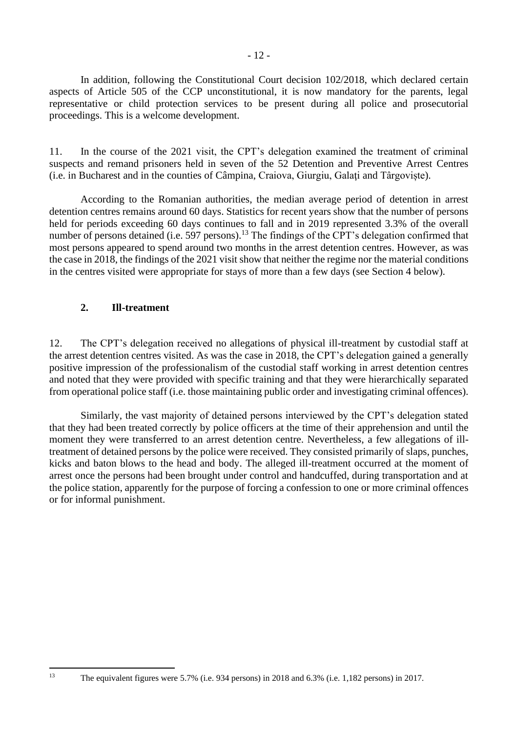- 12 -

In addition, following the Constitutional Court decision 102/2018, which declared certain aspects of Article 505 of the CCP unconstitutional, it is now mandatory for the parents, legal representative or child protection services to be present during all police and prosecutorial proceedings. This is a welcome development.

11. In the course of the 2021 visit, the CPT's delegation examined the treatment of criminal suspects and remand prisoners held in seven of the 52 Detention and Preventive Arrest Centres (i.e. in Bucharest and in the counties of Câmpina, Craiova, Giurgiu, Galaţi and Târgoviște).

According to the Romanian authorities, the median average period of detention in arrest detention centres remains around 60 days. Statistics for recent years show that the number of persons held for periods exceeding 60 days continues to fall and in 2019 represented 3.3% of the overall number of persons detained (i.e. 597 persons).<sup>13</sup> The findings of the CPT's delegation confirmed that most persons appeared to spend around two months in the arrest detention centres. However, as was the case in 2018, the findings of the 2021 visit show that neither the regime nor the material conditions in the centres visited were appropriate for stays of more than a few days (see Section 4 below).

# <span id="page-11-0"></span>**2. Ill-treatment**

12. The CPT's delegation received no allegations of physical ill-treatment by custodial staff at the arrest detention centres visited. As was the case in 2018, the CPT's delegation gained a generally positive impression of the professionalism of the custodial staff working in arrest detention centres and noted that they were provided with specific training and that they were hierarchically separated from operational police staff (i.e. those maintaining public order and investigating criminal offences).

Similarly, the vast majority of detained persons interviewed by the CPT's delegation stated that they had been treated correctly by police officers at the time of their apprehension and until the moment they were transferred to an arrest detention centre. Nevertheless, a few allegations of illtreatment of detained persons by the police were received. They consisted primarily of slaps, punches, kicks and baton blows to the head and body. The alleged ill-treatment occurred at the moment of arrest once the persons had been brought under control and handcuffed, during transportation and at the police station, apparently for the purpose of forcing a confession to one or more criminal offences or for informal punishment.

<sup>13</sup> The equivalent figures were 5.7% (i.e. 934 persons) in 2018 and 6.3% (i.e. 1,182 persons) in 2017.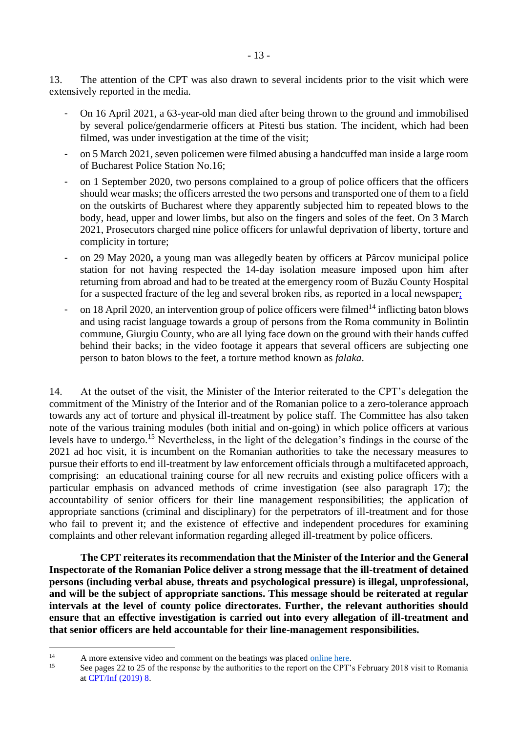13. The attention of the CPT was also drawn to several incidents prior to the visit which were extensively reported in the media.

- On 16 April 2021, a 63-year-old man died after being thrown to the ground and immobilised by several police/gendarmerie officers at Pitesti bus station. The incident, which had been filmed, was under investigation at the time of the visit;
- on 5 March 2021, seven policemen were filmed abusing a handcuffed man inside a large room of Bucharest Police Station No.16;
- on 1 September 2020, two persons complained to a group of police officers that the officers should wear masks; the officers arrested the two persons and transported one of them to a field on the outskirts of Bucharest where they apparently subjected him to repeated blows to the body, head, upper and lower limbs, but also on the fingers and soles of the feet. On 3 March 2021, Prosecutors charged nine police officers for unlawful deprivation of liberty, torture and complicity in torture;
- on 29 May 2020**,** a young man was allegedly beaten by officers at Pârcov municipal police station for not having respected the 14-day isolation measure imposed upon him after returning from abroad and had to be treated at the emergency room of Buzău County Hospital for a suspected fracture of the leg and several broken ribs, as reported in a local newspaper;
- on 18 April 2020, an intervention group of police officers were filmed<sup>14</sup> inflicting baton blows and using racist language towards a group of persons from the Roma community in Bolintin commune, Giurgiu County, who are all lying face down on the ground with their hands cuffed behind their backs; in the video footage it appears that several officers are subjecting one person to baton blows to the feet, a torture method known as *falaka*.

14. At the outset of the visit, the Minister of the Interior reiterated to the CPT's delegation the commitment of the Ministry of the Interior and of the Romanian police to a zero-tolerance approach towards any act of torture and physical ill-treatment by police staff. The Committee has also taken note of the various training modules (both initial and on-going) in which police officers at various levels have to undergo.<sup>15</sup> Nevertheless, in the light of the delegation's findings in the course of the 2021 ad hoc visit, it is incumbent on the Romanian authorities to take the necessary measures to pursue their efforts to end ill-treatment by law enforcement officials through a multifaceted approach, comprising: an educational training course for all new recruits and existing police officers with a particular emphasis on advanced methods of crime investigation (see also paragraph 17); the accountability of senior officers for their line management responsibilities; the application of appropriate sanctions (criminal and disciplinary) for the perpetrators of ill-treatment and for those who fail to prevent it; and the existence of effective and independent procedures for examining complaints and other relevant information regarding alleged ill-treatment by police officers.

**The CPT reiterates its recommendation that the Minister of the Interior and the General Inspectorate of the Romanian Police deliver a strong message that the ill-treatment of detained persons (including verbal abuse, threats and psychological pressure) is illegal, unprofessional, and will be the subject of appropriate sanctions. This message should be reiterated at regular intervals at the level of county police directorates. Further, the relevant authorities should ensure that an effective investigation is carried out into every allegation of ill-treatment and that senior officers are held accountable for their line-management responsibilities.**

<sup>&</sup>lt;sup>14</sup> A more extensive video and comment on the beatings was placed <u>online here</u>.<br><sup>15</sup> See negative 25 of the regnance by the outherities to the generic on the CPT.

See pages 22 to 25 of the response by the authorities to the report on the CPT's February 2018 visit to Romania at [CPT/Inf \(2019\) 8.](https://rm.coe.int/1680939162)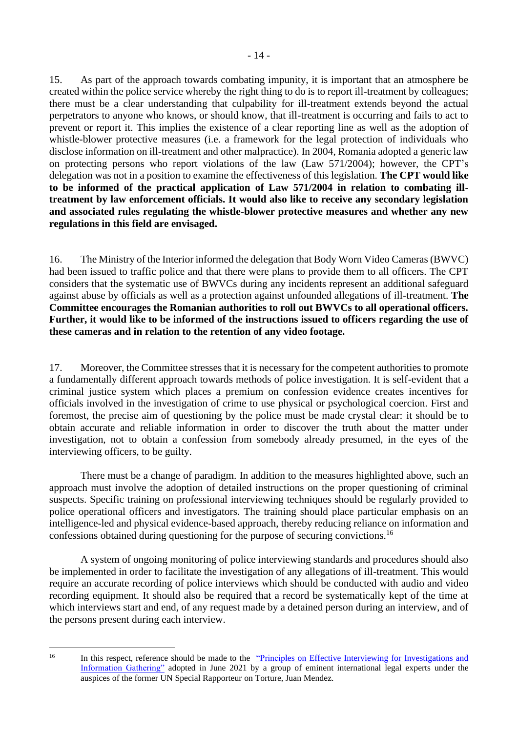15. As part of the approach towards combating impunity, it is important that an atmosphere be created within the police service whereby the right thing to do is to report ill-treatment by colleagues; there must be a clear understanding that culpability for ill-treatment extends beyond the actual perpetrators to anyone who knows, or should know, that ill-treatment is occurring and fails to act to prevent or report it. This implies the existence of a clear reporting line as well as the adoption of whistle-blower protective measures (i.e. a framework for the legal protection of individuals who disclose information on ill-treatment and other malpractice). In 2004, Romania adopted a generic law on protecting persons who report violations of the law (Law 571/2004); however, the CPT's delegation was not in a position to examine the effectiveness of this legislation. **The CPT would like to be informed of the practical application of Law 571/2004 in relation to combating illtreatment by law enforcement officials. It would also like to receive any secondary legislation and associated rules regulating the whistle-blower protective measures and whether any new regulations in this field are envisaged.** 

16. The Ministry of the Interior informed the delegation that Body Worn Video Cameras (BWVC) had been issued to traffic police and that there were plans to provide them to all officers. The CPT considers that the systematic use of BWVCs during any incidents represent an additional safeguard against abuse by officials as well as a protection against unfounded allegations of ill-treatment. **The Committee encourages the Romanian authorities to roll out BWVCs to all operational officers. Further, it would like to be informed of the instructions issued to officers regarding the use of these cameras and in relation to the retention of any video footage.**

17. Moreover, the Committee stresses that it is necessary for the competent authorities to promote a fundamentally different approach towards methods of police investigation. It is self-evident that a criminal justice system which places a premium on confession evidence creates incentives for officials involved in the investigation of crime to use physical or psychological coercion. First and foremost, the precise aim of questioning by the police must be made crystal clear: it should be to obtain accurate and reliable information in order to discover the truth about the matter under investigation, not to obtain a confession from somebody already presumed, in the eyes of the interviewing officers, to be guilty.

There must be a change of paradigm. In addition to the measures highlighted above, such an approach must involve the adoption of detailed instructions on the proper questioning of criminal suspects. Specific training on professional interviewing techniques should be regularly provided to police operational officers and investigators. The training should place particular emphasis on an intelligence-led and physical evidence-based approach, thereby reducing reliance on information and confessions obtained during questioning for the purpose of securing convictions.<sup>16</sup>

A system of ongoing monitoring of police interviewing standards and procedures should also be implemented in order to facilitate the investigation of any allegations of ill-treatment. This would require an accurate recording of police interviews which should be conducted with audio and video recording equipment. It should also be required that a record be systematically kept of the time at which interviews start and end, of any request made by a detained person during an interview, and of the persons present during each interview.

<sup>&</sup>lt;sup>16</sup> In this respect, reference should be made to the <u>"Principles on Effective Interviewing for Investigations and</u> [Information Gathering"](https://www.apt.ch/sites/default/files/publications/PoEI_final_2021.06.pdf) adopted in June 2021 by a group of eminent international legal experts under the auspices of the former UN Special Rapporteur on Torture, Juan Mendez.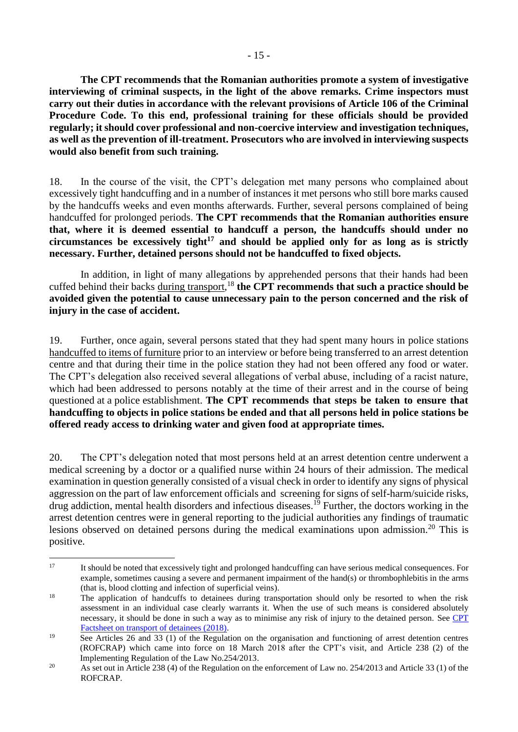**The CPT recommends that the Romanian authorities promote a system of investigative interviewing of criminal suspects, in the light of the above remarks. Crime inspectors must carry out their duties in accordance with the relevant provisions of Article 106 of the Criminal Procedure Code. To this end, professional training for these officials should be provided regularly; it should cover professional and non-coercive interview and investigation techniques, as well as the prevention of ill-treatment. Prosecutors who are involved in interviewing suspects would also benefit from such training.**

18. In the course of the visit, the CPT's delegation met many persons who complained about excessively tight handcuffing and in a number of instances it met persons who still bore marks caused by the handcuffs weeks and even months afterwards. Further, several persons complained of being handcuffed for prolonged periods. **The CPT recommends that the Romanian authorities ensure that, where it is deemed essential to handcuff a person, the handcuffs should under no circumstances be excessively tight<sup>17</sup> and should be applied only for as long as is strictly necessary. Further, detained persons should not be handcuffed to fixed objects.**

In addition, in light of many allegations by apprehended persons that their hands had been cuffed behind their backs during transport, <sup>18</sup> **the CPT recommends that such a practice should be avoided given the potential to cause unnecessary pain to the person concerned and the risk of injury in the case of accident.** 

19. Further, once again, several persons stated that they had spent many hours in police stations handcuffed to items of furniture prior to an interview or before being transferred to an arrest detention centre and that during their time in the police station they had not been offered any food or water. The CPT's delegation also received several allegations of verbal abuse, including of a racist nature, which had been addressed to persons notably at the time of their arrest and in the course of being questioned at a police establishment. **The CPT recommends that steps be taken to ensure that handcuffing to objects in police stations be ended and that all persons held in police stations be offered ready access to drinking water and given food at appropriate times.**

20. The CPT's delegation noted that most persons held at an arrest detention centre underwent a medical screening by a doctor or a qualified nurse within 24 hours of their admission. The medical examination in question generally consisted of a visual check in order to identify any signs of physical aggression on the part of law enforcement officials and screening for signs of self-harm/suicide risks, drug addiction, mental health disorders and infectious diseases.<sup>19</sup> Further, the doctors working in the arrest detention centres were in general reporting to the judicial authorities any findings of traumatic lesions observed on detained persons during the medical examinations upon admission.<sup>20</sup> This is positive.

<sup>17</sup> It should be noted that excessively tight and prolonged handcuffing can have serious medical consequences. For example, sometimes causing a severe and permanent impairment of the hand(s) or thrombophlebitis in the arms (that is, blood clotting and infection of superficial veins).

<sup>&</sup>lt;sup>18</sup> The application of handcuffs to detainees during transportation should only be resorted to when the risk assessment in an individual case clearly warrants it. When the use of such means is considered absolutely necessary, it should be done in such a way as to minimise any risk of injury to the detained person. See [CPT](https://www.coe.int/en/web/cpt/transport-detainees)  [Factsheet on transport of detainees \(2018\).](https://www.coe.int/en/web/cpt/transport-detainees)

<sup>&</sup>lt;sup>19</sup> See Articles 26 and 33 (1) of the Regulation on the organisation and functioning of arrest detention centres (ROFCRAP) which came into force on 18 March 2018 after the CPT's visit, and Article 238 (2) of the Implementing Regulation of the Law No.254/2013.

<sup>&</sup>lt;sup>20</sup> As set out in Article 238 (4) of the Regulation on the enforcement of Law no. 254/2013 and Article 33 (1) of the ROFCRAP.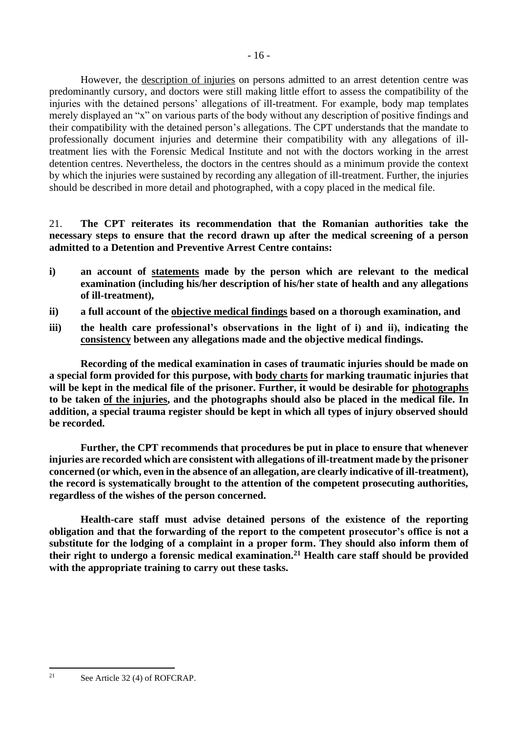However, the description of injuries on persons admitted to an arrest detention centre was predominantly cursory, and doctors were still making little effort to assess the compatibility of the injuries with the detained persons' allegations of ill-treatment. For example, body map templates merely displayed an "x" on various parts of the body without any description of positive findings and their compatibility with the detained person's allegations. The CPT understands that the mandate to professionally document injuries and determine their compatibility with any allegations of illtreatment lies with the Forensic Medical Institute and not with the doctors working in the arrest detention centres. Nevertheless, the doctors in the centres should as a minimum provide the context by which the injuries were sustained by recording any allegation of ill-treatment. Further, the injuries should be described in more detail and photographed, with a copy placed in the medical file.

21. **The CPT reiterates its recommendation that the Romanian authorities take the necessary steps to ensure that the record drawn up after the medical screening of a person admitted to a Detention and Preventive Arrest Centre contains:** 

- **i) an account of statements made by the person which are relevant to the medical examination (including his/her description of his/her state of health and any allegations of ill-treatment),**
- **ii) a full account of the objective medical findings based on a thorough examination, and**
- **iii) the health care professional's observations in the light of i) and ii), indicating the consistency between any allegations made and the objective medical findings.**

**Recording of the medical examination in cases of traumatic injuries should be made on a special form provided for this purpose, with body charts for marking traumatic injuries that will be kept in the medical file of the prisoner. Further, it would be desirable for photographs to be taken of the injuries, and the photographs should also be placed in the medical file. In addition, a special trauma register should be kept in which all types of injury observed should be recorded.**

**Further, the CPT recommends that procedures be put in place to ensure that whenever injuries are recorded which are consistent with allegations of ill-treatment made by the prisoner concerned (or which, even in the absence of an allegation, are clearly indicative of ill-treatment), the record is systematically brought to the attention of the competent prosecuting authorities, regardless of the wishes of the person concerned.**

**Health-care staff must advise detained persons of the existence of the reporting obligation and that the forwarding of the report to the competent prosecutor's office is not a substitute for the lodging of a complaint in a proper form. They should also inform them of their right to undergo a forensic medical examination.<sup>21</sup> Health care staff should be provided with the appropriate training to carry out these tasks.**

<sup>21</sup> See Article 32 (4) of ROFCRAP.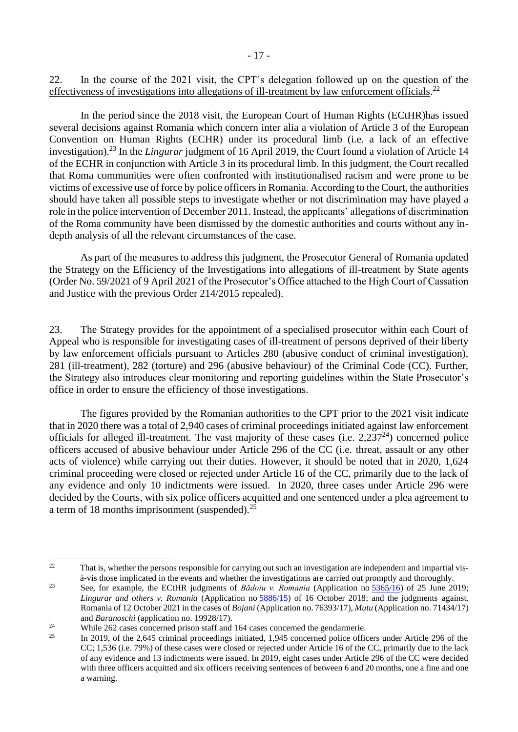22. In the course of the 2021 visit, the CPT's delegation followed up on the question of the effectiveness of investigations into allegations of ill-treatment by law enforcement officials.<sup>22</sup>

In the period since the 2018 visit, the European Court of Human Rights (ECtHR)has issued several decisions against Romania which concern inter alia a violation of Article 3 of the European Convention on Human Rights (ECHR) under its procedural limb (i.e. a lack of an effective investigation).<sup>23</sup> In the *Lingurar* judgment of 16 April 2019, the Court found a violation of Article 14 of the ECHR in conjunction with Article 3 in its procedural limb. In this judgment, the Court recalled that Roma communities were often confronted with institutionalised racism and were prone to be victims of excessive use of force by police officers in Romania. According to the Court, the authorities should have taken all possible steps to investigate whether or not discrimination may have played a role in the police intervention of December 2011. Instead, the applicants' allegations of discrimination of the Roma community have been dismissed by the domestic authorities and courts without any indepth analysis of all the relevant circumstances of the case.

As part of the measures to address this judgment, the Prosecutor General of Romania updated the Strategy on the Efficiency of the Investigations into allegations of ill-treatment by State agents (Order No. 59/2021 of 9 April 2021 of the Prosecutor's Office attached to the High Court of Cassation and Justice with the previous Order 214/2015 repealed).

23. The Strategy provides for the appointment of a specialised prosecutor within each Court of Appeal who is responsible for investigating cases of ill-treatment of persons deprived of their liberty by law enforcement officials pursuant to Articles 280 (abusive conduct of criminal investigation), 281 (ill-treatment), 282 (torture) and 296 (abusive behaviour) of the Criminal Code (CC). Further, the Strategy also introduces clear monitoring and reporting guidelines within the State Prosecutor's office in order to ensure the efficiency of those investigations.

The figures provided by the Romanian authorities to the CPT prior to the 2021 visit indicate that in 2020 there was a total of 2,940 cases of criminal proceedings initiated against law enforcement officials for alleged ill-treatment. The vast majority of these cases (i.e.  $2,237^{24}$ ) concerned police officers accused of abusive behaviour under Article 296 of the CC (i.e. threat, assault or any other acts of violence) while carrying out their duties. However, it should be noted that in 2020, 1,624 criminal proceeding were closed or rejected under Article 16 of the CC, primarily due to the lack of any evidence and only 10 indictments were issued. In 2020, three cases under Article 296 were decided by the Courts, with six police officers acquitted and one sentenced under a plea agreement to a term of 18 months imprisonment (suspended).<sup>25</sup>

 $22$  That is, whether the persons responsible for carrying out such an investigation are independent and impartial visà-vis those implicated in the events and whether the investigations are carried out promptly and thoroughly.

<sup>&</sup>lt;sup>23</sup> See, for example, the ECtHR judgments of *Bădoiu v. Romania* (Application no [5365/16\)](https://hudoc.echr.coe.int/eng#{%22appno%22:[%225365/16%22]}) of 25 June 2019; *Lingurar and others v. Romania* (Application no [5886/15\)](https://hudoc.echr.coe.int/eng#{%22appno%22:[%225886/15%22]}) of 16 October 2018; and the judgments against. Romania of 12 October 2021 in the cases of *Bojani* (Application no. 76393/17), *Mutu* (Application no. 71434/17) and *Baranoschi* (application no. 19928/17).

<sup>&</sup>lt;sup>24</sup> While 262 cases concerned prison staff and 164 cases concerned the gendarmerie.

<sup>25</sup> In 2019, of the 2,645 criminal proceedings initiated, 1,945 concerned police officers under Article 296 of the CC; 1,536 (i.e. 79%) of these cases were closed or rejected under Article 16 of the CC, primarily due to the lack of any evidence and 13 indictments were issued. In 2019, eight cases under Article 296 of the CC were decided with three officers acquitted and six officers receiving sentences of between 6 and 20 months, one a fine and one a warning.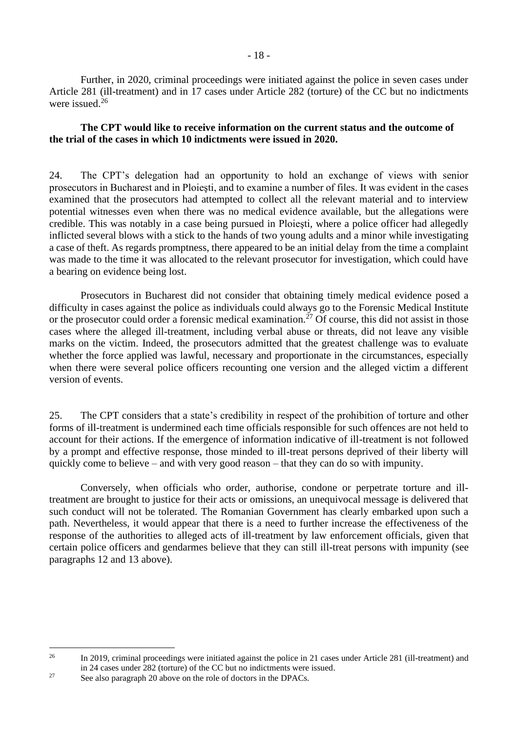Further, in 2020, criminal proceedings were initiated against the police in seven cases under Article 281 (ill-treatment) and in 17 cases under Article 282 (torture) of the CC but no indictments were issued. 26

#### **The CPT would like to receive information on the current status and the outcome of the trial of the cases in which 10 indictments were issued in 2020.**

24. The CPT's delegation had an opportunity to hold an exchange of views with senior prosecutors in Bucharest and in Ploieşti, and to examine a number of files. It was evident in the cases examined that the prosecutors had attempted to collect all the relevant material and to interview potential witnesses even when there was no medical evidence available, but the allegations were credible. This was notably in a case being pursued in Ploieşti, where a police officer had allegedly inflicted several blows with a stick to the hands of two young adults and a minor while investigating a case of theft. As regards promptness, there appeared to be an initial delay from the time a complaint was made to the time it was allocated to the relevant prosecutor for investigation, which could have a bearing on evidence being lost.

Prosecutors in Bucharest did not consider that obtaining timely medical evidence posed a difficulty in cases against the police as individuals could always go to the Forensic Medical Institute or the prosecutor could order a forensic medical examination.<sup>27</sup> Of course, this did not assist in those cases where the alleged ill-treatment, including verbal abuse or threats, did not leave any visible marks on the victim. Indeed, the prosecutors admitted that the greatest challenge was to evaluate whether the force applied was lawful, necessary and proportionate in the circumstances, especially when there were several police officers recounting one version and the alleged victim a different version of events.

25. The CPT considers that a state's credibility in respect of the prohibition of torture and other forms of ill-treatment is undermined each time officials responsible for such offences are not held to account for their actions. If the emergence of information indicative of ill-treatment is not followed by a prompt and effective response, those minded to ill-treat persons deprived of their liberty will quickly come to believe – and with very good reason – that they can do so with impunity.

Conversely, when officials who order, authorise, condone or perpetrate torture and illtreatment are brought to justice for their acts or omissions, an unequivocal message is delivered that such conduct will not be tolerated. The Romanian Government has clearly embarked upon such a path. Nevertheless, it would appear that there is a need to further increase the effectiveness of the response of the authorities to alleged acts of ill-treatment by law enforcement officials, given that certain police officers and gendarmes believe that they can still ill-treat persons with impunity (see paragraphs 12 and 13 above).

<sup>&</sup>lt;sup>26</sup> In 2019, criminal proceedings were initiated against the police in 21 cases under Article 281 (ill-treatment) and in 24 cases under 282 (torture) of the CC but no indictments were issued.

<sup>&</sup>lt;sup>27</sup> See also paragraph 20 above on the role of doctors in the DPACs.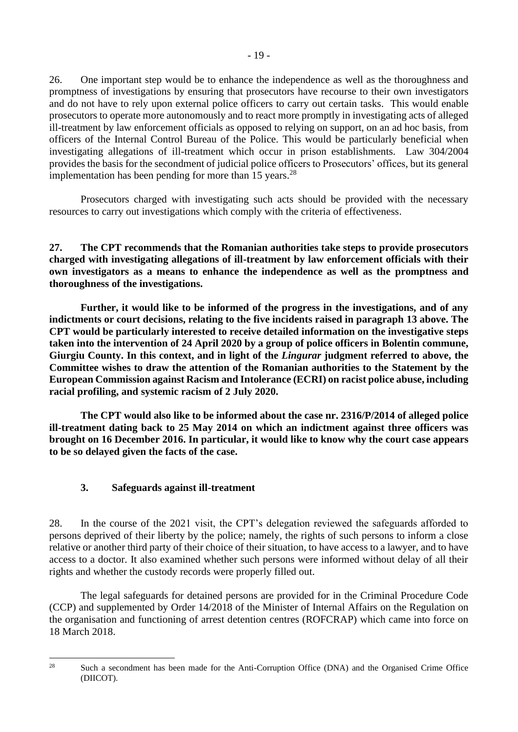26. One important step would be to enhance the independence as well as the thoroughness and promptness of investigations by ensuring that prosecutors have recourse to their own investigators and do not have to rely upon external police officers to carry out certain tasks. This would enable prosecutors to operate more autonomously and to react more promptly in investigating acts of alleged ill-treatment by law enforcement officials as opposed to relying on support, on an ad hoc basis, from officers of the Internal Control Bureau of the Police. This would be particularly beneficial when investigating allegations of ill-treatment which occur in prison establishments. Law 304/2004 provides the basis for the secondment of judicial police officers to Prosecutors' offices, but its general implementation has been pending for more than 15 years.<sup>28</sup>

Prosecutors charged with investigating such acts should be provided with the necessary resources to carry out investigations which comply with the criteria of effectiveness.

**27. The CPT recommends that the Romanian authorities take steps to provide prosecutors charged with investigating allegations of ill-treatment by law enforcement officials with their own investigators as a means to enhance the independence as well as the promptness and thoroughness of the investigations.**

**Further, it would like to be informed of the progress in the investigations, and of any indictments or court decisions, relating to the five incidents raised in paragraph 13 above. The CPT would be particularly interested to receive detailed information on the investigative steps taken into the intervention of 24 April 2020 by a group of police officers in Bolentin commune, Giurgiu County. In this context, and in light of the** *Lingurar* **judgment referred to above, the Committee wishes to draw the attention of the Romanian authorities to the Statement by the European Commission against Racism and Intolerance (ECRI) on racist police abuse, including racial profiling, and systemic racism of 2 July 2020.**

**The CPT would also like to be informed about the case nr. 2316/P/2014 of alleged police ill-treatment dating back to 25 May 2014 on which an indictment against three officers was brought on 16 December 2016. In particular, it would like to know why the court case appears to be so delayed given the facts of the case.**

### <span id="page-18-0"></span>**3. Safeguards against ill-treatment**

28. In the course of the 2021 visit, the CPT's delegation reviewed the safeguards afforded to persons deprived of their liberty by the police; namely, the rights of such persons to inform a close relative or another third party of their choice of their situation, to have access to a lawyer, and to have access to a doctor. It also examined whether such persons were informed without delay of all their rights and whether the custody records were properly filled out.

The legal safeguards for detained persons are provided for in the Criminal Procedure Code (CCP) and supplemented by Order 14/2018 of the Minister of Internal Affairs on the Regulation on the organisation and functioning of arrest detention centres (ROFCRAP) which came into force on 18 March 2018.

<sup>&</sup>lt;sup>28</sup> Such a secondment has been made for the Anti-Corruption Office (DNA) and the Organised Crime Office (DIICOT).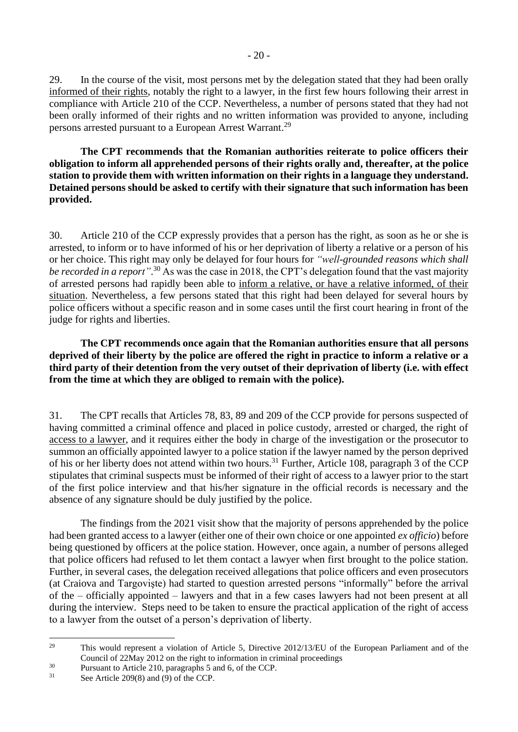29. In the course of the visit, most persons met by the delegation stated that they had been orally informed of their rights, notably the right to a lawyer, in the first few hours following their arrest in compliance with Article 210 of the CCP. Nevertheless, a number of persons stated that they had not been orally informed of their rights and no written information was provided to anyone, including persons arrested pursuant to a European Arrest Warrant.<sup>29</sup>

**The CPT recommends that the Romanian authorities reiterate to police officers their obligation to inform all apprehended persons of their rights orally and, thereafter, at the police station to provide them with written information on their rights in a language they understand. Detained persons should be asked to certify with their signature that such information has been provided.**

30. Article 210 of the CCP expressly provides that a person has the right, as soon as he or she is arrested, to inform or to have informed of his or her deprivation of liberty a relative or a person of his or her choice. This right may only be delayed for four hours for *"well-grounded reasons which shall be recorded in a report"*. <sup>30</sup> As was the case in 2018, the CPT's delegation found that the vast majority of arrested persons had rapidly been able to inform a relative, or have a relative informed, of their situation. Nevertheless, a few persons stated that this right had been delayed for several hours by police officers without a specific reason and in some cases until the first court hearing in front of the judge for rights and liberties.

**The CPT recommends once again that the Romanian authorities ensure that all persons deprived of their liberty by the police are offered the right in practice to inform a relative or a third party of their detention from the very outset of their deprivation of liberty (i.e. with effect from the time at which they are obliged to remain with the police).**

31. The CPT recalls that Articles 78, 83, 89 and 209 of the CCP provide for persons suspected of having committed a criminal offence and placed in police custody, arrested or charged, the right of access to a lawyer, and it requires either the body in charge of the investigation or the prosecutor to summon an officially appointed lawyer to a police station if the lawyer named by the person deprived of his or her liberty does not attend within two hours.<sup>31</sup> Further, Article 108, paragraph 3 of the CCP stipulates that criminal suspects must be informed of their right of access to a lawyer prior to the start of the first police interview and that his/her signature in the official records is necessary and the absence of any signature should be duly justified by the police.

The findings from the 2021 visit show that the majority of persons apprehended by the police had been granted access to a lawyer (either one of their own choice or one appointed *ex officio*) before being questioned by officers at the police station. However, once again, a number of persons alleged that police officers had refused to let them contact a lawyer when first brought to the police station. Further, in several cases, the delegation received allegations that police officers and even prosecutors (at Craiova and Targovişte) had started to question arrested persons "informally" before the arrival of the – officially appointed – lawyers and that in a few cases lawyers had not been present at all during the interview. Steps need to be taken to ensure the practical application of the right of access to a lawyer from the outset of a person's deprivation of liberty.

<sup>&</sup>lt;sup>29</sup> This would represent a violation of Article 5, Directive 2012/13/EU of the European Parliament and of the Council of 22May 2012 on the right to information in criminal proceedings

<sup>&</sup>lt;sup>30</sup> Pursuant to Article 210, paragraphs 5 and 6, of the CCP.<br> ${}^{31}$  See Article 200(8) and (0) of the CCP.

See Article 209(8) and (9) of the CCP.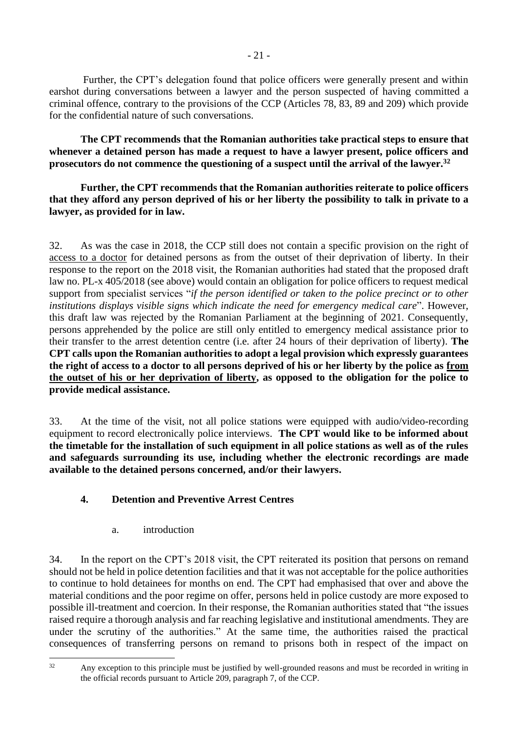Further, the CPT's delegation found that police officers were generally present and within earshot during conversations between a lawyer and the person suspected of having committed a criminal offence, contrary to the provisions of the CCP (Articles 78, 83, 89 and 209) which provide for the confidential nature of such conversations.

**The CPT recommends that the Romanian authorities take practical steps to ensure that whenever a detained person has made a request to have a lawyer present, police officers and prosecutors do not commence the questioning of a suspect until the arrival of the lawyer. 32**

**Further, the CPT recommends that the Romanian authorities reiterate to police officers that they afford any person deprived of his or her liberty the possibility to talk in private to a lawyer, as provided for in law.**

32. As was the case in 2018, the CCP still does not contain a specific provision on the right of access to a doctor for detained persons as from the outset of their deprivation of liberty. In their response to the report on the 2018 visit, the Romanian authorities had stated that the proposed draft law no. PL-x 405/2018 (see above) would contain an obligation for police officers to request medical support from specialist services "*if the person identified or taken to the police precinct or to other institutions displays visible signs which indicate the need for emergency medical care*". However, this draft law was rejected by the Romanian Parliament at the beginning of 2021. Consequently, persons apprehended by the police are still only entitled to emergency medical assistance prior to their transfer to the arrest detention centre (i.e. after 24 hours of their deprivation of liberty). **The CPT calls upon the Romanian authorities to adopt a legal provision which expressly guarantees the right of access to a doctor to all persons deprived of his or her liberty by the police as from the outset of his or her deprivation of liberty, as opposed to the obligation for the police to provide medical assistance.**

33. At the time of the visit, not all police stations were equipped with audio/video-recording equipment to record electronically police interviews. **The CPT would like to be informed about the timetable for the installation of such equipment in all police stations as well as of the rules and safeguards surrounding its use, including whether the electronic recordings are made available to the detained persons concerned, and/or their lawyers.**

## <span id="page-20-0"></span>**4. Detention and Preventive Arrest Centres**

a. introduction

<span id="page-20-1"></span>34. In the report on the CPT's 2018 visit, the CPT reiterated its position that persons on remand should not be held in police detention facilities and that it was not acceptable for the police authorities to continue to hold detainees for months on end. The CPT had emphasised that over and above the material conditions and the poor regime on offer, persons held in police custody are more exposed to possible ill-treatment and coercion. In their response, the Romanian authorities stated that "the issues raised require a thorough analysis and far reaching legislative and institutional amendments. They are under the scrutiny of the authorities." At the same time, the authorities raised the practical consequences of transferring persons on remand to prisons both in respect of the impact on

<sup>&</sup>lt;sup>32</sup> Any exception to this principle must be justified by well-grounded reasons and must be recorded in writing in the official records pursuant to Article 209, paragraph 7, of the CCP.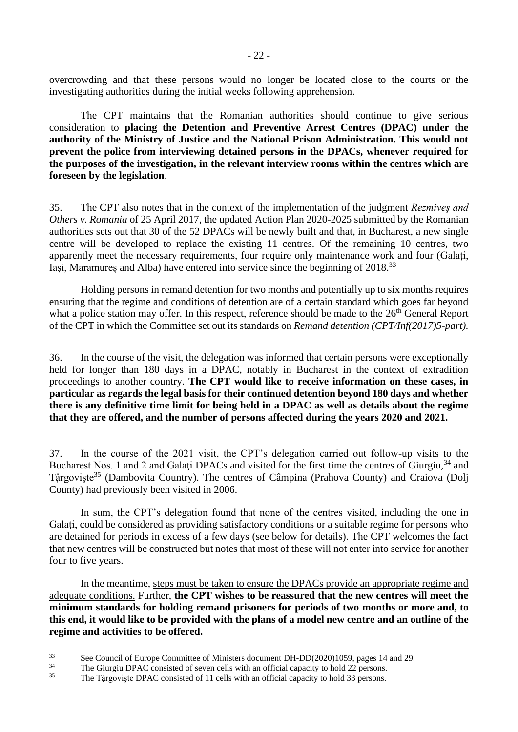overcrowding and that these persons would no longer be located close to the courts or the investigating authorities during the initial weeks following apprehension.

The CPT maintains that the Romanian authorities should continue to give serious consideration to **placing the Detention and Preventive Arrest Centres (DPAC) under the authority of the Ministry of Justice and the National Prison Administration. This would not prevent the police from interviewing detained persons in the DPACs, whenever required for the purposes of the investigation, in the relevant interview rooms within the centres which are foreseen by the legislation**.

35. The CPT also notes that in the context of the implementation of the judgment *Rezmiveş and Others v. Romania* of 25 April 2017, the updated Action Plan 2020-2025 submitted by the Romanian authorities sets out that 30 of the 52 DPACs will be newly built and that, in Bucharest, a new single centre will be developed to replace the existing 11 centres. Of the remaining 10 centres, two apparently meet the necessary requirements, four require only maintenance work and four (Galați, Iași, Maramureș and Alba) have entered into service since the beginning of 2018.<sup>33</sup>

Holding persons in remand detention for two months and potentially up to six months requires ensuring that the regime and conditions of detention are of a certain standard which goes far beyond what a police station may offer. In this respect, reference should be made to the  $26<sup>th</sup>$  General Report of the CPT in which the Committee set out its standards on *Remand detention (CPT/Inf(2017)5-part).*

36. In the course of the visit, the delegation was informed that certain persons were exceptionally held for longer than 180 days in a DPAC, notably in Bucharest in the context of extradition proceedings to another country. **The CPT would like to receive information on these cases, in particular as regards the legal basis for their continued detention beyond 180 days and whether there is any definitive time limit for being held in a DPAC as well as details about the regime that they are offered, and the number of persons affected during the years 2020 and 2021.**

37. In the course of the 2021 visit, the CPT's delegation carried out follow-up visits to the Bucharest Nos. 1 and 2 and Galati DPACs and visited for the first time the centres of Giurgiu, <sup>34</sup> and Târgoviste<sup>35</sup> (Dambovita Country). The centres of Câmpina (Prahova County) and Craiova (Dolj County) had previously been visited in 2006.

In sum, the CPT's delegation found that none of the centres visited, including the one in Galati, could be considered as providing satisfactory conditions or a suitable regime for persons who are detained for periods in excess of a few days (see below for details). The CPT welcomes the fact that new centres will be constructed but notes that most of these will not enter into service for another four to five years.

In the meantime, steps must be taken to ensure the DPACs provide an appropriate regime and adequate conditions. Further, **the CPT wishes to be reassured that the new centres will meet the minimum standards for holding remand prisoners for periods of two months or more and, to this end, it would like to be provided with the plans of a model new centre and an outline of the regime and activities to be offered.** 

<sup>&</sup>lt;sup>33</sup> See Council of Europe Committee of Ministers document DH-DD(2020)1059, pages 14 and 29.<br><sup>34</sup> The Ciurgiu DBAC congisted of cause calls with an efficial experitu to hald 22 parcence.

<sup>&</sup>lt;sup>34</sup> The Giurgiu DPAC consisted of seven cells with an official capacity to hold 22 persons.<br><sup>35</sup> The Târgavista DPAC consisted of 11 cells with an official capacity to hold <sup>22</sup> persons.

The Tậrgoviște DPAC consisted of 11 cells with an official capacity to hold 33 persons.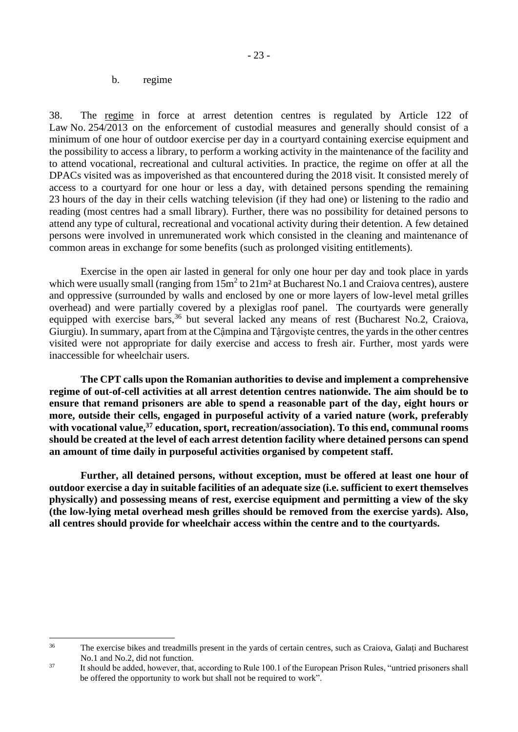#### b. regime

<span id="page-22-0"></span>38. The regime in force at arrest detention centres is regulated by Article 122 of Law No. 254/2013 on the enforcement of custodial measures and generally should consist of a minimum of one hour of outdoor exercise per day in a courtyard containing exercise equipment and the possibility to access a library, to perform a working activity in the maintenance of the facility and to attend vocational, recreational and cultural activities. In practice, the regime on offer at all the DPACs visited was as impoverished as that encountered during the 2018 visit. It consisted merely of access to a courtyard for one hour or less a day, with detained persons spending the remaining 23 hours of the day in their cells watching television (if they had one) or listening to the radio and reading (most centres had a small library). Further, there was no possibility for detained persons to attend any type of cultural, recreational and vocational activity during their detention. A few detained persons were involved in unremunerated work which consisted in the cleaning and maintenance of common areas in exchange for some benefits (such as prolonged visiting entitlements).

Exercise in the open air lasted in general for only one hour per day and took place in yards which were usually small (ranging from  $15m^2$  to  $21m^2$  at Bucharest No.1 and Craiova centres), austere and oppressive (surrounded by walls and enclosed by one or more layers of low-level metal grilles overhead) and were partially covered by a plexiglas roof panel. The courtyards were generally equipped with exercise bars,<sup>36</sup> but several lacked any means of rest (Bucharest No.2, Craiova, Giurgiu). In summary, apart from at the Cậmpina and Tậrgovişte centres, the yards in the other centres visited were not appropriate for daily exercise and access to fresh air. Further, most yards were inaccessible for wheelchair users.

**The CPT calls upon the Romanian authorities to devise and implement a comprehensive regime of out-of-cell activities at all arrest detention centres nationwide. The aim should be to ensure that remand prisoners are able to spend a reasonable part of the day, eight hours or more, outside their cells, engaged in purposeful activity of a varied nature (work, preferably with vocational value,<sup>37</sup> education, sport, recreation/association). To this end, communal rooms should be created at the level of each arrest detention facility where detained persons can spend an amount of time daily in purposeful activities organised by competent staff.** 

**Further, all detained persons, without exception, must be offered at least one hour of outdoor exercise a day in suitable facilities of an adequate size (i.e. sufficient to exert themselves physically) and possessing means of rest, exercise equipment and permitting a view of the sky (the low-lying metal overhead mesh grilles should be removed from the exercise yards). Also, all centres should provide for wheelchair access within the centre and to the courtyards.** 

<sup>&</sup>lt;sup>36</sup> The exercise bikes and treadmills present in the yards of certain centres, such as Craiova, Galați and Bucharest No.1 and No.2, did not function.

<sup>&</sup>lt;sup>37</sup> It should be added, however, that, according to Rule 100.1 of the European Prison Rules, "untried prisoners shall be offered the opportunity to work but shall not be required to work".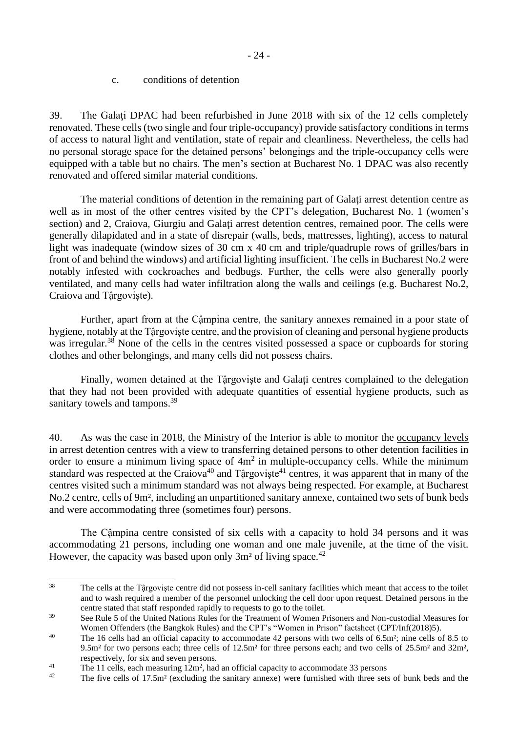<span id="page-23-0"></span>39. The Galaţi DPAC had been refurbished in June 2018 with six of the 12 cells completely renovated. These cells (two single and four triple-occupancy) provide satisfactory conditions in terms of access to natural light and ventilation, state of repair and cleanliness. Nevertheless, the cells had no personal storage space for the detained persons' belongings and the triple-occupancy cells were equipped with a table but no chairs. The men's section at Bucharest No. 1 DPAC was also recently renovated and offered similar material conditions.

The material conditions of detention in the remaining part of Galaţi arrest detention centre as well as in most of the other centres visited by the CPT's delegation, Bucharest No. 1 (women's section) and 2, Craiova, Giurgiu and Galați arrest detention centres, remained poor. The cells were generally dilapidated and in a state of disrepair (walls, beds, mattresses, lighting), access to natural light was inadequate (window sizes of 30 cm x 40 cm and triple/quadruple rows of grilles/bars in front of and behind the windows) and artificial lighting insufficient. The cells in Bucharest No.2 were notably infested with cockroaches and bedbugs. Further, the cells were also generally poorly ventilated, and many cells had water infiltration along the walls and ceilings (e.g. Bucharest No.2, Craiova and Tậrgovişte).

Further, apart from at the Cậmpina centre, the sanitary annexes remained in a poor state of hygiene, notably at the Tậrgovişte centre, and the provision of cleaning and personal hygiene products was irregular.<sup>38</sup> None of the cells in the centres visited possessed a space or cupboards for storing clothes and other belongings, and many cells did not possess chairs.

Finally, women detained at the Tậrgoviște and Galați centres complained to the delegation that they had not been provided with adequate quantities of essential hygiene products, such as sanitary towels and tampons.<sup>39</sup>

40. As was the case in 2018, the Ministry of the Interior is able to monitor the occupancy levels in arrest detention centres with a view to transferring detained persons to other detention facilities in order to ensure a minimum living space of  $4m<sup>2</sup>$  in multiple-occupancy cells. While the minimum standard was respected at the Craiova<sup>40</sup> and Târgoviște<sup>41</sup> centres, it was apparent that in many of the centres visited such a minimum standard was not always being respected. For example, at Bucharest No.2 centre, cells of 9m², including an unpartitioned sanitary annexe, contained two sets of bunk beds and were accommodating three (sometimes four) persons.

The Cậmpina centre consisted of six cells with a capacity to hold 34 persons and it was accommodating 21 persons, including one woman and one male juvenile, at the time of the visit. However, the capacity was based upon only  $3m^2$  of living space.<sup>42</sup>

<sup>&</sup>lt;sup>38</sup> The cells at the Târgoviste centre did not possess in-cell sanitary facilities which meant that access to the toilet and to wash required a member of the personnel unlocking the cell door upon request. Detained persons in the centre stated that staff responded rapidly to requests to go to the toilet.

<sup>&</sup>lt;sup>39</sup> See Rule 5 of the United Nations Rules for the Treatment of Women Prisoners and Non-custodial Measures for Women Offenders (the Bangkok Rules) and the CPT's "Women in Prison" factsheet (CPT/Inf(2018)5).

<sup>&</sup>lt;sup>40</sup> The 16 cells had an official capacity to accommodate 42 persons with two cells of 6.5m<sup>2</sup>; nine cells of 8.5 to 9.5m² for two persons each; three cells of 12.5m² for three persons each; and two cells of 25.5m² and 32m², respectively, for six and seven persons.

<sup>&</sup>lt;sup>41</sup> The 11 cells, each measuring  $12m^2$ , had an official capacity to accommodate 33 persons

<sup>&</sup>lt;sup>42</sup> The five cells of 17.5m<sup>2</sup> (excluding the sanitary annexe) were furnished with three sets of bunk beds and the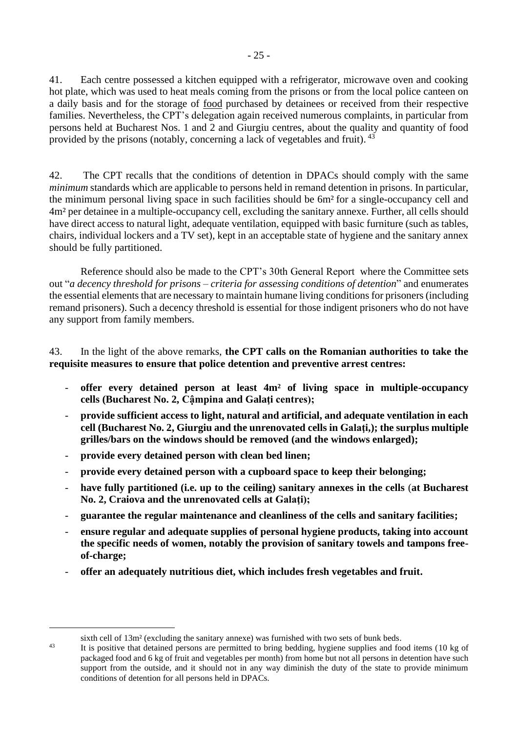41. Each centre possessed a kitchen equipped with a refrigerator, microwave oven and cooking hot plate, which was used to heat meals coming from the prisons or from the local police canteen on a daily basis and for the storage of food purchased by detainees or received from their respective families. Nevertheless, the CPT's delegation again received numerous complaints, in particular from persons held at Bucharest Nos. 1 and 2 and Giurgiu centres, about the quality and quantity of food provided by the prisons (notably, concerning a lack of vegetables and fruit). <sup>43</sup>

42. The CPT recalls that the conditions of detention in DPACs should comply with the same *minimum* standards which are applicable to persons held in remand detention in prisons. In particular, the minimum personal living space in such facilities should be 6m² for a single-occupancy cell and 4m² per detainee in a multiple-occupancy cell, excluding the sanitary annexe. Further, all cells should have direct access to natural light, adequate ventilation, equipped with basic furniture (such as tables, chairs, individual lockers and a TV set), kept in an acceptable state of hygiene and the sanitary annex should be fully partitioned.

Reference should also be made to the CPT's 30th General Report where the Committee sets out "*a decency threshold for prisons – criteria for assessing conditions of detention*" and enumerates the essential elements that are necessary to maintain humane living conditions for prisoners(including remand prisoners). Such a decency threshold is essential for those indigent prisoners who do not have any support from family members.

### 43. In the light of the above remarks, **the CPT calls on the Romanian authorities to take the requisite measures to ensure that police detention and preventive arrest centres:**

- **offer every detained person at least 4m² of living space in multiple-occupancy cells (Bucharest No. 2, Cậmpina and Galaţi centres);**
- **provide sufficient access to light, natural and artificial, and adequate ventilation in each cell (Bucharest No. 2, Giurgiu and the unrenovated cells in Galaţi,); the surplus multiple grilles/bars on the windows should be removed (and the windows enlarged);**
- **provide every detained person with clean bed linen;**
- **provide every detained person with a cupboard space to keep their belonging;**
- **have fully partitioned (i.e. up to the ceiling) sanitary annexes in the cells** (**at Bucharest No. 2, Craiova and the unrenovated cells at Galaţi);**
- **guarantee the regular maintenance and cleanliness of the cells and sanitary facilities;**
- **ensure regular and adequate supplies of personal hygiene products, taking into account the specific needs of women, notably the provision of sanitary towels and tampons freeof-charge;**
- **offer an adequately nutritious diet, which includes fresh vegetables and fruit.**

sixth cell of 13m² (excluding the sanitary annexe) was furnished with two sets of bunk beds.

<sup>&</sup>lt;sup>43</sup> It is positive that detained persons are permitted to bring bedding, hygiene supplies and food items (10 kg of packaged food and 6 kg of fruit and vegetables per month) from home but not all persons in detention have such support from the outside, and it should not in any way diminish the duty of the state to provide minimum conditions of detention for all persons held in DPACs.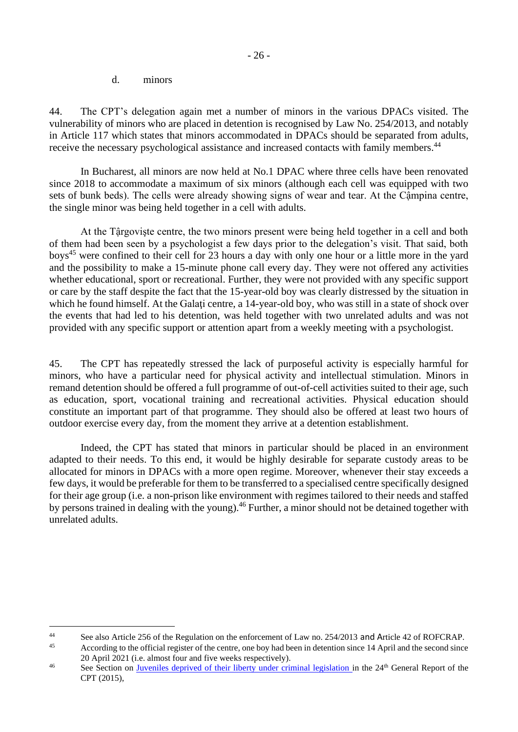#### d. minors

<span id="page-25-0"></span>44. The CPT's delegation again met a number of minors in the various DPACs visited. The vulnerability of minors who are placed in detention is recognised by Law No. 254/2013, and notably in Article 117 which states that minors accommodated in DPACs should be separated from adults, receive the necessary psychological assistance and increased contacts with family members.<sup>44</sup>

In Bucharest, all minors are now held at No.1 DPAC where three cells have been renovated since 2018 to accommodate a maximum of six minors (although each cell was equipped with two sets of bunk beds). The cells were already showing signs of wear and tear. At the Cậmpina centre, the single minor was being held together in a cell with adults.

At the Tậrgovişte centre, the two minors present were being held together in a cell and both of them had been seen by a psychologist a few days prior to the delegation's visit. That said, both boys<sup>45</sup> were confined to their cell for 23 hours a day with only one hour or a little more in the yard and the possibility to make a 15-minute phone call every day. They were not offered any activities whether educational, sport or recreational. Further, they were not provided with any specific support or care by the staff despite the fact that the 15-year-old boy was clearly distressed by the situation in which he found himself. At the Galati centre, a 14-year-old boy, who was still in a state of shock over the events that had led to his detention, was held together with two unrelated adults and was not provided with any specific support or attention apart from a weekly meeting with a psychologist.

45. The CPT has repeatedly stressed the lack of purposeful activity is especially harmful for minors, who have a particular need for physical activity and intellectual stimulation. Minors in remand detention should be offered a full programme of out-of-cell activities suited to their age, such as education, sport, vocational training and recreational activities. Physical education should constitute an important part of that programme. They should also be offered at least two hours of outdoor exercise every day, from the moment they arrive at a detention establishment.

Indeed, the CPT has stated that minors in particular should be placed in an environment adapted to their needs. To this end, it would be highly desirable for separate custody areas to be allocated for minors in DPACs with a more open regime. Moreover, whenever their stay exceeds a few days, it would be preferable for them to be transferred to a specialised centre specifically designed for their age group (i.e. a non-prison like environment with regimes tailored to their needs and staffed by persons trained in dealing with the young).<sup>46</sup> Further, a minor should not be detained together with unrelated adults.

See also Article 256 of the Regulation on the enforcement of Law no. 254/2013 and Article 42 of ROFCRAP.

According to the official register of the centre, one boy had been in detention since 14 April and the second since 20 April 2021 (i.e. almost four and five weeks respectively).

<sup>&</sup>lt;sup>46</sup> See Section on [Juveniles deprived of their liberty under criminal legislation i](https://rm.coe.int/16806ccb96)n the 24<sup>th</sup> General Report of the CPT (2015),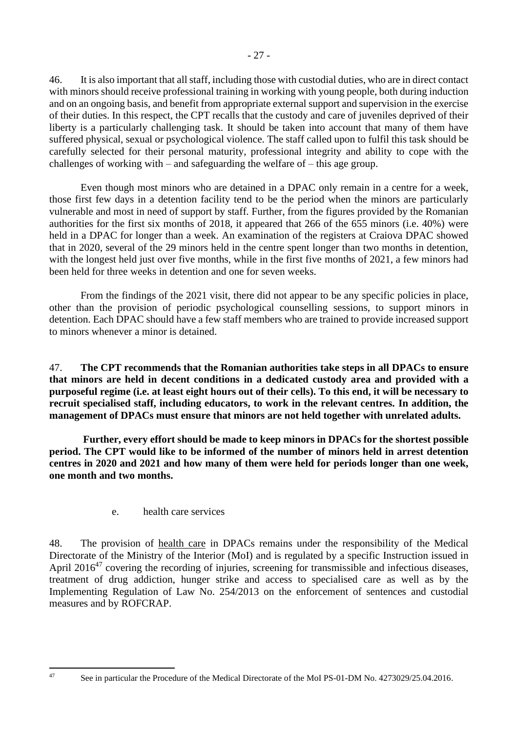46. It is also important that all staff, including those with custodial duties, who are in direct contact

with minors should receive professional training in working with young people, both during induction and on an ongoing basis, and benefit from appropriate external support and supervision in the exercise of their duties. In this respect, the CPT recalls that the custody and care of juveniles deprived of their liberty is a particularly challenging task. It should be taken into account that many of them have suffered physical, sexual or psychological violence. The staff called upon to fulfil this task should be carefully selected for their personal maturity, professional integrity and ability to cope with the challenges of working with – and safeguarding the welfare of – this age group.

Even though most minors who are detained in a DPAC only remain in a centre for a week, those first few days in a detention facility tend to be the period when the minors are particularly vulnerable and most in need of support by staff. Further, from the figures provided by the Romanian authorities for the first six months of 2018, it appeared that 266 of the 655 minors (i.e. 40%) were held in a DPAC for longer than a week. An examination of the registers at Craiova DPAC showed that in 2020, several of the 29 minors held in the centre spent longer than two months in detention, with the longest held just over five months, while in the first five months of 2021, a few minors had been held for three weeks in detention and one for seven weeks.

From the findings of the 2021 visit, there did not appear to be any specific policies in place, other than the provision of periodic psychological counselling sessions, to support minors in detention. Each DPAC should have a few staff members who are trained to provide increased support to minors whenever a minor is detained.

47. **The CPT recommends that the Romanian authorities take steps in all DPACs to ensure that minors are held in decent conditions in a dedicated custody area and provided with a purposeful regime (i.e. at least eight hours out of their cells). To this end, it will be necessary to recruit specialised staff, including educators, to work in the relevant centres. In addition, the management of DPACs must ensure that minors are not held together with unrelated adults.**

**Further, every effort should be made to keep minors in DPACs for the shortest possible period. The CPT would like to be informed of the number of minors held in arrest detention centres in 2020 and 2021 and how many of them were held for periods longer than one week, one month and two months.**

e. health care services

<span id="page-26-0"></span>48. The provision of health care in DPACs remains under the responsibility of the Medical Directorate of the Ministry of the Interior (MoI) and is regulated by a specific Instruction issued in April  $2016^{47}$  covering the recording of injuries, screening for transmissible and infectious diseases, treatment of drug addiction, hunger strike and access to specialised care as well as by the Implementing Regulation of Law No. 254/2013 on the enforcement of sentences and custodial measures and by ROFCRAP.

<sup>&</sup>lt;sup>47</sup> See in particular the Procedure of the Medical Directorate of the MoI PS-01-DM No. 4273029/25.04.2016.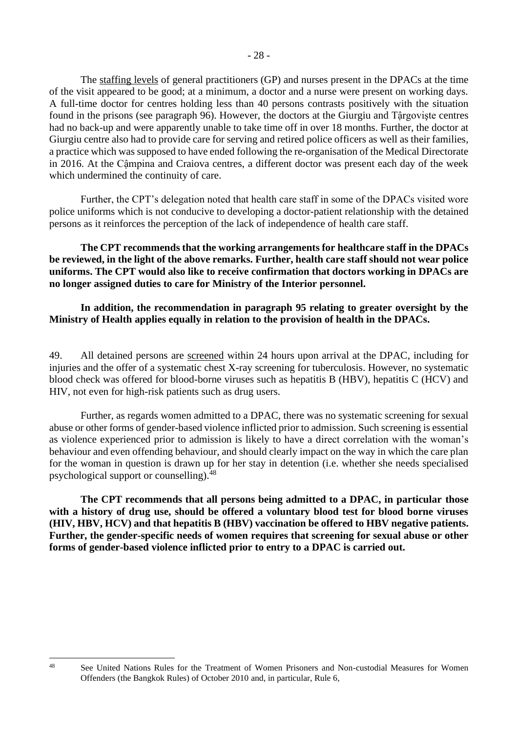The staffing levels of general practitioners (GP) and nurses present in the DPACs at the time of the visit appeared to be good; at a minimum, a doctor and a nurse were present on working days. A full-time doctor for centres holding less than 40 persons contrasts positively with the situation found in the prisons (see paragraph 96). However, the doctors at the Giurgiu and Tậrgovişte centres had no back-up and were apparently unable to take time off in over 18 months. Further, the doctor at Giurgiu centre also had to provide care for serving and retired police officers as well as their families, a practice which was supposed to have ended following the re-organisation of the Medical Directorate in 2016. At the Cậmpina and Craiova centres, a different doctor was present each day of the week which undermined the continuity of care.

Further, the CPT's delegation noted that health care staff in some of the DPACs visited wore police uniforms which is not conducive to developing a doctor-patient relationship with the detained persons as it reinforces the perception of the lack of independence of health care staff.

**The CPT recommends that the working arrangements for healthcare staff in the DPACs be reviewed, in the light of the above remarks. Further, health care staff should not wear police uniforms. The CPT would also like to receive confirmation that doctors working in DPACs are no longer assigned duties to care for Ministry of the Interior personnel.**

**In addition, the recommendation in paragraph 95 relating to greater oversight by the Ministry of Health applies equally in relation to the provision of health in the DPACs.**

49. All detained persons are screened within 24 hours upon arrival at the DPAC, including for injuries and the offer of a systematic chest X-ray screening for tuberculosis. However, no systematic blood check was offered for blood-borne viruses such as hepatitis B (HBV), hepatitis C (HCV) and HIV, not even for high-risk patients such as drug users.

Further, as regards women admitted to a DPAC, there was no systematic screening for sexual abuse or other forms of gender-based violence inflicted prior to admission. Such screening is essential as violence experienced prior to admission is likely to have a direct correlation with the woman's behaviour and even offending behaviour, and should clearly impact on the way in which the care plan for the woman in question is drawn up for her stay in detention (i.e. whether she needs specialised psychological support or counselling). $48$ 

**The CPT recommends that all persons being admitted to a DPAC, in particular those with a history of drug use, should be offered a voluntary blood test for blood borne viruses (HIV, HBV, HCV) and that hepatitis B (HBV) vaccination be offered to HBV negative patients. Further, the gender-specific needs of women requires that screening for sexual abuse or other forms of gender-based violence inflicted prior to entry to a DPAC is carried out.**

<sup>&</sup>lt;sup>48</sup> See United Nations Rules for the Treatment of Women Prisoners and Non-custodial Measures for Women Offenders (the Bangkok Rules) of October 2010 and, in particular, Rule 6,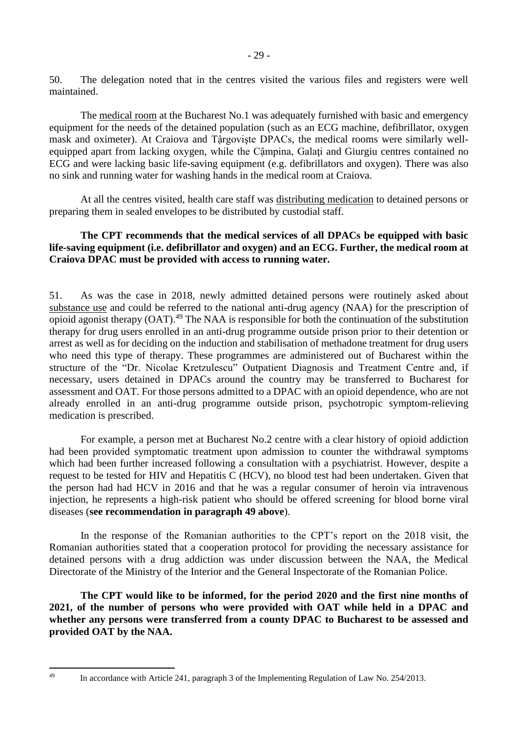50. The delegation noted that in the centres visited the various files and registers were well maintained.

The medical room at the Bucharest No.1 was adequately furnished with basic and emergency equipment for the needs of the detained population (such as an ECG machine, defibrillator, oxygen mask and oximeter). At Craiova and Tậrgovişte DPACs, the medical rooms were similarly wellequipped apart from lacking oxygen, while the Cậmpina, Galaţi and Giurgiu centres contained no ECG and were lacking basic life-saving equipment (e.g. defibrillators and oxygen). There was also no sink and running water for washing hands in the medical room at Craiova.

At all the centres visited, health care staff was distributing medication to detained persons or preparing them in sealed envelopes to be distributed by custodial staff.

### **The CPT recommends that the medical services of all DPACs be equipped with basic life-saving equipment (i.e. defibrillator and oxygen) and an ECG. Further, the medical room at Craiova DPAC must be provided with access to running water.**

51. As was the case in 2018, newly admitted detained persons were routinely asked about substance use and could be referred to the national anti-drug agency (NAA) for the prescription of opioid agonist therapy (OAT).<sup>49</sup> The NAA is responsible for both the continuation of the substitution therapy for drug users enrolled in an anti-drug programme outside prison prior to their detention or arrest as well as for deciding on the induction and stabilisation of methadone treatment for drug users who need this type of therapy. These programmes are administered out of Bucharest within the structure of the "Dr. Nicolae Kretzulescu" Outpatient Diagnosis and Treatment Centre and, if necessary, users detained in DPACs around the country may be transferred to Bucharest for assessment and OAT. For those persons admitted to a DPAC with an opioid dependence, who are not already enrolled in an anti-drug programme outside prison, psychotropic symptom-relieving medication is prescribed.

For example, a person met at Bucharest No.2 centre with a clear history of opioid addiction had been provided symptomatic treatment upon admission to counter the withdrawal symptoms which had been further increased following a consultation with a psychiatrist. However, despite a request to be tested for HIV and Hepatitis C (HCV), no blood test had been undertaken. Given that the person had had HCV in 2016 and that he was a regular consumer of heroin via intravenous injection, he represents a high-risk patient who should be offered screening for blood borne viral diseases (**see recommendation in paragraph 49 above**).

In the response of the Romanian authorities to the CPT's report on the 2018 visit, the Romanian authorities stated that a cooperation protocol for providing the necessary assistance for detained persons with a drug addiction was under discussion between the NAA, the Medical Directorate of the Ministry of the Interior and the General Inspectorate of the Romanian Police.

**The CPT would like to be informed, for the period 2020 and the first nine months of 2021, of the number of persons who were provided with OAT while held in a DPAC and whether any persons were transferred from a county DPAC to Bucharest to be assessed and provided OAT by the NAA.**

<sup>&</sup>lt;sup>49</sup> In accordance with Article 241, paragraph 3 of the Implementing Regulation of Law No. 254/2013.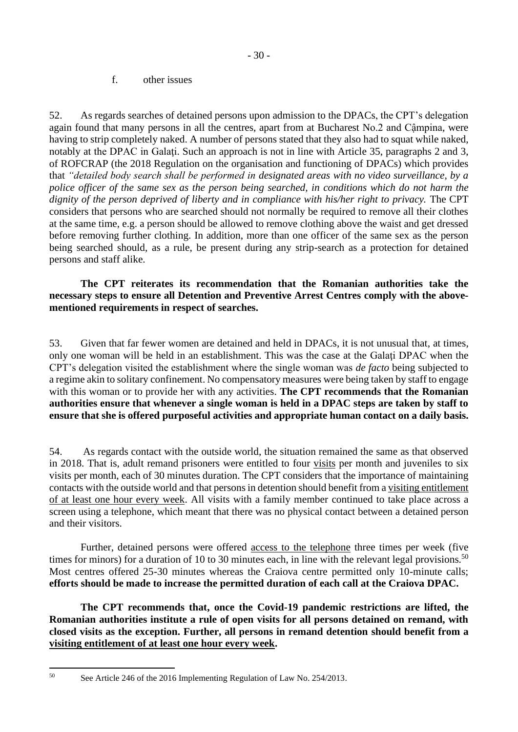#### f. other issues

<span id="page-29-0"></span>52. As regards searches of detained persons upon admission to the DPACs, the CPT's delegation again found that many persons in all the centres, apart from at Bucharest No.2 and Cậmpina, were having to strip completely naked. A number of persons stated that they also had to squat while naked, notably at the DPAC in Galati. Such an approach is not in line with Article 35, paragraphs 2 and 3, of ROFCRAP (the 2018 Regulation on the organisation and functioning of DPACs) which provides that *"detailed body search shall be performed in designated areas with no video surveillance, by a police officer of the same sex as the person being searched, in conditions which do not harm the dignity of the person deprived of liberty and in compliance with his/her right to privacy.* The CPT considers that persons who are searched should not normally be required to remove all their clothes at the same time, e.g. a person should be allowed to remove clothing above the waist and get dressed before removing further clothing. In addition, more than one officer of the same sex as the person being searched should, as a rule, be present during any strip-search as a protection for detained persons and staff alike.

#### **The CPT reiterates its recommendation that the Romanian authorities take the necessary steps to ensure all Detention and Preventive Arrest Centres comply with the abovementioned requirements in respect of searches.**

53. Given that far fewer women are detained and held in DPACs, it is not unusual that, at times, only one woman will be held in an establishment. This was the case at the Galaţi DPAC when the CPT's delegation visited the establishment where the single woman was *de facto* being subjected to a regime akin to solitary confinement. No compensatory measures were being taken by staff to engage with this woman or to provide her with any activities. **The CPT recommends that the Romanian authorities ensure that whenever a single woman is held in a DPAC steps are taken by staff to ensure that she is offered purposeful activities and appropriate human contact on a daily basis.**

54. As regards contact with the outside world, the situation remained the same as that observed in 2018. That is, adult remand prisoners were entitled to four visits per month and juveniles to six visits per month, each of 30 minutes duration. The CPT considers that the importance of maintaining contacts with the outside world and that persons in detention should benefit from a visiting entitlement of at least one hour every week. All visits with a family member continued to take place across a screen using a telephone, which meant that there was no physical contact between a detained person and their visitors.

Further, detained persons were offered access to the telephone three times per week (five times for minors) for a duration of 10 to 30 minutes each, in line with the relevant legal provisions.<sup>50</sup> Most centres offered 25-30 minutes whereas the Craiova centre permitted only 10-minute calls; **efforts should be made to increase the permitted duration of each call at the Craiova DPAC.** 

**The CPT recommends that, once the Covid-19 pandemic restrictions are lifted, the Romanian authorities institute a rule of open visits for all persons detained on remand, with closed visits as the exception. Further, all persons in remand detention should benefit from a visiting entitlement of at least one hour every week.** 

<sup>50</sup> See Article 246 of the 2016 Implementing Regulation of Law No. 254/2013.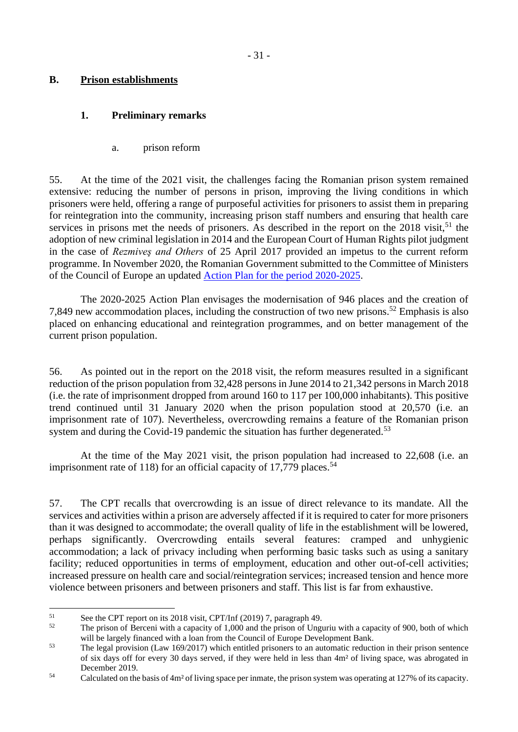#### <span id="page-30-0"></span>**B. Prison establishments**

### <span id="page-30-1"></span>**1. Preliminary remarks**

a. prison reform

<span id="page-30-2"></span>55. At the time of the 2021 visit, the challenges facing the Romanian prison system remained extensive: reducing the number of persons in prison, improving the living conditions in which prisoners were held, offering a range of purposeful activities for prisoners to assist them in preparing for reintegration into the community, increasing prison staff numbers and ensuring that health care services in prisons met the needs of prisoners. As described in the report on the  $2018$  visit,<sup>51</sup> the adoption of new criminal legislation in 2014 and the European Court of Human Rights pilot judgment in the case of *Rezmiveş and Others* of 25 April 2017 provided an impetus to the current reform programme. In November 2020, the Romanian Government submitted to the Committee of Ministers of the Council of Europe an updated Action Plan for the period 2020-2025.

The 2020-2025 Action Plan envisages the modernisation of 946 places and the creation of 7,849 new accommodation places, including the construction of two new prisons.<sup>52</sup> Emphasis is also placed on enhancing educational and reintegration programmes, and on better management of the current prison population.

56. As pointed out in the report on the 2018 visit, the reform measures resulted in a significant reduction of the prison population from 32,428 persons in June 2014 to 21,342 persons in March 2018 (i.e. the rate of imprisonment dropped from around 160 to 117 per 100,000 inhabitants). This positive trend continued until 31 January 2020 when the prison population stood at 20,570 (i.e. an imprisonment rate of 107). Nevertheless, overcrowding remains a feature of the Romanian prison system and during the Covid-19 pandemic the situation has further degenerated.<sup>53</sup>

At the time of the May 2021 visit, the prison population had increased to 22,608 (i.e. an imprisonment rate of 118) for an official capacity of 17,779 places.<sup>54</sup>

57. The CPT recalls that overcrowding is an issue of direct relevance to its mandate. All the services and activities within a prison are adversely affected if it is required to cater for more prisoners than it was designed to accommodate; the overall quality of life in the establishment will be lowered, perhaps significantly. Overcrowding entails several features: cramped and unhygienic accommodation; a lack of privacy including when performing basic tasks such as using a sanitary facility; reduced opportunities in terms of employment, education and other out-of-cell activities; increased pressure on health care and social/reintegration services; increased tension and hence more violence between prisoners and between prisoners and staff. This list is far from exhaustive.

<sup>&</sup>lt;sup>51</sup> See the CPT report on its 2018 visit, CPT/Inf (2019) 7, paragraph 49.

The prison of Berceni with a capacity of 1,000 and the prison of Unguriu with a capacity of 900, both of which will be largely financed with a loan from the Council of Europe Development Bank.

<sup>&</sup>lt;sup>53</sup> The legal provision (Law 169/2017) which entitled prisoners to an automatic reduction in their prison sentence of six days off for every 30 days served, if they were held in less than 4m² of living space, was abrogated in December 2019.

<sup>54</sup> Calculated on the basis of 4m² of living space per inmate, the prison system was operating at 127% of its capacity.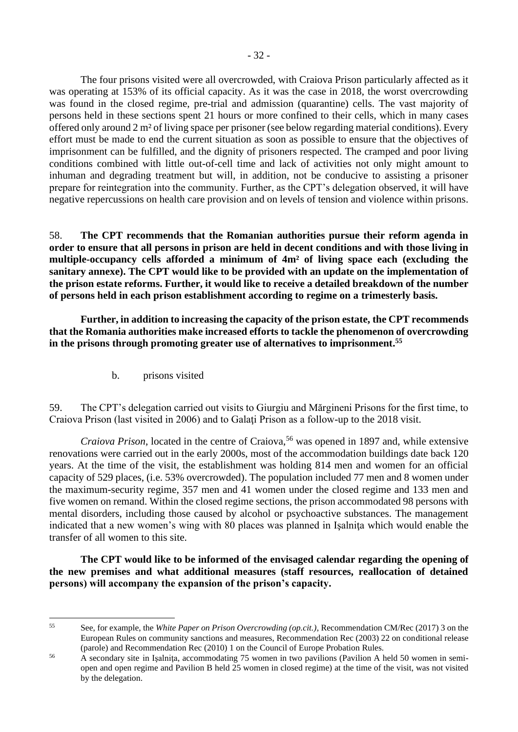The four prisons visited were all overcrowded, with Craiova Prison particularly affected as it was operating at 153% of its official capacity. As it was the case in 2018, the worst overcrowding was found in the closed regime, pre-trial and admission (quarantine) cells. The vast majority of persons held in these sections spent 21 hours or more confined to their cells, which in many cases offered only around 2 m² of living space per prisoner (see below regarding material conditions). Every effort must be made to end the current situation as soon as possible to ensure that the objectives of imprisonment can be fulfilled, and the dignity of prisoners respected. The cramped and poor living conditions combined with little out-of-cell time and lack of activities not only might amount to inhuman and degrading treatment but will, in addition, not be conducive to assisting a prisoner prepare for reintegration into the community. Further, as the CPT's delegation observed, it will have negative repercussions on health care provision and on levels of tension and violence within prisons.

58. **The CPT recommends that the Romanian authorities pursue their reform agenda in order to ensure that all persons in prison are held in decent conditions and with those living in multiple-occupancy cells afforded a minimum of 4m² of living space each (excluding the sanitary annexe). The CPT would like to be provided with an update on the implementation of the prison estate reforms. Further, it would like to receive a detailed breakdown of the number of persons held in each prison establishment according to regime on a trimesterly basis.** 

**Further, in addition to increasing the capacity of the prison estate, the CPT recommends that the Romania authorities make increased efforts to tackle the phenomenon of overcrowding in the prisons through promoting greater use of alternatives to imprisonment. 55**

b. prisons visited

<span id="page-31-0"></span>59. The CPT's delegation carried out visits to Giurgiu and Mărgineni Prisons for the first time, to Craiova Prison (last visited in 2006) and to Galati Prison as a follow-up to the 2018 visit.

*Craiova Prison*, located in the centre of Craiova,<sup>56</sup> was opened in 1897 and, while extensive renovations were carried out in the early 2000s, most of the accommodation buildings date back 120 years. At the time of the visit, the establishment was holding 814 men and women for an official capacity of 529 places, (i.e. 53% overcrowded). The population included 77 men and 8 women under the maximum-security regime, 357 men and 41 women under the closed regime and 133 men and five women on remand. Within the closed regime sections, the prison accommodated 98 persons with mental disorders, including those caused by alcohol or psychoactive substances. The management indicated that a new women's wing with 80 places was planned in Işalniţa which would enable the transfer of all women to this site.

**The CPT would like to be informed of the envisaged calendar regarding the opening of the new premises and what additional measures (staff resources, reallocation of detained persons) will accompany the expansion of the prison's capacity.**

<sup>55</sup> See, for example, the *White Paper on Prison Overcrowding (op.cit.)*, Recommendation CM/Rec (2017) 3 on the European Rules on community sanctions and measures, Recommendation Rec (2003) 22 on conditional release (parole) and Recommendation Rec (2010) 1 on the Council of Europe Probation Rules.

<sup>&</sup>lt;sup>56</sup> A secondary site in Isalnita, accommodating 75 women in two pavilions (Pavilion A held 50 women in semiopen and open regime and Pavilion B held 25 women in closed regime) at the time of the visit, was not visited by the delegation.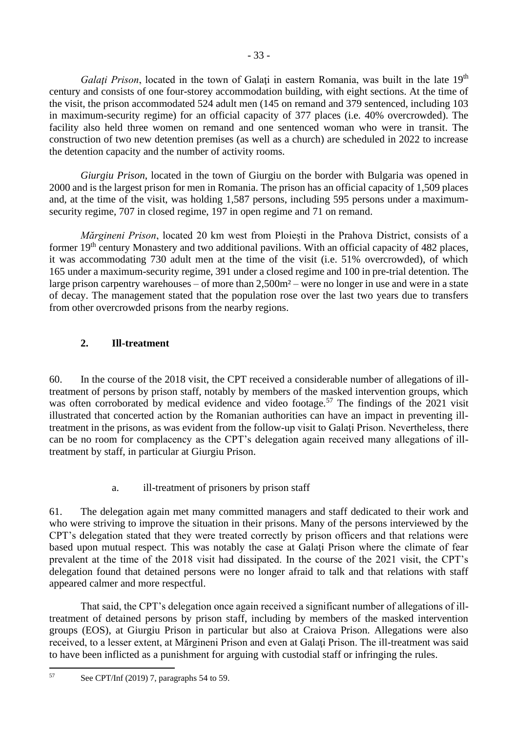*Galati Prison*, located in the town of Galati in eastern Romania, was built in the late 19<sup>th</sup> century and consists of one four-storey accommodation building, with eight sections. At the time of the visit, the prison accommodated 524 adult men (145 on remand and 379 sentenced, including 103 in maximum-security regime) for an official capacity of 377 places (i.e. 40% overcrowded). The facility also held three women on remand and one sentenced woman who were in transit. The construction of two new detention premises (as well as a church) are scheduled in 2022 to increase the detention capacity and the number of activity rooms.

*Giurgiu Prison*, located in the town of Giurgiu on the border with Bulgaria was opened in 2000 and is the largest prison for men in Romania. The prison has an official capacity of 1,509 places and, at the time of the visit, was holding 1,587 persons, including 595 persons under a maximumsecurity regime, 707 in closed regime, 197 in open regime and 71 on remand.

*Mărgineni Prison*, located 20 km west from Ploiești in the Prahova District, consists of a former 19<sup>th</sup> century Monastery and two additional pavilions. With an official capacity of 482 places, it was accommodating 730 adult men at the time of the visit (i.e. 51% overcrowded), of which 165 under a maximum-security regime, 391 under a closed regime and 100 in pre-trial detention. The large prison carpentry warehouses – of more than 2,500m² – were no longer in use and were in a state of decay. The management stated that the population rose over the last two years due to transfers from other overcrowded prisons from the nearby regions.

## <span id="page-32-0"></span>**2. Ill-treatment**

60. In the course of the 2018 visit, the CPT received a considerable number of allegations of illtreatment of persons by prison staff, notably by members of the masked intervention groups, which was often corroborated by medical evidence and video footage.<sup>57</sup> The findings of the 2021 visit illustrated that concerted action by the Romanian authorities can have an impact in preventing illtreatment in the prisons, as was evident from the follow-up visit to Galaţi Prison. Nevertheless, there can be no room for complacency as the CPT's delegation again received many allegations of illtreatment by staff, in particular at Giurgiu Prison.

## a. ill-treatment of prisoners by prison staff

<span id="page-32-1"></span>61. The delegation again met many committed managers and staff dedicated to their work and who were striving to improve the situation in their prisons. Many of the persons interviewed by the CPT's delegation stated that they were treated correctly by prison officers and that relations were based upon mutual respect. This was notably the case at Galati Prison where the climate of fear prevalent at the time of the 2018 visit had dissipated. In the course of the 2021 visit, the CPT's delegation found that detained persons were no longer afraid to talk and that relations with staff appeared calmer and more respectful.

That said, the CPT's delegation once again received a significant number of allegations of illtreatment of detained persons by prison staff, including by members of the masked intervention groups (EOS), at Giurgiu Prison in particular but also at Craiova Prison. Allegations were also received, to a lesser extent, at Mărgineni Prison and even at Galati Prison. The ill-treatment was said to have been inflicted as a punishment for arguing with custodial staff or infringing the rules.

<sup>57</sup> See CPT/Inf (2019) 7, paragraphs 54 to 59.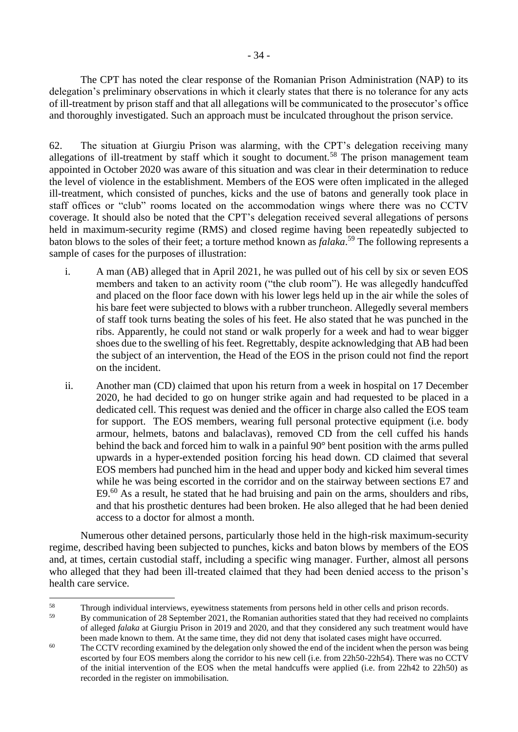The CPT has noted the clear response of the Romanian Prison Administration (NAP) to its delegation's preliminary observations in which it clearly states that there is no tolerance for any acts of ill-treatment by prison staff and that all allegations will be communicated to the prosecutor's office and thoroughly investigated. Such an approach must be inculcated throughout the prison service.

62. The situation at Giurgiu Prison was alarming, with the CPT's delegation receiving many allegations of ill-treatment by staff which it sought to document.<sup>58</sup> The prison management team appointed in October 2020 was aware of this situation and was clear in their determination to reduce the level of violence in the establishment. Members of the EOS were often implicated in the alleged ill-treatment, which consisted of punches, kicks and the use of batons and generally took place in staff offices or "club" rooms located on the accommodation wings where there was no CCTV coverage. It should also be noted that the CPT's delegation received several allegations of persons held in maximum-security regime (RMS) and closed regime having been repeatedly subjected to baton blows to the soles of their feet; a torture method known as *falaka*. <sup>59</sup> The following represents a sample of cases for the purposes of illustration:

- i. A man (AB) alleged that in April 2021, he was pulled out of his cell by six or seven EOS members and taken to an activity room ("the club room"). He was allegedly handcuffed and placed on the floor face down with his lower legs held up in the air while the soles of his bare feet were subjected to blows with a rubber truncheon. Allegedly several members of staff took turns beating the soles of his feet. He also stated that he was punched in the ribs. Apparently, he could not stand or walk properly for a week and had to wear bigger shoes due to the swelling of his feet. Regrettably, despite acknowledging that AB had been the subject of an intervention, the Head of the EOS in the prison could not find the report on the incident.
- ii. Another man (CD) claimed that upon his return from a week in hospital on 17 December 2020, he had decided to go on hunger strike again and had requested to be placed in a dedicated cell. This request was denied and the officer in charge also called the EOS team for support. The EOS members, wearing full personal protective equipment (i.e. body armour, helmets, batons and balaclavas), removed CD from the cell cuffed his hands behind the back and forced him to walk in a painful 90° bent position with the arms pulled upwards in a hyper-extended position forcing his head down. CD claimed that several EOS members had punched him in the head and upper body and kicked him several times while he was being escorted in the corridor and on the stairway between sections E7 and E9.<sup>60</sup> As a result, he stated that he had bruising and pain on the arms, shoulders and ribs, and that his prosthetic dentures had been broken. He also alleged that he had been denied access to a doctor for almost a month.

Numerous other detained persons, particularly those held in the high-risk maximum-security regime, described having been subjected to punches, kicks and baton blows by members of the EOS and, at times, certain custodial staff, including a specific wing manager. Further, almost all persons who alleged that they had been ill-treated claimed that they had been denied access to the prison's health care service.

<sup>&</sup>lt;sup>58</sup><br>Through individual interviews, eyewitness statements from persons held in other cells and prison records.<br>The aggregation of 29 Santagher 2021, the Personian surfacilities stated that they hel personal as equal

<sup>59</sup> By communication of 28 September 2021, the Romanian authorities stated that they had received no complaints of alleged *falaka* at Giurgiu Prison in 2019 and 2020, and that they considered any such treatment would have been made known to them. At the same time, they did not deny that isolated cases might have occurred.

<sup>&</sup>lt;sup>60</sup> The CCTV recording examined by the delegation only showed the end of the incident when the person was being escorted by four EOS members along the corridor to his new cell (i.e. from 22h50-22h54). There was no CCTV of the initial intervention of the EOS when the metal handcuffs were applied (i.e. from 22h42 to 22h50) as recorded in the register on immobilisation.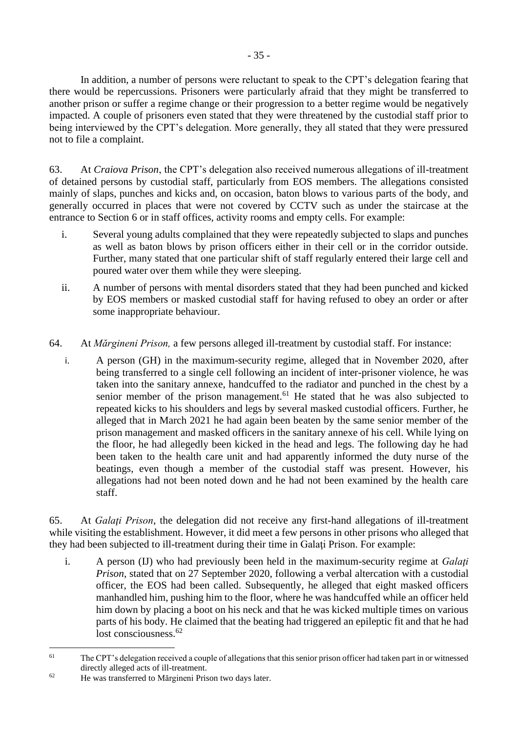In addition, a number of persons were reluctant to speak to the CPT's delegation fearing that there would be repercussions. Prisoners were particularly afraid that they might be transferred to another prison or suffer a regime change or their progression to a better regime would be negatively impacted. A couple of prisoners even stated that they were threatened by the custodial staff prior to being interviewed by the CPT's delegation. More generally, they all stated that they were pressured not to file a complaint.

63. At *Craiova Prison*, the CPT's delegation also received numerous allegations of ill-treatment of detained persons by custodial staff, particularly from EOS members. The allegations consisted mainly of slaps, punches and kicks and, on occasion, baton blows to various parts of the body, and generally occurred in places that were not covered by CCTV such as under the staircase at the entrance to Section 6 or in staff offices, activity rooms and empty cells. For example:

- i. Several young adults complained that they were repeatedly subjected to slaps and punches as well as baton blows by prison officers either in their cell or in the corridor outside. Further, many stated that one particular shift of staff regularly entered their large cell and poured water over them while they were sleeping.
- ii. A number of persons with mental disorders stated that they had been punched and kicked by EOS members or masked custodial staff for having refused to obey an order or after some inappropriate behaviour.
- 64. At *Mărgineni Prison,* a few persons alleged ill-treatment by custodial staff. For instance:
	- i. A person (GH) in the maximum-security regime, alleged that in November 2020, after being transferred to a single cell following an incident of inter-prisoner violence, he was taken into the sanitary annexe, handcuffed to the radiator and punched in the chest by a senior member of the prison management.<sup>61</sup> He stated that he was also subjected to repeated kicks to his shoulders and legs by several masked custodial officers. Further, he alleged that in March 2021 he had again been beaten by the same senior member of the prison management and masked officers in the sanitary annexe of his cell. While lying on the floor, he had allegedly been kicked in the head and legs. The following day he had been taken to the health care unit and had apparently informed the duty nurse of the beatings, even though a member of the custodial staff was present. However, his allegations had not been noted down and he had not been examined by the health care staff.

65. At *Galaţi Prison*, the delegation did not receive any first-hand allegations of ill-treatment while visiting the establishment. However, it did meet a few persons in other prisons who alleged that they had been subjected to ill-treatment during their time in Galaţi Prison. For example:

i. A person (IJ) who had previously been held in the maximum-security regime at *Galaţi Prison,* stated that on 27 September 2020, following a verbal altercation with a custodial officer, the EOS had been called. Subsequently, he alleged that eight masked officers manhandled him, pushing him to the floor, where he was handcuffed while an officer held him down by placing a boot on his neck and that he was kicked multiple times on various parts of his body. He claimed that the beating had triggered an epileptic fit and that he had lost consciousness.<sup>62</sup>

<sup>&</sup>lt;sup>61</sup> The CPT's delegation received a couple of allegations that this senior prison officer had taken part in or witnessed directly alleged acts of ill-treatment.

<sup>62</sup> He was transferred to Mărgineni Prison two days later.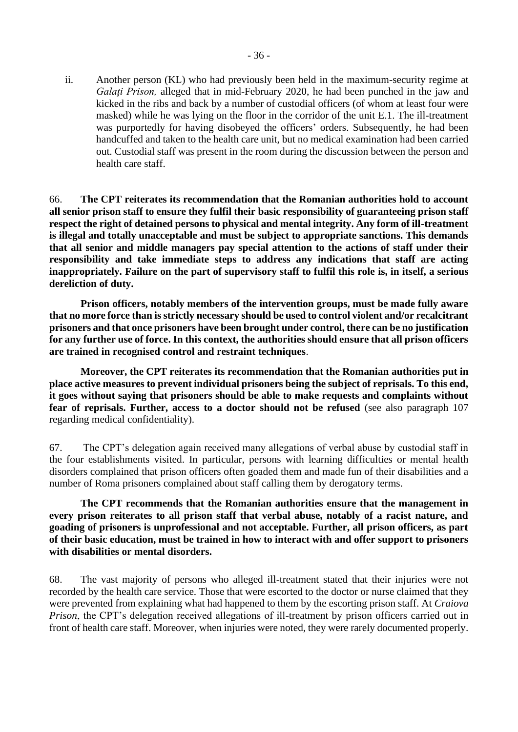ii. Another person (KL) who had previously been held in the maximum-security regime at *Galaţi Prison,* alleged that in mid-February 2020, he had been punched in the jaw and kicked in the ribs and back by a number of custodial officers (of whom at least four were masked) while he was lying on the floor in the corridor of the unit E.1. The ill-treatment was purportedly for having disobeyed the officers' orders. Subsequently, he had been handcuffed and taken to the health care unit, but no medical examination had been carried out. Custodial staff was present in the room during the discussion between the person and health care staff.

66. **The CPT reiterates its recommendation that the Romanian authorities hold to account all senior prison staff to ensure they fulfil their basic responsibility of guaranteeing prison staff respect the right of detained persons to physical and mental integrity. Any form of ill-treatment is illegal and totally unacceptable and must be subject to appropriate sanctions. This demands that all senior and middle managers pay special attention to the actions of staff under their responsibility and take immediate steps to address any indications that staff are acting inappropriately. Failure on the part of supervisory staff to fulfil this role is, in itself, a serious dereliction of duty.**

**Prison officers, notably members of the intervention groups, must be made fully aware that no more force than is strictly necessary should be used to control violent and/or recalcitrant prisoners and that once prisoners have been brought under control, there can be no justification for any further use of force. In this context, the authorities should ensure that all prison officers are trained in recognised control and restraint techniques**.

**Moreover, the CPT reiterates its recommendation that the Romanian authorities put in place active measures to prevent individual prisoners being the subject of reprisals. To this end, it goes without saying that prisoners should be able to make requests and complaints without fear of reprisals. Further, access to a doctor should not be refused** (see also paragraph 107 regarding medical confidentiality).

67. The CPT's delegation again received many allegations of verbal abuse by custodial staff in the four establishments visited. In particular, persons with learning difficulties or mental health disorders complained that prison officers often goaded them and made fun of their disabilities and a number of Roma prisoners complained about staff calling them by derogatory terms.

**The CPT recommends that the Romanian authorities ensure that the management in every prison reiterates to all prison staff that verbal abuse, notably of a racist nature, and goading of prisoners is unprofessional and not acceptable. Further, all prison officers, as part of their basic education, must be trained in how to interact with and offer support to prisoners with disabilities or mental disorders.**

68. The vast majority of persons who alleged ill-treatment stated that their injuries were not recorded by the health care service. Those that were escorted to the doctor or nurse claimed that they were prevented from explaining what had happened to them by the escorting prison staff. At *Craiova Prison*, the CPT's delegation received allegations of ill-treatment by prison officers carried out in front of health care staff. Moreover, when injuries were noted, they were rarely documented properly.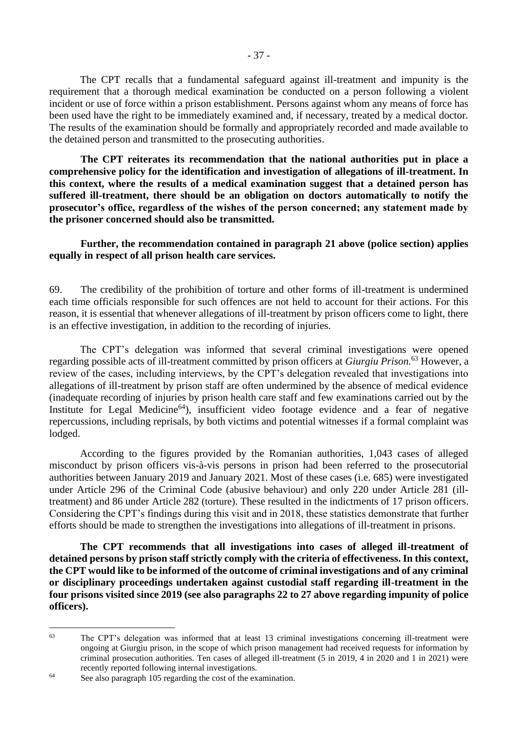The CPT recalls that a fundamental safeguard against ill-treatment and impunity is the requirement that a thorough medical examination be conducted on a person following a violent incident or use of force within a prison establishment. Persons against whom any means of force has been used have the right to be immediately examined and, if necessary, treated by a medical doctor. The results of the examination should be formally and appropriately recorded and made available to the detained person and transmitted to the prosecuting authorities.

**The CPT reiterates its recommendation that the national authorities put in place a comprehensive policy for the identification and investigation of allegations of ill-treatment. In this context, where the results of a medical examination suggest that a detained person has suffered ill-treatment, there should be an obligation on doctors automatically to notify the prosecutor's office, regardless of the wishes of the person concerned; any statement made by the prisoner concerned should also be transmitted.**

#### **Further, the recommendation contained in paragraph 21 above (police section) applies equally in respect of all prison health care services.**

69. The credibility of the prohibition of torture and other forms of ill-treatment is undermined each time officials responsible for such offences are not held to account for their actions. For this reason, it is essential that whenever allegations of ill-treatment by prison officers come to light, there is an effective investigation, in addition to the recording of injuries.

The CPT's delegation was informed that several criminal investigations were opened regarding possible acts of ill-treatment committed by prison officers at *Giurgiu Prison.*<sup>63</sup> However, a review of the cases, including interviews, by the CPT's delegation revealed that investigations into allegations of ill-treatment by prison staff are often undermined by the absence of medical evidence (inadequate recording of injuries by prison health care staff and few examinations carried out by the Institute for Legal Medicine<sup>64</sup>), insufficient video footage evidence and a fear of negative repercussions, including reprisals, by both victims and potential witnesses if a formal complaint was lodged.

According to the figures provided by the Romanian authorities, 1,043 cases of alleged misconduct by prison officers vis-à-vis persons in prison had been referred to the prosecutorial authorities between January 2019 and January 2021. Most of these cases (i.e. 685) were investigated under Article 296 of the Criminal Code (abusive behaviour) and only 220 under Article 281 (illtreatment) and 86 under Article 282 (torture). These resulted in the indictments of 17 prison officers. Considering the CPT's findings during this visit and in 2018, these statistics demonstrate that further efforts should be made to strengthen the investigations into allegations of ill-treatment in prisons.

**The CPT recommends that all investigations into cases of alleged ill-treatment of detained persons by prison staff strictly comply with the criteria of effectiveness. In this context, the CPT would like to be informed of the outcome of criminal investigations and of any criminal or disciplinary proceedings undertaken against custodial staff regarding ill-treatment in the four prisons visited since 2019 (see also paragraphs 22 to 27 above regarding impunity of police officers).** 

<sup>63</sup> The CPT's delegation was informed that at least 13 criminal investigations concerning ill-treatment were ongoing at Giurgiu prison, in the scope of which prison management had received requests for information by criminal prosecution authorities. Ten cases of alleged ill-treatment (5 in 2019, 4 in 2020 and 1 in 2021) were recently reported following internal investigations.

<sup>&</sup>lt;sup>64</sup> See also paragraph 105 regarding the cost of the examination.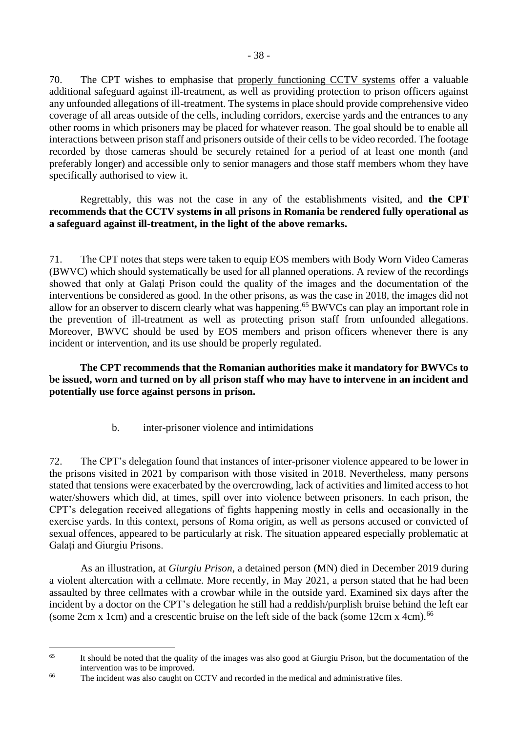70. The CPT wishes to emphasise that properly functioning CCTV systems offer a valuable additional safeguard against ill-treatment, as well as providing protection to prison officers against any unfounded allegations of ill-treatment. The systems in place should provide comprehensive video coverage of all areas outside of the cells, including corridors, exercise yards and the entrances to any other rooms in which prisoners may be placed for whatever reason. The goal should be to enable all interactions between prison staff and prisoners outside of their cells to be video recorded. The footage recorded by those cameras should be securely retained for a period of at least one month (and preferably longer) and accessible only to senior managers and those staff members whom they have specifically authorised to view it.

Regrettably, this was not the case in any of the establishments visited, and **the CPT recommends that the CCTV systems in all prisons in Romania be rendered fully operational as a safeguard against ill-treatment, in the light of the above remarks.**

71. The CPT notes that steps were taken to equip EOS members with Body Worn Video Cameras (BWVC) which should systematically be used for all planned operations. A review of the recordings showed that only at Galaţi Prison could the quality of the images and the documentation of the interventions be considered as good. In the other prisons, as was the case in 2018, the images did not allow for an observer to discern clearly what was happening.<sup>65</sup> BWVCs can play an important role in the prevention of ill-treatment as well as protecting prison staff from unfounded allegations. Moreover, BWVC should be used by EOS members and prison officers whenever there is any incident or intervention, and its use should be properly regulated.

**The CPT recommends that the Romanian authorities make it mandatory for BWVCs to be issued, worn and turned on by all prison staff who may have to intervene in an incident and potentially use force against persons in prison.**

b. inter-prisoner violence and intimidations

<span id="page-37-0"></span>72. The CPT's delegation found that instances of inter-prisoner violence appeared to be lower in the prisons visited in 2021 by comparison with those visited in 2018. Nevertheless, many persons stated that tensions were exacerbated by the overcrowding, lack of activities and limited access to hot water/showers which did, at times, spill over into violence between prisoners. In each prison, the CPT's delegation received allegations of fights happening mostly in cells and occasionally in the exercise yards. In this context, persons of Roma origin, as well as persons accused or convicted of sexual offences, appeared to be particularly at risk. The situation appeared especially problematic at Galați and Giurgiu Prisons.

As an illustration, at *Giurgiu Prison*, a detained person (MN) died in December 2019 during a violent altercation with a cellmate. More recently, in May 2021, a person stated that he had been assaulted by three cellmates with a crowbar while in the outside yard. Examined six days after the incident by a doctor on the CPT's delegation he still had a reddish/purplish bruise behind the left ear (some 2cm x 1cm) and a crescentic bruise on the left side of the back (some 12cm x 4cm).<sup>66</sup>

<sup>&</sup>lt;sup>65</sup> It should be noted that the quality of the images was also good at Giurgiu Prison, but the documentation of the intervention was to be improved.

<sup>&</sup>lt;sup>66</sup> The incident was also caught on CCTV and recorded in the medical and administrative files.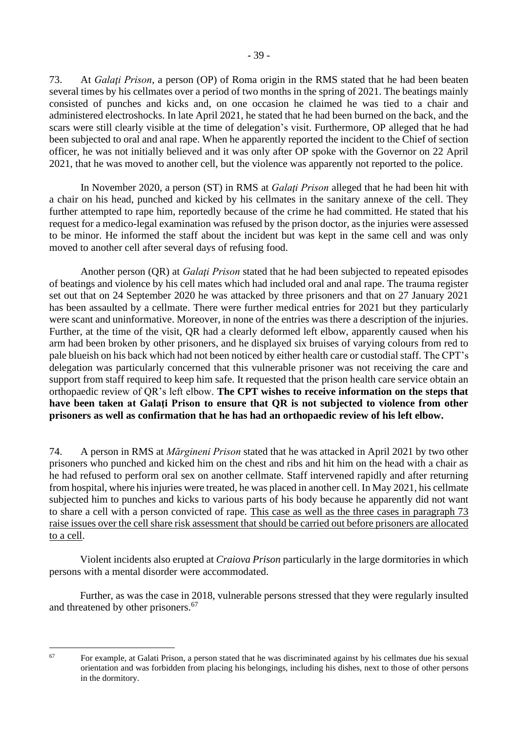73. At *Galaţi Prison*, a person (OP) of Roma origin in the RMS stated that he had been beaten several times by his cellmates over a period of two months in the spring of 2021. The beatings mainly consisted of punches and kicks and, on one occasion he claimed he was tied to a chair and administered electroshocks. In late April 2021, he stated that he had been burned on the back, and the scars were still clearly visible at the time of delegation's visit. Furthermore, OP alleged that he had been subjected to oral and anal rape. When he apparently reported the incident to the Chief of section officer, he was not initially believed and it was only after OP spoke with the Governor on 22 April 2021, that he was moved to another cell, but the violence was apparently not reported to the police.

In November 2020, a person (ST) in RMS at *Galaţi Prison* alleged that he had been hit with a chair on his head, punched and kicked by his cellmates in the sanitary annexe of the cell. They further attempted to rape him, reportedly because of the crime he had committed. He stated that his request for a medico-legal examination was refused by the prison doctor, as the injuries were assessed to be minor. He informed the staff about the incident but was kept in the same cell and was only moved to another cell after several days of refusing food.

Another person (QR) at *Galati Prison* stated that he had been subjected to repeated episodes of beatings and violence by his cell mates which had included oral and anal rape. The trauma register set out that on 24 September 2020 he was attacked by three prisoners and that on 27 January 2021 has been assaulted by a cellmate. There were further medical entries for 2021 but they particularly were scant and uninformative. Moreover, in none of the entries was there a description of the injuries. Further, at the time of the visit, QR had a clearly deformed left elbow, apparently caused when his arm had been broken by other prisoners, and he displayed six bruises of varying colours from red to pale blueish on his back which had not been noticed by either health care or custodial staff. The CPT's delegation was particularly concerned that this vulnerable prisoner was not receiving the care and support from staff required to keep him safe. It requested that the prison health care service obtain an orthopaedic review of QR's left elbow. **The CPT wishes to receive information on the steps that have been taken at Galaţi Prison to ensure that QR is not subjected to violence from other prisoners as well as confirmation that he has had an orthopaedic review of his left elbow.**

74. A person in RMS at *Mărgineni Prison* stated that he was attacked in April 2021 by two other prisoners who punched and kicked him on the chest and ribs and hit him on the head with a chair as he had refused to perform oral sex on another cellmate. Staff intervened rapidly and after returning from hospital, where his injuries were treated, he was placed in another cell. In May 2021, his cellmate subjected him to punches and kicks to various parts of his body because he apparently did not want to share a cell with a person convicted of rape. This case as well as the three cases in paragraph 73 raise issues over the cell share risk assessment that should be carried out before prisoners are allocated to a cell.

Violent incidents also erupted at *Craiova Prison* particularly in the large dormitories in which persons with a mental disorder were accommodated.

Further, as was the case in 2018, vulnerable persons stressed that they were regularly insulted and threatened by other prisoners.<sup>67</sup>

<sup>67</sup> For example, at Galati Prison, a person stated that he was discriminated against by his cellmates due his sexual orientation and was forbidden from placing his belongings, including his dishes, next to those of other persons in the dormitory.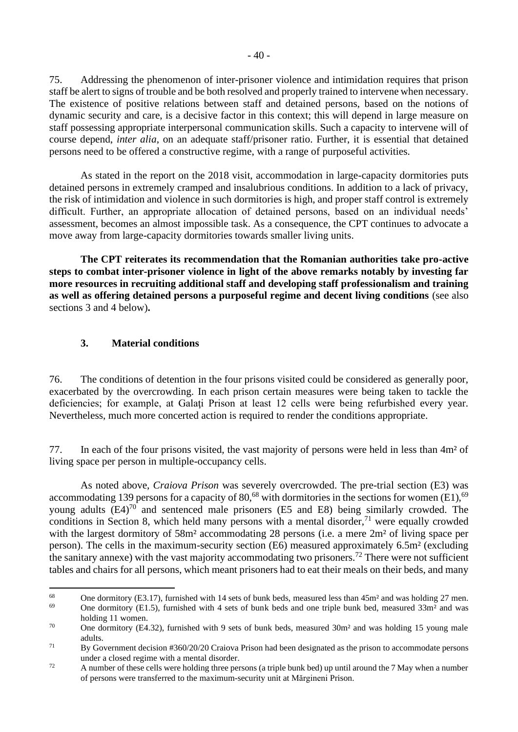75. Addressing the phenomenon of inter-prisoner violence and intimidation requires that prison staff be alert to signs of trouble and be both resolved and properly trained to intervene when necessary. The existence of positive relations between staff and detained persons, based on the notions of dynamic security and care, is a decisive factor in this context; this will depend in large measure on staff possessing appropriate interpersonal communication skills. Such a capacity to intervene will of course depend, *inter alia*, on an adequate staff/prisoner ratio. Further, it is essential that detained persons need to be offered a constructive regime, with a range of purposeful activities.

As stated in the report on the 2018 visit, accommodation in large-capacity dormitories puts detained persons in extremely cramped and insalubrious conditions. In addition to a lack of privacy, the risk of intimidation and violence in such dormitories is high, and proper staff control is extremely difficult. Further, an appropriate allocation of detained persons, based on an individual needs' assessment, becomes an almost impossible task. As a consequence, the CPT continues to advocate a move away from large-capacity dormitories towards smaller living units.

**The CPT reiterates its recommendation that the Romanian authorities take pro-active steps to combat inter-prisoner violence in light of the above remarks notably by investing far more resources in recruiting additional staff and developing staff professionalism and training as well as offering detained persons a purposeful regime and decent living conditions** (see also sections 3 and 4 below)**.**

### <span id="page-39-0"></span>**3. Material conditions**

76. The conditions of detention in the four prisons visited could be considered as generally poor, exacerbated by the overcrowding. In each prison certain measures were being taken to tackle the deficiencies; for example, at Galaţi Prison at least 12 cells were being refurbished every year. Nevertheless, much more concerted action is required to render the conditions appropriate.

77. In each of the four prisons visited, the vast majority of persons were held in less than 4m² of living space per person in multiple-occupancy cells.

As noted above, *Craiova Prison* was severely overcrowded. The pre-trial section (E3) was accommodating 139 persons for a capacity of 80,<sup>68</sup> with dormitories in the sections for women (E1),<sup>69</sup> young adults  $(E4)^{70}$  and sentenced male prisoners (E5 and E8) being similarly crowded. The conditions in Section 8, which held many persons with a mental disorder,  $71$  were equally crowded with the largest dormitory of 58m<sup>2</sup> accommodating 28 persons (i.e. a mere 2m<sup>2</sup> of living space per person). The cells in the maximum-security section (E6) measured approximately 6.5m² (excluding the sanitary annexe) with the vast majority accommodating two prisoners.<sup>72</sup> There were not sufficient tables and chairs for all persons, which meant prisoners had to eat their meals on their beds, and many

<sup>&</sup>lt;sup>68</sup> One dormitory (E3.17), furnished with 14 sets of bunk beds, measured less than  $45m<sup>2</sup>$  and was holding 27 men.<br><sup>69</sup> One domition: (E1.5), furnished with 4 sets of bunk beds and ano triple bunk hed measured 22m<sup>2</sup> One dormitory (E1.5), furnished with 4 sets of bunk beds and one triple bunk bed, measured  $33m^2$  and was

holding 11 women. <sup>70</sup> One dormitory (E4.32), furnished with 9 sets of bunk beds, measured 30m<sup>2</sup> and was holding 15 young male adults.

<sup>&</sup>lt;sup>71</sup> By Government decision #360/20/20 Craiova Prison had been designated as the prison to accommodate persons under a closed regime with a mental disorder.

<sup>&</sup>lt;sup>72</sup> A number of these cells were holding three persons (a triple bunk bed) up until around the 7 May when a number of persons were transferred to the maximum-security unit at Mărgineni Prison.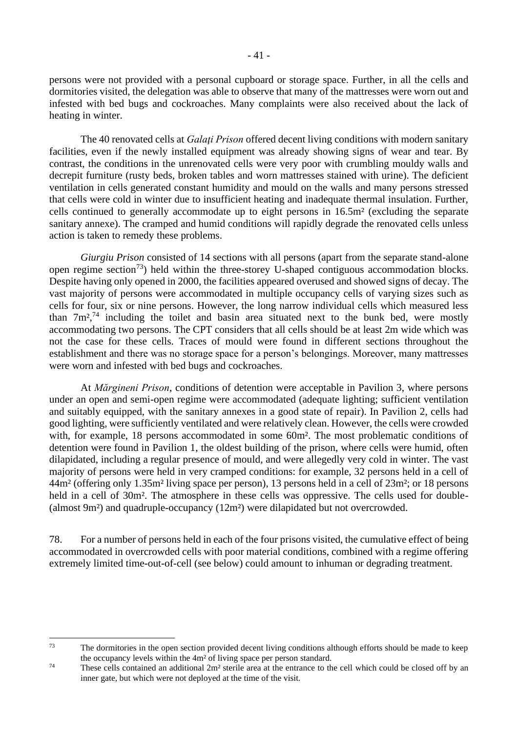persons were not provided with a personal cupboard or storage space. Further, in all the cells and dormitories visited, the delegation was able to observe that many of the mattresses were worn out and infested with bed bugs and cockroaches. Many complaints were also received about the lack of heating in winter.

The 40 renovated cells at *Galati Prison* offered decent living conditions with modern sanitary facilities, even if the newly installed equipment was already showing signs of wear and tear. By contrast, the conditions in the unrenovated cells were very poor with crumbling mouldy walls and decrepit furniture (rusty beds, broken tables and worn mattresses stained with urine). The deficient ventilation in cells generated constant humidity and mould on the walls and many persons stressed that cells were cold in winter due to insufficient heating and inadequate thermal insulation. Further, cells continued to generally accommodate up to eight persons in 16.5m² (excluding the separate sanitary annexe). The cramped and humid conditions will rapidly degrade the renovated cells unless action is taken to remedy these problems.

*Giurgiu Prison* consisted of 14 sections with all persons (apart from the separate stand-alone open regime section<sup>73</sup>) held within the three-storey U-shaped contiguous accommodation blocks. Despite having only opened in 2000, the facilities appeared overused and showed signs of decay. The vast majority of persons were accommodated in multiple occupancy cells of varying sizes such as cells for four, six or nine persons. However, the long narrow individual cells which measured less than  $7m^2$ ,<sup>74</sup> including the toilet and basin area situated next to the bunk bed, were mostly accommodating two persons. The CPT considers that all cells should be at least 2m wide which was not the case for these cells. Traces of mould were found in different sections throughout the establishment and there was no storage space for a person's belongings. Moreover, many mattresses were worn and infested with bed bugs and cockroaches.

At *Mărgineni Prison*, conditions of detention were acceptable in Pavilion 3, where persons under an open and semi-open regime were accommodated (adequate lighting; sufficient ventilation and suitably equipped, with the sanitary annexes in a good state of repair). In Pavilion 2, cells had good lighting, were sufficiently ventilated and were relatively clean. However, the cells were crowded with, for example, 18 persons accommodated in some 60m<sup>2</sup>. The most problematic conditions of detention were found in Pavilion 1, the oldest building of the prison, where cells were humid, often dilapidated, including a regular presence of mould, and were allegedly very cold in winter. The vast majority of persons were held in very cramped conditions: for example, 32 persons held in a cell of 44m² (offering only 1.35m² living space per person), 13 persons held in a cell of 23m²; or 18 persons held in a cell of 30m<sup>2</sup>. The atmosphere in these cells was oppressive. The cells used for double-(almost 9m²) and quadruple-occupancy (12m²) were dilapidated but not overcrowded.

78. For a number of persons held in each of the four prisons visited, the cumulative effect of being accommodated in overcrowded cells with poor material conditions, combined with a regime offering extremely limited time-out-of-cell (see below) could amount to inhuman or degrading treatment.

<sup>&</sup>lt;sup>73</sup> The dormitories in the open section provided decent living conditions although efforts should be made to keep the occupancy levels within the 4m² of living space per person standard.

<sup>74</sup> These cells contained an additional 2m² sterile area at the entrance to the cell which could be closed off by an inner gate, but which were not deployed at the time of the visit.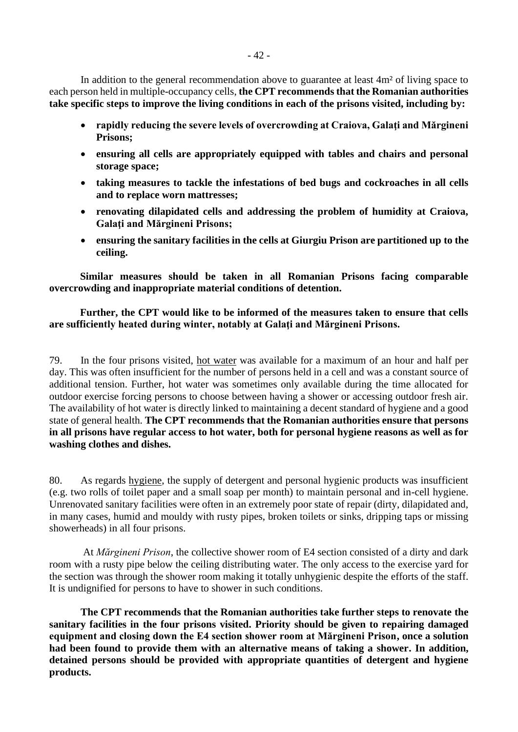In addition to the general recommendation above to guarantee at least 4m<sup>2</sup> of living space to each person held in multiple-occupancy cells, **the CPT recommends that the Romanian authorities take specific steps to improve the living conditions in each of the prisons visited, including by:**

- **rapidly reducing the severe levels of overcrowding at Craiova, Galaţi and Mărgineni Prisons;**
- **ensuring all cells are appropriately equipped with tables and chairs and personal storage space;**
- **taking measures to tackle the infestations of bed bugs and cockroaches in all cells and to replace worn mattresses;**
- **renovating dilapidated cells and addressing the problem of humidity at Craiova, Galaţi and Mărgineni Prisons;**
- **ensuring the sanitary facilities in the cells at Giurgiu Prison are partitioned up to the ceiling.**

**Similar measures should be taken in all Romanian Prisons facing comparable overcrowding and inappropriate material conditions of detention.**

### **Further, the CPT would like to be informed of the measures taken to ensure that cells are sufficiently heated during winter, notably at Galaţi and Mărgineni Prisons.**

79. In the four prisons visited, hot water was available for a maximum of an hour and half per day. This was often insufficient for the number of persons held in a cell and was a constant source of additional tension. Further, hot water was sometimes only available during the time allocated for outdoor exercise forcing persons to choose between having a shower or accessing outdoor fresh air. The availability of hot water is directly linked to maintaining a decent standard of hygiene and a good state of general health. **The CPT recommends that the Romanian authorities ensure that persons in all prisons have regular access to hot water, both for personal hygiene reasons as well as for washing clothes and dishes.** 

80. As regards hygiene, the supply of detergent and personal hygienic products was insufficient (e.g. two rolls of toilet paper and a small soap per month) to maintain personal and in-cell hygiene. Unrenovated sanitary facilities were often in an extremely poor state of repair (dirty, dilapidated and, in many cases, humid and mouldy with rusty pipes, broken toilets or sinks, dripping taps or missing showerheads) in all four prisons.

At *Mărgineni Prison*, the collective shower room of E4 section consisted of a dirty and dark room with a rusty pipe below the ceiling distributing water. The only access to the exercise yard for the section was through the shower room making it totally unhygienic despite the efforts of the staff. It is undignified for persons to have to shower in such conditions.

**The CPT recommends that the Romanian authorities take further steps to renovate the sanitary facilities in the four prisons visited. Priority should be given to repairing damaged equipment and closing down the E4 section shower room at Mărgineni Prison, once a solution had been found to provide them with an alternative means of taking a shower. In addition, detained persons should be provided with appropriate quantities of detergent and hygiene products.**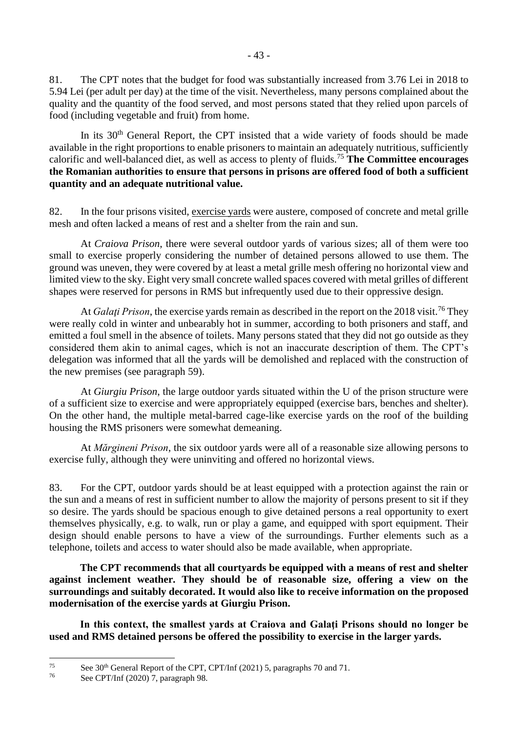81. The CPT notes that the budget for food was substantially increased from 3.76 Lei in 2018 to 5.94 Lei (per adult per day) at the time of the visit. Nevertheless, many persons complained about the quality and the quantity of the food served, and most persons stated that they relied upon parcels of food (including vegetable and fruit) from home.

In its  $30<sup>th</sup>$  General Report, the CPT insisted that a wide variety of foods should be made available in the right proportions to enable prisoners to maintain an adequately nutritious, sufficiently calorific and well-balanced diet, as well as access to plenty of fluids.<sup>75</sup> **The Committee encourages the Romanian authorities to ensure that persons in prisons are offered food of both a sufficient quantity and an adequate nutritional value.**

82. In the four prisons visited, exercise yards were austere, composed of concrete and metal grille mesh and often lacked a means of rest and a shelter from the rain and sun.

At *Craiova Prison*, there were several outdoor yards of various sizes; all of them were too small to exercise properly considering the number of detained persons allowed to use them. The ground was uneven, they were covered by at least a metal grille mesh offering no horizontal view and limited view to the sky. Eight very small concrete walled spaces covered with metal grilles of different shapes were reserved for persons in RMS but infrequently used due to their oppressive design.

At *Galati Prison*, the exercise vards remain as described in the report on the 2018 visit.<sup>76</sup> They were really cold in winter and unbearably hot in summer, according to both prisoners and staff, and emitted a foul smell in the absence of toilets. Many persons stated that they did not go outside as they considered them akin to animal cages, which is not an inaccurate description of them. The CPT's delegation was informed that all the yards will be demolished and replaced with the construction of the new premises (see paragraph 59).

At *Giurgiu Prison*, the large outdoor yards situated within the U of the prison structure were of a sufficient size to exercise and were appropriately equipped (exercise bars, benches and shelter). On the other hand, the multiple metal-barred cage-like exercise yards on the roof of the building housing the RMS prisoners were somewhat demeaning.

At *Mărgineni Prison*, the six outdoor yards were all of a reasonable size allowing persons to exercise fully, although they were uninviting and offered no horizontal views.

83. For the CPT, outdoor yards should be at least equipped with a protection against the rain or the sun and a means of rest in sufficient number to allow the majority of persons present to sit if they so desire. The yards should be spacious enough to give detained persons a real opportunity to exert themselves physically, e.g. to walk, run or play a game, and equipped with sport equipment. Their design should enable persons to have a view of the surroundings. Further elements such as a telephone, toilets and access to water should also be made available, when appropriate.

**The CPT recommends that all courtyards be equipped with a means of rest and shelter against inclement weather. They should be of reasonable size, offering a view on the surroundings and suitably decorated. It would also like to receive information on the proposed modernisation of the exercise yards at Giurgiu Prison.**

In this context, the smallest vards at Craiova and Galati Prisons should no longer be **used and RMS detained persons be offered the possibility to exercise in the larger yards.**

<sup>&</sup>lt;sup>75</sup> See 30<sup>th</sup> General Report of the CPT, CPT/Inf (2021) 5, paragraphs 70 and 71.

See CPT/Inf (2020) 7, paragraph 98.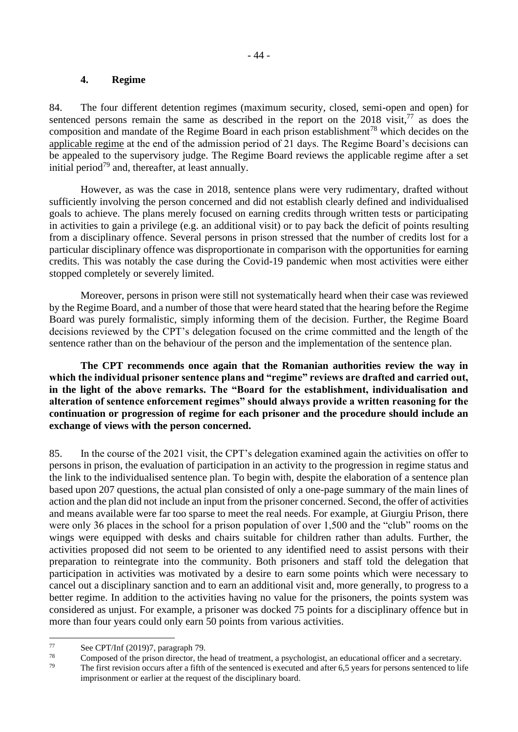#### **4. Regime**

<span id="page-43-0"></span>84. The four different detention regimes (maximum security, closed, semi-open and open) for sentenced persons remain the same as described in the report on the  $2018$  visit,<sup>77</sup> as does the composition and mandate of the Regime Board in each prison establishment<sup>78</sup> which decides on the applicable regime at the end of the admission period of 21 days. The Regime Board's decisions can be appealed to the supervisory judge. The Regime Board reviews the applicable regime after a set initial period<sup>79</sup> and, thereafter, at least annually.

However, as was the case in 2018, sentence plans were very rudimentary, drafted without sufficiently involving the person concerned and did not establish clearly defined and individualised goals to achieve. The plans merely focused on earning credits through written tests or participating in activities to gain a privilege (e.g. an additional visit) or to pay back the deficit of points resulting from a disciplinary offence. Several persons in prison stressed that the number of credits lost for a particular disciplinary offence was disproportionate in comparison with the opportunities for earning credits. This was notably the case during the Covid-19 pandemic when most activities were either stopped completely or severely limited.

Moreover, persons in prison were still not systematically heard when their case was reviewed by the Regime Board, and a number of those that were heard stated that the hearing before the Regime Board was purely formalistic, simply informing them of the decision. Further, the Regime Board decisions reviewed by the CPT's delegation focused on the crime committed and the length of the sentence rather than on the behaviour of the person and the implementation of the sentence plan.

**The CPT recommends once again that the Romanian authorities review the way in which the individual prisoner sentence plans and "regime" reviews are drafted and carried out, in the light of the above remarks. The "Board for the establishment, individualisation and alteration of sentence enforcement regimes" should always provide a written reasoning for the continuation or progression of regime for each prisoner and the procedure should include an exchange of views with the person concerned.**

85. In the course of the 2021 visit, the CPT's delegation examined again the activities on offer to persons in prison, the evaluation of participation in an activity to the progression in regime status and the link to the individualised sentence plan. To begin with, despite the elaboration of a sentence plan based upon 207 questions, the actual plan consisted of only a one-page summary of the main lines of action and the plan did not include an input from the prisoner concerned. Second, the offer of activities and means available were far too sparse to meet the real needs. For example, at Giurgiu Prison, there were only 36 places in the school for a prison population of over 1,500 and the "club" rooms on the wings were equipped with desks and chairs suitable for children rather than adults. Further, the activities proposed did not seem to be oriented to any identified need to assist persons with their preparation to reintegrate into the community. Both prisoners and staff told the delegation that participation in activities was motivated by a desire to earn some points which were necessary to cancel out a disciplinary sanction and to earn an additional visit and, more generally, to progress to a better regime. In addition to the activities having no value for the prisoners, the points system was considered as unjust. For example, a prisoner was docked 75 points for a disciplinary offence but in more than four years could only earn 50 points from various activities.

<sup>78</sup> Composed of the prison director, the head of treatment, a psychologist, an educational officer and a secretary.<br><sup>79</sup> The first revision agents often a fitth of the septemped is a vesual and often 6.5 years for narrow

The first revision occurs after a fifth of the sentenced is executed and after 6,5 years for persons sentenced to life imprisonment or earlier at the request of the disciplinary board.

 $77$  See CPT/Inf (2019)7, paragraph 79.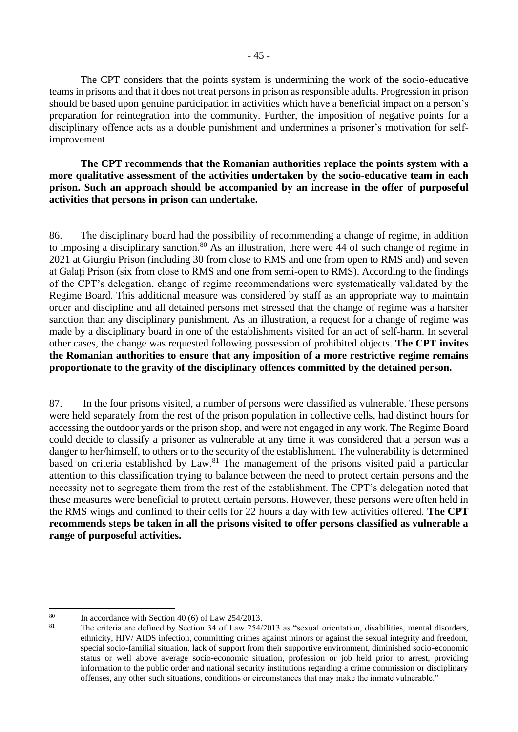The CPT considers that the points system is undermining the work of the socio-educative teams in prisons and that it does not treat persons in prison as responsible adults. Progression in prison should be based upon genuine participation in activities which have a beneficial impact on a person's preparation for reintegration into the community. Further, the imposition of negative points for a disciplinary offence acts as a double punishment and undermines a prisoner's motivation for selfimprovement.

**The CPT recommends that the Romanian authorities replace the points system with a more qualitative assessment of the activities undertaken by the socio-educative team in each prison. Such an approach should be accompanied by an increase in the offer of purposeful activities that persons in prison can undertake.**

86. The disciplinary board had the possibility of recommending a change of regime, in addition to imposing a disciplinary sanction.<sup>80</sup> As an illustration, there were 44 of such change of regime in 2021 at Giurgiu Prison (including 30 from close to RMS and one from open to RMS and) and seven at Galati Prison (six from close to RMS and one from semi-open to RMS). According to the findings of the CPT's delegation, change of regime recommendations were systematically validated by the Regime Board. This additional measure was considered by staff as an appropriate way to maintain order and discipline and all detained persons met stressed that the change of regime was a harsher sanction than any disciplinary punishment. As an illustration, a request for a change of regime was made by a disciplinary board in one of the establishments visited for an act of self-harm. In several other cases, the change was requested following possession of prohibited objects. **The CPT invites the Romanian authorities to ensure that any imposition of a more restrictive regime remains proportionate to the gravity of the disciplinary offences committed by the detained person.** 

87. In the four prisons visited, a number of persons were classified as vulnerable. These persons were held separately from the rest of the prison population in collective cells, had distinct hours for accessing the outdoor yards or the prison shop, and were not engaged in any work. The Regime Board could decide to classify a prisoner as vulnerable at any time it was considered that a person was a danger to her/himself, to others or to the security of the establishment. The vulnerability is determined based on criteria established by Law.<sup>81</sup> The management of the prisons visited paid a particular attention to this classification trying to balance between the need to protect certain persons and the necessity not to segregate them from the rest of the establishment. The CPT's delegation noted that these measures were beneficial to protect certain persons. However, these persons were often held in the RMS wings and confined to their cells for 22 hours a day with few activities offered. **The CPT recommends steps be taken in all the prisons visited to offer persons classified as vulnerable a range of purposeful activities.** 

<sup>&</sup>lt;sup>80</sup> In accordance with Section 40 (6) of Law 254/2013.

<sup>81</sup> The criteria are defined by Section 34 of Law 254/2013 as "sexual orientation, disabilities, mental disorders, ethnicity, HIV/ AIDS infection, committing crimes against minors or against the sexual integrity and freedom, special socio-familial situation, lack of support from their supportive environment, diminished socio-economic status or well above average socio-economic situation, profession or job held prior to arrest, providing information to the public order and national security institutions regarding a crime commission or disciplinary offenses, any other such situations, conditions or circumstances that may make the inmate vulnerable."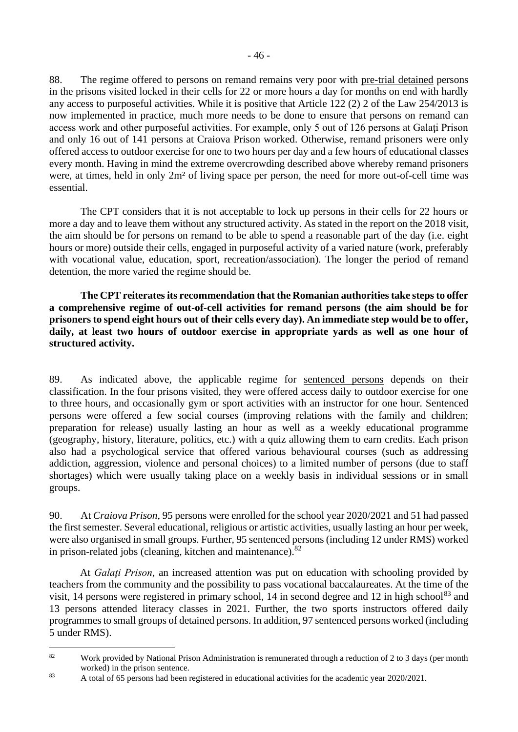88. The regime offered to persons on remand remains very poor with pre-trial detained persons in the prisons visited locked in their cells for 22 or more hours a day for months on end with hardly any access to purposeful activities. While it is positive that Article 122 (2) 2 of the Law 254/2013 is now implemented in practice, much more needs to be done to ensure that persons on remand can access work and other purposeful activities. For example, only 5 out of 126 persons at Galaţi Prison and only 16 out of 141 persons at Craiova Prison worked. Otherwise, remand prisoners were only offered access to outdoor exercise for one to two hours per day and a few hours of educational classes every month. Having in mind the extreme overcrowding described above whereby remand prisoners were, at times, held in only 2m² of living space per person, the need for more out-of-cell time was essential.

The CPT considers that it is not acceptable to lock up persons in their cells for 22 hours or more a day and to leave them without any structured activity. As stated in the report on the 2018 visit, the aim should be for persons on remand to be able to spend a reasonable part of the day (i.e. eight hours or more) outside their cells, engaged in purposeful activity of a varied nature (work, preferably with vocational value, education, sport, recreation/association). The longer the period of remand detention, the more varied the regime should be.

**The CPT reiterates its recommendation that the Romanian authorities take steps to offer a comprehensive regime of out-of-cell activities for remand persons (the aim should be for prisoners to spend eight hours out of their cells every day). An immediate step would be to offer, daily, at least two hours of outdoor exercise in appropriate yards as well as one hour of structured activity.**

89. As indicated above, the applicable regime for sentenced persons depends on their classification. In the four prisons visited, they were offered access daily to outdoor exercise for one to three hours, and occasionally gym or sport activities with an instructor for one hour. Sentenced persons were offered a few social courses (improving relations with the family and children; preparation for release) usually lasting an hour as well as a weekly educational programme (geography, history, literature, politics, etc.) with a quiz allowing them to earn credits. Each prison also had a psychological service that offered various behavioural courses (such as addressing addiction, aggression, violence and personal choices) to a limited number of persons (due to staff shortages) which were usually taking place on a weekly basis in individual sessions or in small groups.

90. At *Craiova Prison*, 95 persons were enrolled for the school year 2020/2021 and 51 had passed the first semester. Several educational, religious or artistic activities, usually lasting an hour per week, were also organised in small groups. Further, 95 sentenced persons (including 12 under RMS) worked in prison-related jobs (cleaning, kitchen and maintenance). $82$ 

At *Galaţi Prison*, an increased attention was put on education with schooling provided by teachers from the community and the possibility to pass vocational baccalaureates. At the time of the visit, 14 persons were registered in primary school, 14 in second degree and 12 in high school<sup>83</sup> and 13 persons attended literacy classes in 2021. Further, the two sports instructors offered daily programmes to small groups of detained persons. In addition, 97 sentenced persons worked (including 5 under RMS).

<sup>&</sup>lt;sup>82</sup> Work provided by National Prison Administration is remunerated through a reduction of 2 to 3 days (per month worked) in the prison sentence.

<sup>83</sup> A total of 65 persons had been registered in educational activities for the academic year 2020/2021.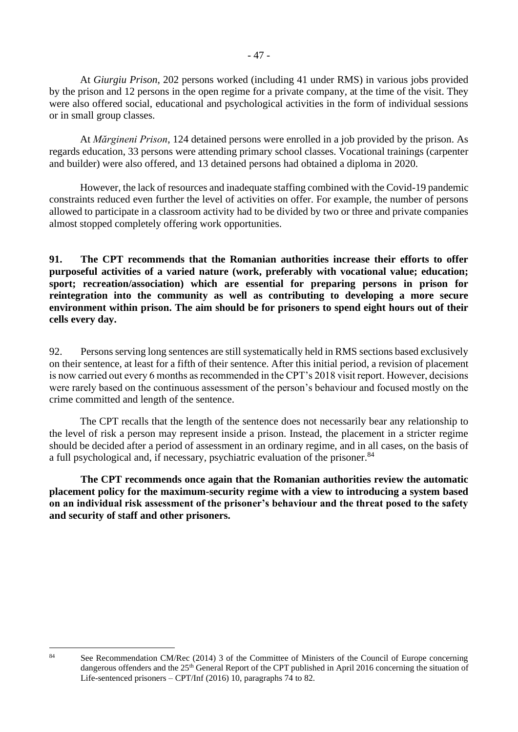At *Giurgiu Prison*, 202 persons worked (including 41 under RMS) in various jobs provided by the prison and 12 persons in the open regime for a private company, at the time of the visit. They were also offered social, educational and psychological activities in the form of individual sessions or in small group classes.

At *Mărgineni Prison*, 124 detained persons were enrolled in a job provided by the prison. As regards education, 33 persons were attending primary school classes. Vocational trainings (carpenter and builder) were also offered, and 13 detained persons had obtained a diploma in 2020.

However, the lack of resources and inadequate staffing combined with the Covid-19 pandemic constraints reduced even further the level of activities on offer. For example, the number of persons allowed to participate in a classroom activity had to be divided by two or three and private companies almost stopped completely offering work opportunities.

**91. The CPT recommends that the Romanian authorities increase their efforts to offer purposeful activities of a varied nature (work, preferably with vocational value; education; sport; recreation/association) which are essential for preparing persons in prison for reintegration into the community as well as contributing to developing a more secure environment within prison. The aim should be for prisoners to spend eight hours out of their cells every day.**

92. Persons serving long sentences are still systematically held in RMS sections based exclusively on their sentence, at least for a fifth of their sentence. After this initial period, a revision of placement is now carried out every 6 months as recommended in the CPT's 2018 visit report. However, decisions were rarely based on the continuous assessment of the person's behaviour and focused mostly on the crime committed and length of the sentence.

The CPT recalls that the length of the sentence does not necessarily bear any relationship to the level of risk a person may represent inside a prison. Instead, the placement in a stricter regime should be decided after a period of assessment in an ordinary regime, and in all cases, on the basis of a full psychological and, if necessary, psychiatric evaluation of the prisoner.<sup>84</sup>

**The CPT recommends once again that the Romanian authorities review the automatic placement policy for the maximum-security regime with a view to introducing a system based on an individual risk assessment of the prisoner's behaviour and the threat posed to the safety and security of staff and other prisoners.**

<sup>84</sup> See Recommendation CM/Rec (2014) 3 of the Committee of Ministers of the Council of Europe concerning dangerous offenders and the 25<sup>th</sup> General Report of the CPT published in April 2016 concerning the situation of Life-sentenced prisoners – CPT/Inf (2016) 10, paragraphs 74 to 82.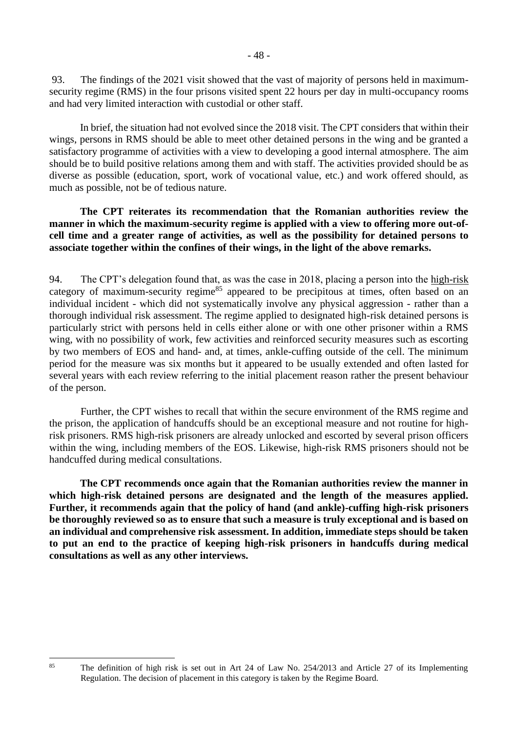93. The findings of the 2021 visit showed that the vast of majority of persons held in maximumsecurity regime (RMS) in the four prisons visited spent 22 hours per day in multi-occupancy rooms and had very limited interaction with custodial or other staff.

In brief, the situation had not evolved since the 2018 visit. The CPT considers that within their wings, persons in RMS should be able to meet other detained persons in the wing and be granted a satisfactory programme of activities with a view to developing a good internal atmosphere. The aim should be to build positive relations among them and with staff. The activities provided should be as diverse as possible (education, sport, work of vocational value, etc.) and work offered should, as much as possible, not be of tedious nature.

**The CPT reiterates its recommendation that the Romanian authorities review the manner in which the maximum-security regime is applied with a view to offering more out-ofcell time and a greater range of activities, as well as the possibility for detained persons to associate together within the confines of their wings, in the light of the above remarks.**

94. The CPT's delegation found that, as was the case in 2018, placing a person into the high-risk category of maximum-security regime<sup>85</sup> appeared to be precipitous at times, often based on an individual incident - which did not systematically involve any physical aggression - rather than a thorough individual risk assessment. The regime applied to designated high-risk detained persons is particularly strict with persons held in cells either alone or with one other prisoner within a RMS wing, with no possibility of work, few activities and reinforced security measures such as escorting by two members of EOS and hand- and, at times, ankle-cuffing outside of the cell. The minimum period for the measure was six months but it appeared to be usually extended and often lasted for several years with each review referring to the initial placement reason rather the present behaviour of the person.

Further, the CPT wishes to recall that within the secure environment of the RMS regime and the prison, the application of handcuffs should be an exceptional measure and not routine for highrisk prisoners. RMS high-risk prisoners are already unlocked and escorted by several prison officers within the wing, including members of the EOS. Likewise, high-risk RMS prisoners should not be handcuffed during medical consultations.

**The CPT recommends once again that the Romanian authorities review the manner in which high-risk detained persons are designated and the length of the measures applied. Further, it recommends again that the policy of hand (and ankle)-cuffing high-risk prisoners be thoroughly reviewed so as to ensure that such a measure is truly exceptional and is based on an individual and comprehensive risk assessment. In addition, immediate steps should be taken to put an end to the practice of keeping high-risk prisoners in handcuffs during medical consultations as well as any other interviews.**

<sup>&</sup>lt;sup>85</sup> The definition of high risk is set out in Art 24 of Law No. 254/2013 and Article 27 of its Implementing Regulation. The decision of placement in this category is taken by the Regime Board.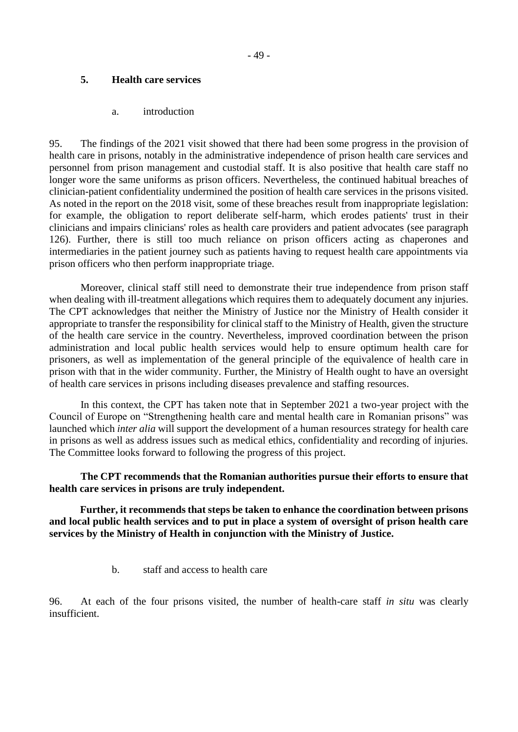### <span id="page-48-0"></span>**5. Health care services**

#### a. introduction

<span id="page-48-1"></span>95. The findings of the 2021 visit showed that there had been some progress in the provision of health care in prisons, notably in the administrative independence of prison health care services and personnel from prison management and custodial staff. It is also positive that health care staff no longer wore the same uniforms as prison officers. Nevertheless, the continued habitual breaches of clinician-patient confidentiality undermined the position of health care services in the prisons visited. As noted in the report on the 2018 visit, some of these breaches result from inappropriate legislation: for example, the obligation to report deliberate self-harm, which erodes patients' trust in their clinicians and impairs clinicians' roles as health care providers and patient advocates (see paragraph 126). Further, there is still too much reliance on prison officers acting as chaperones and intermediaries in the patient journey such as patients having to request health care appointments via prison officers who then perform inappropriate triage.

Moreover, clinical staff still need to demonstrate their true independence from prison staff when dealing with ill-treatment allegations which requires them to adequately document any injuries. The CPT acknowledges that neither the Ministry of Justice nor the Ministry of Health consider it appropriate to transfer the responsibility for clinical staff to the Ministry of Health, given the structure of the health care service in the country. Nevertheless, improved coordination between the prison administration and local public health services would help to ensure optimum health care for prisoners, as well as implementation of the general principle of the equivalence of health care in prison with that in the wider community. Further, the Ministry of Health ought to have an oversight of health care services in prisons including diseases prevalence and staffing resources.

In this context, the CPT has taken note that in September 2021 a two-year project with the Council of Europe on "Strengthening health care and mental health care in Romanian prisons" was launched which *inter alia* will support the development of a human resources strategy for health care in prisons as well as address issues such as medical ethics, confidentiality and recording of injuries. The Committee looks forward to following the progress of this project.

**The CPT recommends that the Romanian authorities pursue their efforts to ensure that health care services in prisons are truly independent.** 

**Further, it recommends that steps be taken to enhance the coordination between prisons and local public health services and to put in place a system of oversight of prison health care services by the Ministry of Health in conjunction with the Ministry of Justice.**

b. staff and access to health care

<span id="page-48-2"></span>96. At each of the four prisons visited, the number of health-care staff *in situ* was clearly insufficient.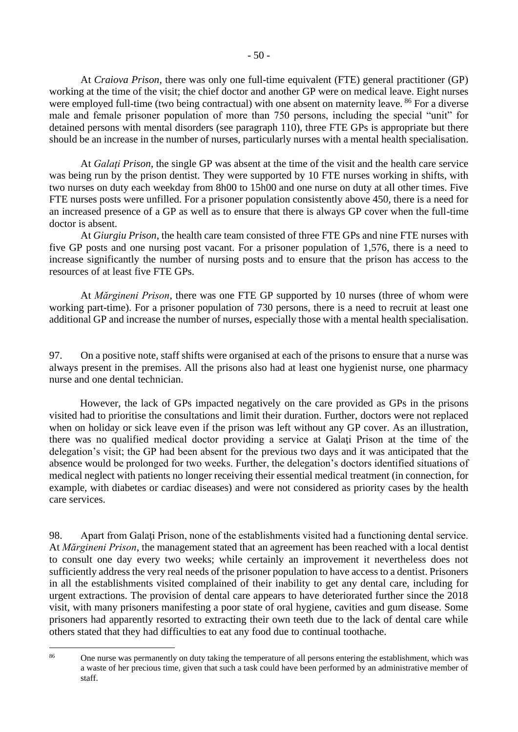At *Craiova Prison*, there was only one full-time equivalent (FTE) general practitioner (GP) working at the time of the visit; the chief doctor and another GP were on medical leave. Eight nurses were employed full-time (two being contractual) with one absent on maternity leave. <sup>86</sup> For a diverse male and female prisoner population of more than 750 persons, including the special "unit" for detained persons with mental disorders (see paragraph 110), three FTE GPs is appropriate but there should be an increase in the number of nurses, particularly nurses with a mental health specialisation.

At *Galaţi Prison*, the single GP was absent at the time of the visit and the health care service was being run by the prison dentist. They were supported by 10 FTE nurses working in shifts, with two nurses on duty each weekday from 8h00 to 15h00 and one nurse on duty at all other times. Five FTE nurses posts were unfilled. For a prisoner population consistently above 450, there is a need for an increased presence of a GP as well as to ensure that there is always GP cover when the full-time doctor is absent.

At *Giurgiu Prison*, the health care team consisted of three FTE GPs and nine FTE nurses with five GP posts and one nursing post vacant. For a prisoner population of 1,576, there is a need to increase significantly the number of nursing posts and to ensure that the prison has access to the resources of at least five FTE GPs.

At *Mărgineni Prison*, there was one FTE GP supported by 10 nurses (three of whom were working part-time). For a prisoner population of 730 persons, there is a need to recruit at least one additional GP and increase the number of nurses, especially those with a mental health specialisation.

97. On a positive note, staff shifts were organised at each of the prisons to ensure that a nurse was always present in the premises. All the prisons also had at least one hygienist nurse, one pharmacy nurse and one dental technician.

However, the lack of GPs impacted negatively on the care provided as GPs in the prisons visited had to prioritise the consultations and limit their duration. Further, doctors were not replaced when on holiday or sick leave even if the prison was left without any GP cover. As an illustration, there was no qualified medical doctor providing a service at Galaţi Prison at the time of the delegation's visit; the GP had been absent for the previous two days and it was anticipated that the absence would be prolonged for two weeks. Further, the delegation's doctors identified situations of medical neglect with patients no longer receiving their essential medical treatment (in connection, for example, with diabetes or cardiac diseases) and were not considered as priority cases by the health care services.

98. Apart from Galaţi Prison, none of the establishments visited had a functioning dental service. At *Mărgineni Prison*, the management stated that an agreement has been reached with a local dentist to consult one day every two weeks; while certainly an improvement it nevertheless does not sufficiently address the very real needs of the prisoner population to have access to a dentist. Prisoners in all the establishments visited complained of their inability to get any dental care, including for urgent extractions. The provision of dental care appears to have deteriorated further since the 2018 visit, with many prisoners manifesting a poor state of oral hygiene, cavities and gum disease. Some prisoners had apparently resorted to extracting their own teeth due to the lack of dental care while others stated that they had difficulties to eat any food due to continual toothache.

<sup>&</sup>lt;sup>86</sup> One nurse was permanently on duty taking the temperature of all persons entering the establishment, which was a waste of her precious time, given that such a task could have been performed by an administrative member of staff.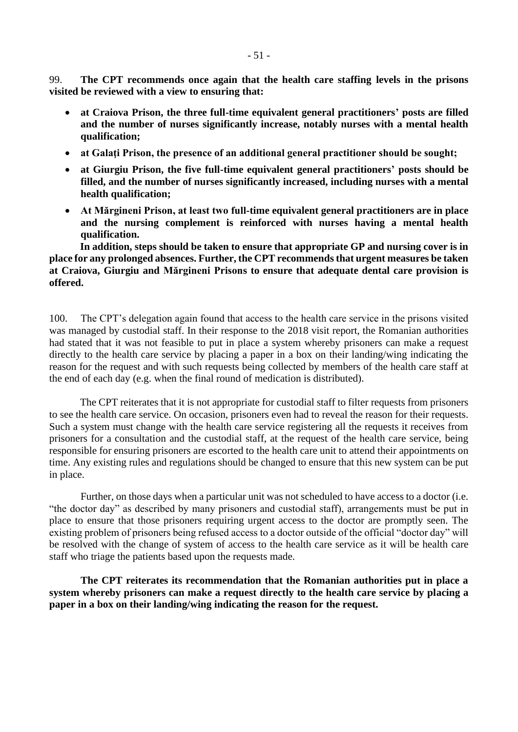99. **The CPT recommends once again that the health care staffing levels in the prisons visited be reviewed with a view to ensuring that:**

- **at Craiova Prison, the three full-time equivalent general practitioners' posts are filled and the number of nurses significantly increase, notably nurses with a mental health qualification;**
- at Galati Prison, the presence of an additional general practitioner should be sought;
- **at Giurgiu Prison, the five full-time equivalent general practitioners' posts should be filled, and the number of nurses significantly increased, including nurses with a mental health qualification;**
- **At Mărgineni Prison, at least two full-time equivalent general practitioners are in place and the nursing complement is reinforced with nurses having a mental health qualification.**

**In addition, steps should be taken to ensure that appropriate GP and nursing cover is in place for any prolonged absences. Further, the CPT recommends that urgent measures be taken at Craiova, Giurgiu and Mărgineni Prisons to ensure that adequate dental care provision is offered.**

100. The CPT's delegation again found that access to the health care service in the prisons visited was managed by custodial staff. In their response to the 2018 visit report, the Romanian authorities had stated that it was not feasible to put in place a system whereby prisoners can make a request directly to the health care service by placing a paper in a box on their landing/wing indicating the reason for the request and with such requests being collected by members of the health care staff at the end of each day (e.g. when the final round of medication is distributed).

The CPT reiterates that it is not appropriate for custodial staff to filter requests from prisoners to see the health care service. On occasion, prisoners even had to reveal the reason for their requests. Such a system must change with the health care service registering all the requests it receives from prisoners for a consultation and the custodial staff, at the request of the health care service, being responsible for ensuring prisoners are escorted to the health care unit to attend their appointments on time. Any existing rules and regulations should be changed to ensure that this new system can be put in place.

Further, on those days when a particular unit was not scheduled to have access to a doctor (i.e. "the doctor day" as described by many prisoners and custodial staff), arrangements must be put in place to ensure that those prisoners requiring urgent access to the doctor are promptly seen. The existing problem of prisoners being refused access to a doctor outside of the official "doctor day" will be resolved with the change of system of access to the health care service as it will be health care staff who triage the patients based upon the requests made.

**The CPT reiterates its recommendation that the Romanian authorities put in place a system whereby prisoners can make a request directly to the health care service by placing a paper in a box on their landing/wing indicating the reason for the request.**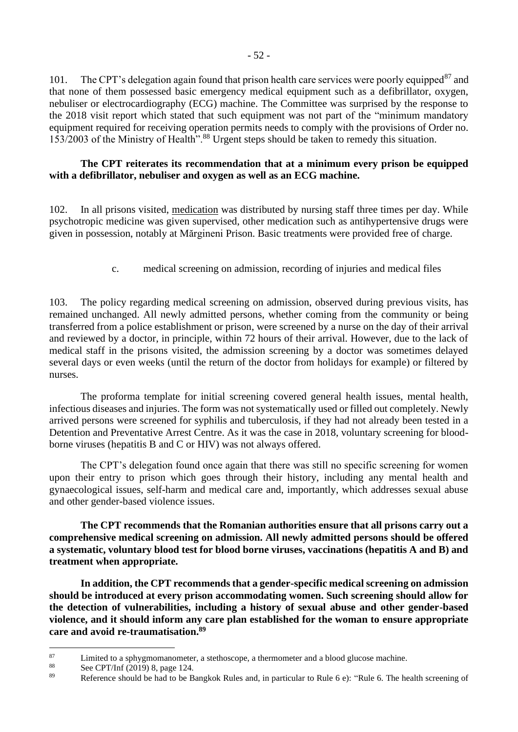101. The CPT's delegation again found that prison health care services were poorly equipped<sup>87</sup> and that none of them possessed basic emergency medical equipment such as a defibrillator, oxygen, nebuliser or electrocardiography (ECG) machine. The Committee was surprised by the response to the 2018 visit report which stated that such equipment was not part of the "minimum mandatory equipment required for receiving operation permits needs to comply with the provisions of Order no. 153/2003 of the Ministry of Health".<sup>88</sup> Urgent steps should be taken to remedy this situation.

### **The CPT reiterates its recommendation that at a minimum every prison be equipped with a defibrillator, nebuliser and oxygen as well as an ECG machine.**

102. In all prisons visited, medication was distributed by nursing staff three times per day. While psychotropic medicine was given supervised, other medication such as antihypertensive drugs were given in possession, notably at Mărgineni Prison. Basic treatments were provided free of charge.

c. medical screening on admission, recording of injuries and medical files

<span id="page-51-0"></span>103. The policy regarding medical screening on admission, observed during previous visits, has remained unchanged. All newly admitted persons, whether coming from the community or being transferred from a police establishment or prison, were screened by a nurse on the day of their arrival and reviewed by a doctor, in principle, within 72 hours of their arrival. However, due to the lack of medical staff in the prisons visited, the admission screening by a doctor was sometimes delayed several days or even weeks (until the return of the doctor from holidays for example) or filtered by nurses.

The proforma template for initial screening covered general health issues, mental health, infectious diseases and injuries. The form was not systematically used or filled out completely. Newly arrived persons were screened for syphilis and tuberculosis, if they had not already been tested in a Detention and Preventative Arrest Centre. As it was the case in 2018, voluntary screening for bloodborne viruses (hepatitis B and C or HIV) was not always offered.

The CPT's delegation found once again that there was still no specific screening for women upon their entry to prison which goes through their history, including any mental health and gynaecological issues, self-harm and medical care and, importantly, which addresses sexual abuse and other gender-based violence issues.

**The CPT recommends that the Romanian authorities ensure that all prisons carry out a comprehensive medical screening on admission. All newly admitted persons should be offered a systematic, voluntary blood test for blood borne viruses, vaccinations (hepatitis A and B) and treatment when appropriate.**

**In addition, the CPT recommends that a gender-specific medical screening on admission should be introduced at every prison accommodating women. Such screening should allow for the detection of vulnerabilities, including a history of sexual abuse and other gender-based violence, and it should inform any care plan established for the woman to ensure appropriate care and avoid re-traumatisation.<sup>89</sup>**

<sup>&</sup>lt;sup>87</sup> Limited to a sphygmomanometer, a stethoscope, a thermometer and a blood glucose machine.<br><sup>88</sup> See CRT/Lef (2010) 8, page 124

<sup>&</sup>lt;sup>88</sup> See CPT/Inf  $(2019)$  8, page 124.

Reference should be had to be Bangkok Rules and, in particular to Rule 6 e): "Rule 6. The health screening of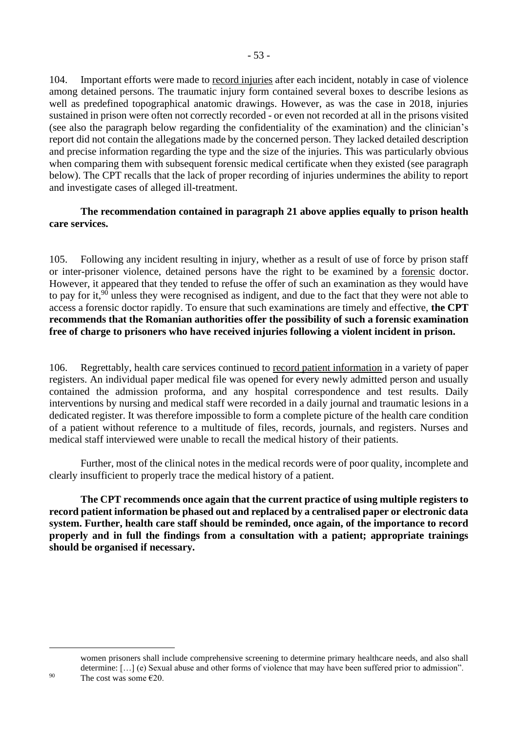104. Important efforts were made to record injuries after each incident, notably in case of violence among detained persons. The traumatic injury form contained several boxes to describe lesions as well as predefined topographical anatomic drawings. However, as was the case in 2018, injuries sustained in prison were often not correctly recorded - or even not recorded at all in the prisons visited (see also the paragraph below regarding the confidentiality of the examination) and the clinician's report did not contain the allegations made by the concerned person. They lacked detailed description and precise information regarding the type and the size of the injuries. This was particularly obvious when comparing them with subsequent forensic medical certificate when they existed (see paragraph below). The CPT recalls that the lack of proper recording of injuries undermines the ability to report and investigate cases of alleged ill-treatment.

### **The recommendation contained in paragraph 21 above applies equally to prison health care services.**

105. Following any incident resulting in injury, whether as a result of use of force by prison staff or inter-prisoner violence, detained persons have the right to be examined by a forensic doctor. However, it appeared that they tended to refuse the offer of such an examination as they would have to pay for it, $90$  unless they were recognised as indigent, and due to the fact that they were not able to access a forensic doctor rapidly. To ensure that such examinations are timely and effective, **the CPT recommends that the Romanian authorities offer the possibility of such a forensic examination free of charge to prisoners who have received injuries following a violent incident in prison.**

106. Regrettably, health care services continued to record patient information in a variety of paper registers. An individual paper medical file was opened for every newly admitted person and usually contained the admission proforma, and any hospital correspondence and test results. Daily interventions by nursing and medical staff were recorded in a daily journal and traumatic lesions in a dedicated register. It was therefore impossible to form a complete picture of the health care condition of a patient without reference to a multitude of files, records, journals, and registers. Nurses and medical staff interviewed were unable to recall the medical history of their patients.

Further, most of the clinical notes in the medical records were of poor quality, incomplete and clearly insufficient to properly trace the medical history of a patient.

**The CPT recommends once again that the current practice of using multiple registers to record patient information be phased out and replaced by a centralised paper or electronic data system. Further, health care staff should be reminded, once again, of the importance to record properly and in full the findings from a consultation with a patient; appropriate trainings should be organised if necessary.**

women prisoners shall include comprehensive screening to determine primary healthcare needs, and also shall determine: […] (e) Sexual abuse and other forms of violence that may have been suffered prior to admission". 90 The cost was some  $\epsilon$ 20.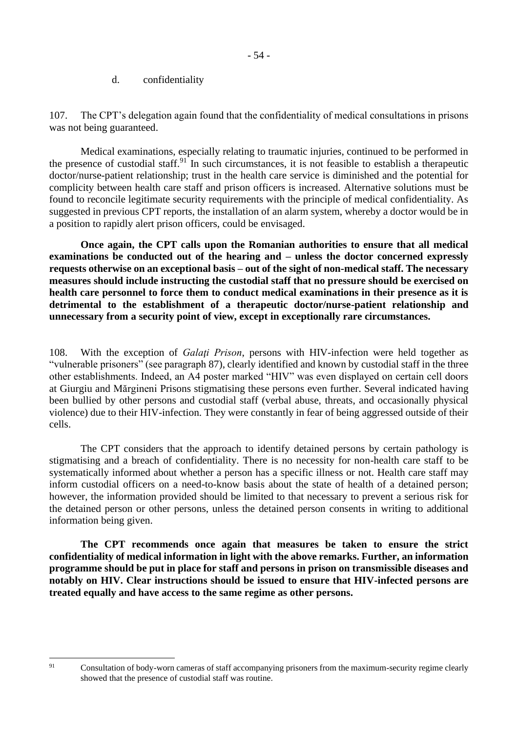#### d. confidentiality

<span id="page-53-0"></span>107. The CPT's delegation again found that the confidentiality of medical consultations in prisons was not being guaranteed.

Medical examinations, especially relating to traumatic injuries, continued to be performed in the presence of custodial staff.<sup>91</sup> In such circumstances, it is not feasible to establish a therapeutic doctor/nurse-patient relationship; trust in the health care service is diminished and the potential for complicity between health care staff and prison officers is increased. Alternative solutions must be found to reconcile legitimate security requirements with the principle of medical confidentiality. As suggested in previous CPT reports, the installation of an alarm system, whereby a doctor would be in a position to rapidly alert prison officers, could be envisaged.

**Once again, the CPT calls upon the Romanian authorities to ensure that all medical examinations be conducted out of the hearing and – unless the doctor concerned expressly requests otherwise on an exceptional basis – out of the sight of non-medical staff. The necessary measures should include instructing the custodial staff that no pressure should be exercised on health care personnel to force them to conduct medical examinations in their presence as it is detrimental to the establishment of a therapeutic doctor/nurse-patient relationship and unnecessary from a security point of view, except in exceptionally rare circumstances.**

108. With the exception of *Galaţi Prison*, persons with HIV-infection were held together as "vulnerable prisoners" (see paragraph 87), clearly identified and known by custodial staff in the three other establishments. Indeed, an A4 poster marked "HIV" was even displayed on certain cell doors at Giurgiu and Mărgineni Prisons stigmatising these persons even further. Several indicated having been bullied by other persons and custodial staff (verbal abuse, threats, and occasionally physical violence) due to their HIV-infection. They were constantly in fear of being aggressed outside of their cells.

The CPT considers that the approach to identify detained persons by certain pathology is stigmatising and a breach of confidentiality. There is no necessity for non-health care staff to be systematically informed about whether a person has a specific illness or not. Health care staff may inform custodial officers on a need-to-know basis about the state of health of a detained person; however, the information provided should be limited to that necessary to prevent a serious risk for the detained person or other persons, unless the detained person consents in writing to additional information being given.

**The CPT recommends once again that measures be taken to ensure the strict confidentiality of medical information in light with the above remarks. Further, an information programme should be put in place for staff and persons in prison on transmissible diseases and notably on HIV. Clear instructions should be issued to ensure that HIV-infected persons are treated equally and have access to the same regime as other persons.**

<sup>&</sup>lt;sup>91</sup> Consultation of body-worn cameras of staff accompanying prisoners from the maximum-security regime clearly showed that the presence of custodial staff was routine.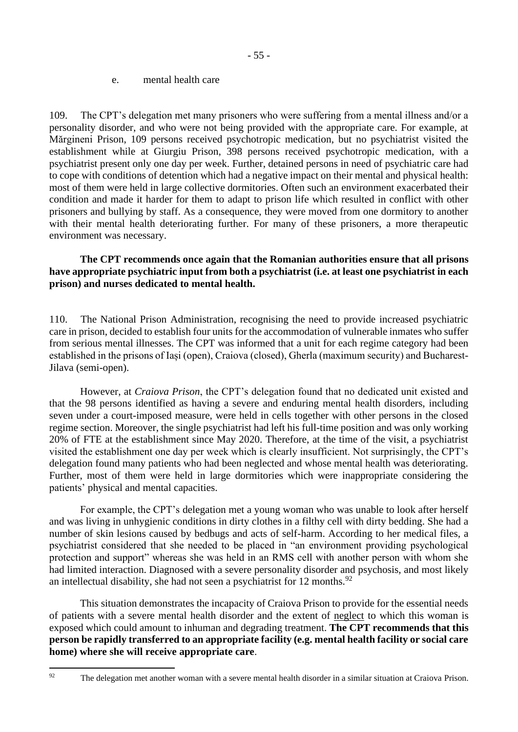#### e. mental health care

<span id="page-54-0"></span>109. The CPT's delegation met many prisoners who were suffering from a mental illness and/or a personality disorder, and who were not being provided with the appropriate care. For example, at Mărgineni Prison, 109 persons received psychotropic medication, but no psychiatrist visited the establishment while at Giurgiu Prison, 398 persons received psychotropic medication, with a psychiatrist present only one day per week. Further, detained persons in need of psychiatric care had to cope with conditions of detention which had a negative impact on their mental and physical health: most of them were held in large collective dormitories. Often such an environment exacerbated their condition and made it harder for them to adapt to prison life which resulted in conflict with other prisoners and bullying by staff. As a consequence, they were moved from one dormitory to another with their mental health deteriorating further. For many of these prisoners, a more therapeutic environment was necessary.

### **The CPT recommends once again that the Romanian authorities ensure that all prisons have appropriate psychiatric input from both a psychiatrist (i.e. at least one psychiatrist in each prison) and nurses dedicated to mental health.**

110. The National Prison Administration, recognising the need to provide increased psychiatric care in prison, decided to establish four units for the accommodation of vulnerable inmates who suffer from serious mental illnesses. The CPT was informed that a unit for each regime category had been established in the prisons of Iași (open), Craiova (closed), Gherla (maximum security) and Bucharest-Jilava (semi-open).

However, at *Craiova Prison*, the CPT's delegation found that no dedicated unit existed and that the 98 persons identified as having a severe and enduring mental health disorders, including seven under a court-imposed measure, were held in cells together with other persons in the closed regime section. Moreover, the single psychiatrist had left his full-time position and was only working 20% of FTE at the establishment since May 2020. Therefore, at the time of the visit, a psychiatrist visited the establishment one day per week which is clearly insufficient. Not surprisingly, the CPT's delegation found many patients who had been neglected and whose mental health was deteriorating. Further, most of them were held in large dormitories which were inappropriate considering the patients' physical and mental capacities.

For example, the CPT's delegation met a young woman who was unable to look after herself and was living in unhygienic conditions in dirty clothes in a filthy cell with dirty bedding. She had a number of skin lesions caused by bedbugs and acts of self-harm. According to her medical files, a psychiatrist considered that she needed to be placed in "an environment providing psychological protection and support" whereas she was held in an RMS cell with another person with whom she had limited interaction. Diagnosed with a severe personality disorder and psychosis, and most likely an intellectual disability, she had not seen a psychiatrist for  $12$  months.<sup>92</sup>

This situation demonstrates the incapacity of Craiova Prison to provide for the essential needs of patients with a severe mental health disorder and the extent of neglect to which this woman is exposed which could amount to inhuman and degrading treatment. **The CPT recommends that this person be rapidly transferred to an appropriate facility (e.g. mental health facility or social care home) where she will receive appropriate care**.

<sup>&</sup>lt;sup>92</sup> The delegation met another woman with a severe mental health disorder in a similar situation at Craiova Prison.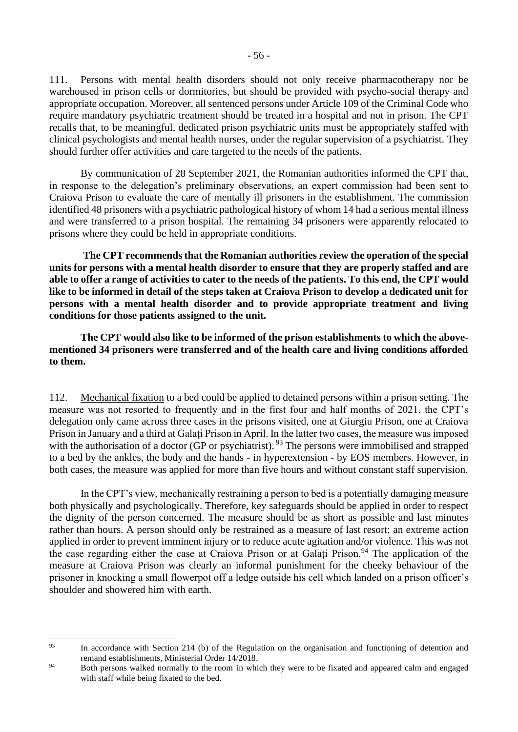111. Persons with mental health disorders should not only receive pharmacotherapy nor be warehoused in prison cells or dormitories, but should be provided with psycho-social therapy and appropriate occupation. Moreover, all sentenced persons under Article 109 of the Criminal Code who require mandatory psychiatric treatment should be treated in a hospital and not in prison. The CPT recalls that, to be meaningful, dedicated prison psychiatric units must be appropriately staffed with clinical psychologists and mental health nurses, under the regular supervision of a psychiatrist. They should further offer activities and care targeted to the needs of the patients.

By communication of 28 September 2021, the Romanian authorities informed the CPT that, in response to the delegation's preliminary observations, an expert commission had been sent to Craiova Prison to evaluate the care of mentally ill prisoners in the establishment. The commission identified 48 prisoners with a psychiatric pathological history of whom 14 had a serious mental illness and were transferred to a prison hospital. The remaining 34 prisoners were apparently relocated to prisons where they could be held in appropriate conditions.

**The CPT recommends that the Romanian authorities review the operation of the special units for persons with a mental health disorder to ensure that they are properly staffed and are able to offer a range of activities to cater to the needs of the patients. To this end, the CPT would like to be informed in detail of the steps taken at Craiova Prison to develop a dedicated unit for persons with a mental health disorder and to provide appropriate treatment and living conditions for those patients assigned to the unit.**

**The CPT would also like to be informed of the prison establishments to which the abovementioned 34 prisoners were transferred and of the health care and living conditions afforded to them.** 

112. Mechanical fixation to a bed could be applied to detained persons within a prison setting. The measure was not resorted to frequently and in the first four and half months of 2021, the CPT's delegation only came across three cases in the prisons visited, one at Giurgiu Prison, one at Craiova Prison in January and a third at Galati Prison in April. In the latter two cases, the measure was imposed with the authorisation of a doctor (GP or psychiatrist). <sup>93</sup> The persons were immobilised and strapped to a bed by the ankles, the body and the hands - in hyperextension - by EOS members. However, in both cases, the measure was applied for more than five hours and without constant staff supervision.

In the CPT's view, mechanically restraining a person to bed is a potentially damaging measure both physically and psychologically. Therefore, key safeguards should be applied in order to respect the dignity of the person concerned. The measure should be as short as possible and last minutes rather than hours. A person should only be restrained as a measure of last resort; an extreme action applied in order to prevent imminent injury or to reduce acute agitation and/or violence. This was not the case regarding either the case at Craiova Prison or at Galati Prison.<sup>94</sup> The application of the measure at Craiova Prison was clearly an informal punishment for the cheeky behaviour of the prisoner in knocking a small flowerpot off a ledge outside his cell which landed on a prison officer's shoulder and showered him with earth.

<sup>&</sup>lt;sup>93</sup> In accordance with Section 214 (b) of the Regulation on the organisation and functioning of detention and remand establishments, Ministerial Order 14/2018.

<sup>&</sup>lt;sup>94</sup> Both persons walked normally to the room in which they were to be fixated and appeared calm and engaged with staff while being fixated to the bed.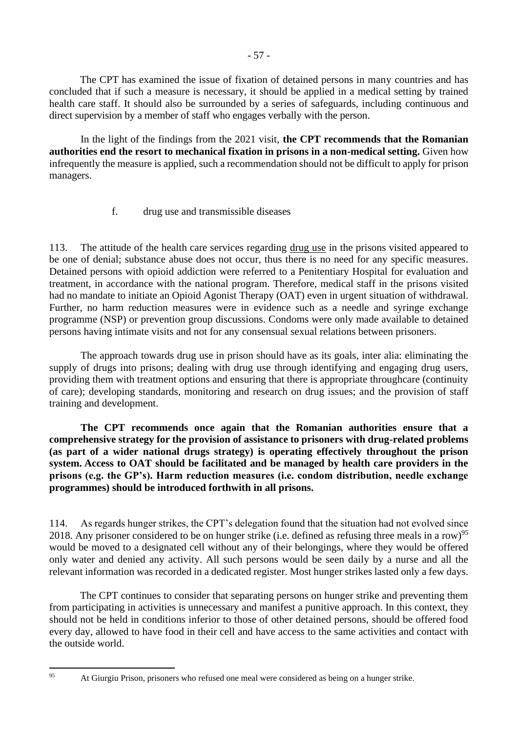The CPT has examined the issue of fixation of detained persons in many countries and has concluded that if such a measure is necessary, it should be applied in a medical setting by trained health care staff. It should also be surrounded by a series of safeguards, including continuous and direct supervision by a member of staff who engages verbally with the person.

In the light of the findings from the 2021 visit, **the CPT recommends that the Romanian authorities end the resort to mechanical fixation in prisons in a non-medical setting.** Given how infrequently the measure is applied, such a recommendation should not be difficult to apply for prison managers.

### f. drug use and transmissible diseases

<span id="page-56-0"></span>113. The attitude of the health care services regarding drug use in the prisons visited appeared to be one of denial; substance abuse does not occur, thus there is no need for any specific measures. Detained persons with opioid addiction were referred to a Penitentiary Hospital for evaluation and treatment, in accordance with the national program. Therefore, medical staff in the prisons visited had no mandate to initiate an Opioid Agonist Therapy (OAT) even in urgent situation of withdrawal. Further, no harm reduction measures were in evidence such as a needle and syringe exchange programme (NSP) or prevention group discussions. Condoms were only made available to detained persons having intimate visits and not for any consensual sexual relations between prisoners.

The approach towards drug use in prison should have as its goals, inter alia: eliminating the supply of drugs into prisons; dealing with drug use through identifying and engaging drug users, providing them with treatment options and ensuring that there is appropriate throughcare (continuity of care); developing standards, monitoring and research on drug issues; and the provision of staff training and development.

**The CPT recommends once again that the Romanian authorities ensure that a comprehensive strategy for the provision of assistance to prisoners with drug-related problems (as part of a wider national drugs strategy) is operating effectively throughout the prison system. Access to OAT should be facilitated and be managed by health care providers in the prisons (e.g. the GP's). Harm reduction measures (i.e. condom distribution, needle exchange programmes) should be introduced forthwith in all prisons.**

114. As regards hunger strikes, the CPT's delegation found that the situation had not evolved since 2018. Any prisoner considered to be on hunger strike (i.e. defined as refusing three meals in a row)<sup>95</sup> would be moved to a designated cell without any of their belongings, where they would be offered only water and denied any activity. All such persons would be seen daily by a nurse and all the relevant information was recorded in a dedicated register. Most hunger strikes lasted only a few days.

The CPT continues to consider that separating persons on hunger strike and preventing them from participating in activities is unnecessary and manifest a punitive approach. In this context, they should not be held in conditions inferior to those of other detained persons, should be offered food every day, allowed to have food in their cell and have access to the same activities and contact with the outside world.

<sup>&</sup>lt;sup>95</sup> At Giurgiu Prison, prisoners who refused one meal were considered as being on a hunger strike.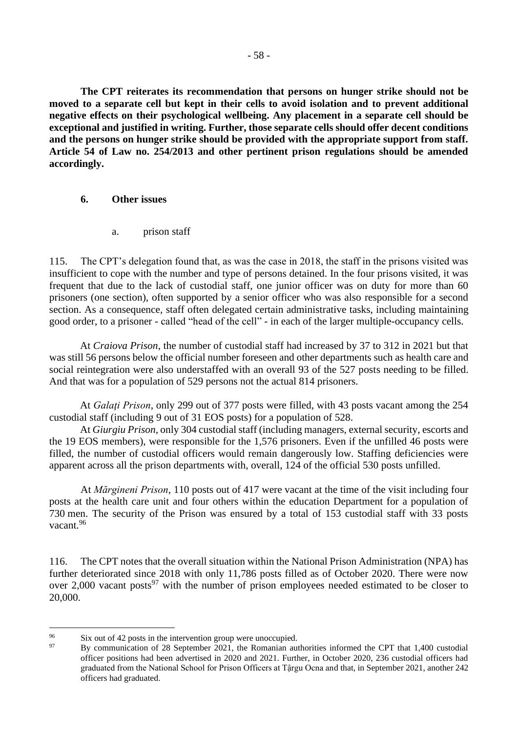**The CPT reiterates its recommendation that persons on hunger strike should not be moved to a separate cell but kept in their cells to avoid isolation and to prevent additional negative effects on their psychological wellbeing. Any placement in a separate cell should be exceptional and justified in writing. Further, those separate cells should offer decent conditions and the persons on hunger strike should be provided with the appropriate support from staff. Article 54 of Law no. 254/2013 and other pertinent prison regulations should be amended accordingly.**

#### <span id="page-57-0"></span>**6. Other issues**

a. prison staff

<span id="page-57-1"></span>115. The CPT's delegation found that, as was the case in 2018, the staff in the prisons visited was insufficient to cope with the number and type of persons detained. In the four prisons visited, it was frequent that due to the lack of custodial staff, one junior officer was on duty for more than 60 prisoners (one section), often supported by a senior officer who was also responsible for a second section. As a consequence, staff often delegated certain administrative tasks, including maintaining good order, to a prisoner - called "head of the cell" - in each of the larger multiple-occupancy cells.

At *Craiova Prison*, the number of custodial staff had increased by 37 to 312 in 2021 but that was still 56 persons below the official number foreseen and other departments such as health care and social reintegration were also understaffed with an overall 93 of the 527 posts needing to be filled. And that was for a population of 529 persons not the actual 814 prisoners.

At *Galaţi Prison*, only 299 out of 377 posts were filled, with 43 posts vacant among the 254 custodial staff (including 9 out of 31 EOS posts) for a population of 528.

At *Giurgiu Prison*, only 304 custodial staff (including managers, external security, escorts and the 19 EOS members), were responsible for the 1,576 prisoners. Even if the unfilled 46 posts were filled, the number of custodial officers would remain dangerously low. Staffing deficiencies were apparent across all the prison departments with, overall, 124 of the official 530 posts unfilled.

At *Mărgineni Prison*, 110 posts out of 417 were vacant at the time of the visit including four posts at the health care unit and four others within the education Department for a population of 730 men. The security of the Prison was ensured by a total of 153 custodial staff with 33 posts vacant<sup>96</sup>

116. The CPT notes that the overall situation within the National Prison Administration (NPA) has further deteriorated since 2018 with only 11,786 posts filled as of October 2020. There were now over 2,000 vacant posts<sup>97</sup> with the number of prison employees needed estimated to be closer to 20,000.

<sup>&</sup>lt;sup>96</sup> Six out of 42 posts in the intervention group were unoccupied.<br><sup>97</sup> Py communication of 28 September 2021, the Bemerica surface

<sup>97</sup> By communication of 28 September 2021, the Romanian authorities informed the CPT that 1,400 custodial officer positions had been advertised in 2020 and 2021. Further, in October 2020, 236 custodial officers had graduated from the National School for Prison Officers at Tậrgu Ocna and that, in September 2021, another 242 officers had graduated.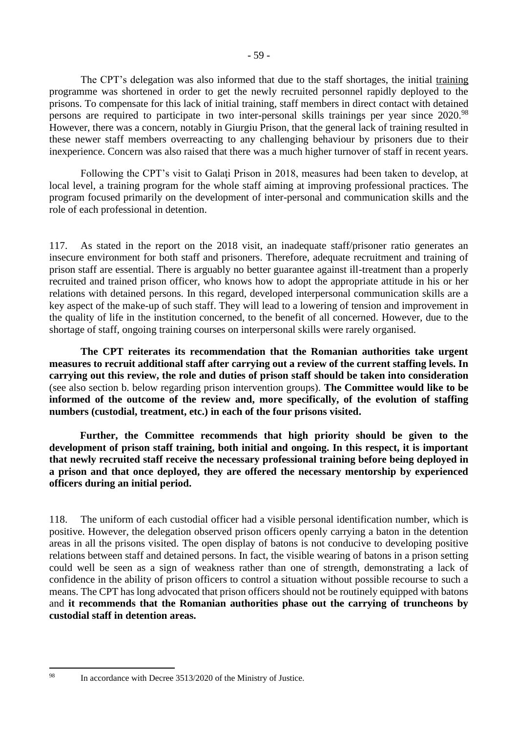The CPT's delegation was also informed that due to the staff shortages, the initial training programme was shortened in order to get the newly recruited personnel rapidly deployed to the prisons. To compensate for this lack of initial training, staff members in direct contact with detained persons are required to participate in two inter-personal skills trainings per year since 2020.<sup>98</sup> However, there was a concern, notably in Giurgiu Prison, that the general lack of training resulted in these newer staff members overreacting to any challenging behaviour by prisoners due to their inexperience. Concern was also raised that there was a much higher turnover of staff in recent years.

Following the CPT's visit to Galaţi Prison in 2018, measures had been taken to develop, at local level, a training program for the whole staff aiming at improving professional practices. The program focused primarily on the development of inter-personal and communication skills and the role of each professional in detention.

117. As stated in the report on the 2018 visit, an inadequate staff/prisoner ratio generates an insecure environment for both staff and prisoners. Therefore, adequate recruitment and training of prison staff are essential. There is arguably no better guarantee against ill-treatment than a properly recruited and trained prison officer, who knows how to adopt the appropriate attitude in his or her relations with detained persons. In this regard, developed interpersonal communication skills are a key aspect of the make-up of such staff. They will lead to a lowering of tension and improvement in the quality of life in the institution concerned, to the benefit of all concerned. However, due to the shortage of staff, ongoing training courses on interpersonal skills were rarely organised.

**The CPT reiterates its recommendation that the Romanian authorities take urgent measures to recruit additional staff after carrying out a review of the current staffing levels. In carrying out this review, the role and duties of prison staff should be taken into consideration** (see also section b. below regarding prison intervention groups). **The Committee would like to be informed of the outcome of the review and, more specifically, of the evolution of staffing numbers (custodial, treatment, etc.) in each of the four prisons visited.**

**Further, the Committee recommends that high priority should be given to the development of prison staff training, both initial and ongoing. In this respect, it is important that newly recruited staff receive the necessary professional training before being deployed in a prison and that once deployed, they are offered the necessary mentorship by experienced officers during an initial period.** 

118. The uniform of each custodial officer had a visible personal identification number, which is positive. However, the delegation observed prison officers openly carrying a baton in the detention areas in all the prisons visited. The open display of batons is not conducive to developing positive relations between staff and detained persons. In fact, the visible wearing of batons in a prison setting could well be seen as a sign of weakness rather than one of strength, demonstrating a lack of confidence in the ability of prison officers to control a situation without possible recourse to such a means. The CPT has long advocated that prison officers should not be routinely equipped with batons and **it recommends that the Romanian authorities phase out the carrying of truncheons by custodial staff in detention areas.**

<sup>98</sup> In accordance with Decree 3513/2020 of the Ministry of Justice.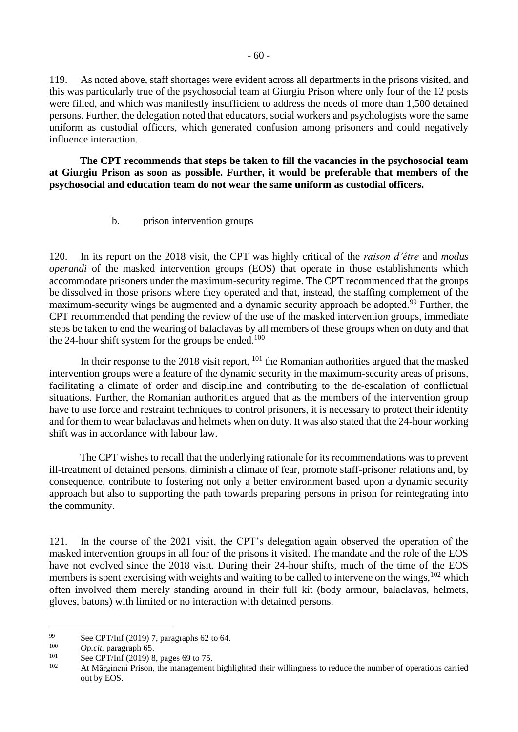119. As noted above, staff shortages were evident across all departments in the prisons visited, and this was particularly true of the psychosocial team at Giurgiu Prison where only four of the 12 posts were filled, and which was manifestly insufficient to address the needs of more than 1,500 detained persons. Further, the delegation noted that educators, social workers and psychologists wore the same uniform as custodial officers, which generated confusion among prisoners and could negatively influence interaction.

**The CPT recommends that steps be taken to fill the vacancies in the psychosocial team at Giurgiu Prison as soon as possible. Further, it would be preferable that members of the psychosocial and education team do not wear the same uniform as custodial officers.**

b. prison intervention groups

<span id="page-59-0"></span>120. In its report on the 2018 visit, the CPT was highly critical of the *raison d'être* and *modus operandi* of the masked intervention groups (EOS) that operate in those establishments which accommodate prisoners under the maximum-security regime. The CPT recommended that the groups be dissolved in those prisons where they operated and that, instead, the staffing complement of the maximum-security wings be augmented and a dynamic security approach be adopted.<sup>99</sup> Further, the CPT recommended that pending the review of the use of the masked intervention groups, immediate steps be taken to end the wearing of balaclavas by all members of these groups when on duty and that the 24-hour shift system for the groups be ended.<sup>100</sup>

In their response to the 2018 visit report, <sup>101</sup> the Romanian authorities argued that the masked intervention groups were a feature of the dynamic security in the maximum-security areas of prisons, facilitating a climate of order and discipline and contributing to the de-escalation of conflictual situations. Further, the Romanian authorities argued that as the members of the intervention group have to use force and restraint techniques to control prisoners, it is necessary to protect their identity and for them to wear balaclavas and helmets when on duty. It was also stated that the 24-hour working shift was in accordance with labour law.

The CPT wishes to recall that the underlying rationale for its recommendations was to prevent ill-treatment of detained persons, diminish a climate of fear, promote staff-prisoner relations and, by consequence, contribute to fostering not only a better environment based upon a dynamic security approach but also to supporting the path towards preparing persons in prison for reintegrating into the community.

121. In the course of the 2021 visit, the CPT's delegation again observed the operation of the masked intervention groups in all four of the prisons it visited. The mandate and the role of the EOS have not evolved since the 2018 visit. During their 24-hour shifts, much of the time of the EOS members is spent exercising with weights and waiting to be called to intervene on the wings, <sup>102</sup> which often involved them merely standing around in their full kit (body armour, balaclavas, helmets, gloves, batons) with limited or no interaction with detained persons.

<sup>99</sup> See CPT/Inf (2019) 7, paragraphs 62 to 64.

<sup>&</sup>lt;sup>100</sup> *Op.cit.* paragraph 65.

<sup>&</sup>lt;sup>101</sup> See CPT/Inf (2019) 8, pages 69 to 75.

At Mărgineni Prison, the management highlighted their willingness to reduce the number of operations carried out by EOS.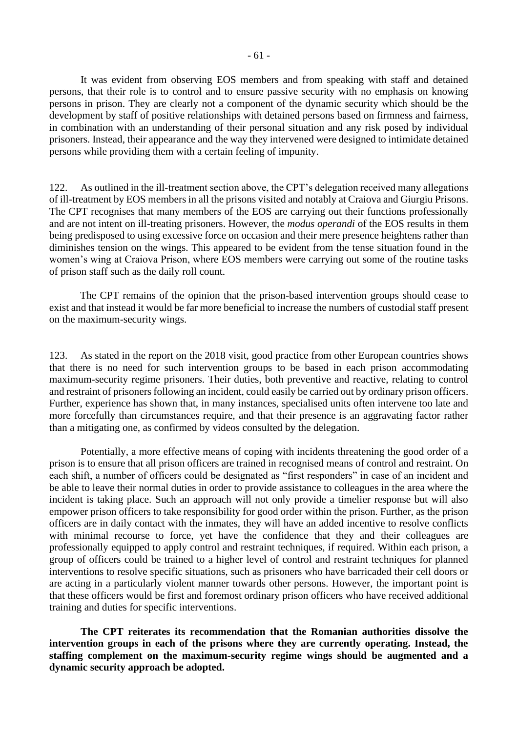- 61 -

It was evident from observing EOS members and from speaking with staff and detained persons, that their role is to control and to ensure passive security with no emphasis on knowing persons in prison. They are clearly not a component of the dynamic security which should be the development by staff of positive relationships with detained persons based on firmness and fairness, in combination with an understanding of their personal situation and any risk posed by individual prisoners. Instead, their appearance and the way they intervened were designed to intimidate detained persons while providing them with a certain feeling of impunity.

122. As outlined in the ill-treatment section above, the CPT's delegation received many allegations of ill-treatment by EOS members in all the prisons visited and notably at Craiova and Giurgiu Prisons. The CPT recognises that many members of the EOS are carrying out their functions professionally and are not intent on ill-treating prisoners. However, the *modus operandi* of the EOS results in them being predisposed to using excessive force on occasion and their mere presence heightens rather than diminishes tension on the wings. This appeared to be evident from the tense situation found in the women's wing at Craiova Prison, where EOS members were carrying out some of the routine tasks of prison staff such as the daily roll count.

The CPT remains of the opinion that the prison-based intervention groups should cease to exist and that instead it would be far more beneficial to increase the numbers of custodial staff present on the maximum-security wings.

123. As stated in the report on the 2018 visit, good practice from other European countries shows that there is no need for such intervention groups to be based in each prison accommodating maximum-security regime prisoners. Their duties, both preventive and reactive, relating to control and restraint of prisoners following an incident, could easily be carried out by ordinary prison officers. Further, experience has shown that, in many instances, specialised units often intervene too late and more forcefully than circumstances require, and that their presence is an aggravating factor rather than a mitigating one, as confirmed by videos consulted by the delegation.

Potentially, a more effective means of coping with incidents threatening the good order of a prison is to ensure that all prison officers are trained in recognised means of control and restraint. On each shift, a number of officers could be designated as "first responders" in case of an incident and be able to leave their normal duties in order to provide assistance to colleagues in the area where the incident is taking place. Such an approach will not only provide a timelier response but will also empower prison officers to take responsibility for good order within the prison. Further, as the prison officers are in daily contact with the inmates, they will have an added incentive to resolve conflicts with minimal recourse to force, yet have the confidence that they and their colleagues are professionally equipped to apply control and restraint techniques, if required. Within each prison, a group of officers could be trained to a higher level of control and restraint techniques for planned interventions to resolve specific situations, such as prisoners who have barricaded their cell doors or are acting in a particularly violent manner towards other persons. However, the important point is that these officers would be first and foremost ordinary prison officers who have received additional training and duties for specific interventions.

**The CPT reiterates its recommendation that the Romanian authorities dissolve the intervention groups in each of the prisons where they are currently operating. Instead, the staffing complement on the maximum-security regime wings should be augmented and a dynamic security approach be adopted.**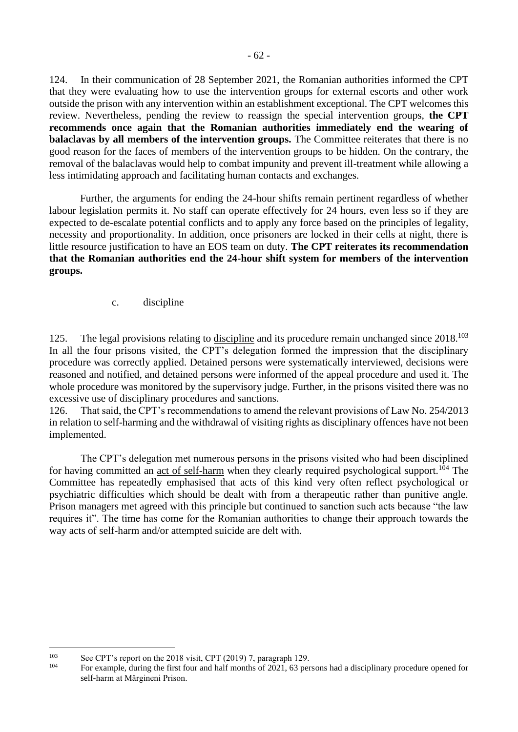124. In their communication of 28 September 2021, the Romanian authorities informed the CPT that they were evaluating how to use the intervention groups for external escorts and other work outside the prison with any intervention within an establishment exceptional. The CPT welcomes this review. Nevertheless, pending the review to reassign the special intervention groups, **the CPT recommends once again that the Romanian authorities immediately end the wearing of balaclavas by all members of the intervention groups.** The Committee reiterates that there is no good reason for the faces of members of the intervention groups to be hidden. On the contrary, the removal of the balaclavas would help to combat impunity and prevent ill-treatment while allowing a less intimidating approach and facilitating human contacts and exchanges.

Further, the arguments for ending the 24-hour shifts remain pertinent regardless of whether labour legislation permits it. No staff can operate effectively for 24 hours, even less so if they are expected to de-escalate potential conflicts and to apply any force based on the principles of legality, necessity and proportionality. In addition, once prisoners are locked in their cells at night, there is little resource justification to have an EOS team on duty. **The CPT reiterates its recommendation that the Romanian authorities end the 24-hour shift system for members of the intervention groups.**

c. discipline

<span id="page-61-0"></span>125. The legal provisions relating to discipline and its procedure remain unchanged since 2018.<sup>103</sup> In all the four prisons visited, the CPT's delegation formed the impression that the disciplinary procedure was correctly applied. Detained persons were systematically interviewed, decisions were reasoned and notified, and detained persons were informed of the appeal procedure and used it. The whole procedure was monitored by the supervisory judge. Further, in the prisons visited there was no excessive use of disciplinary procedures and sanctions.

126. That said, the CPT's recommendations to amend the relevant provisions of Law No. 254/2013 in relation to self-harming and the withdrawal of visiting rights as disciplinary offences have not been implemented.

The CPT's delegation met numerous persons in the prisons visited who had been disciplined for having committed an act of self-harm when they clearly required psychological support.<sup>104</sup> The Committee has repeatedly emphasised that acts of this kind very often reflect psychological or psychiatric difficulties which should be dealt with from a therapeutic rather than punitive angle. Prison managers met agreed with this principle but continued to sanction such acts because "the law requires it". The time has come for the Romanian authorities to change their approach towards the way acts of self-harm and/or attempted suicide are delt with.

<sup>&</sup>lt;sup>103</sup> See CPT's report on the 2018 visit, CPT (2019) 7, paragraph 129.

For example, during the first four and half months of 2021, 63 persons had a disciplinary procedure opened for self-harm at Mărgineni Prison.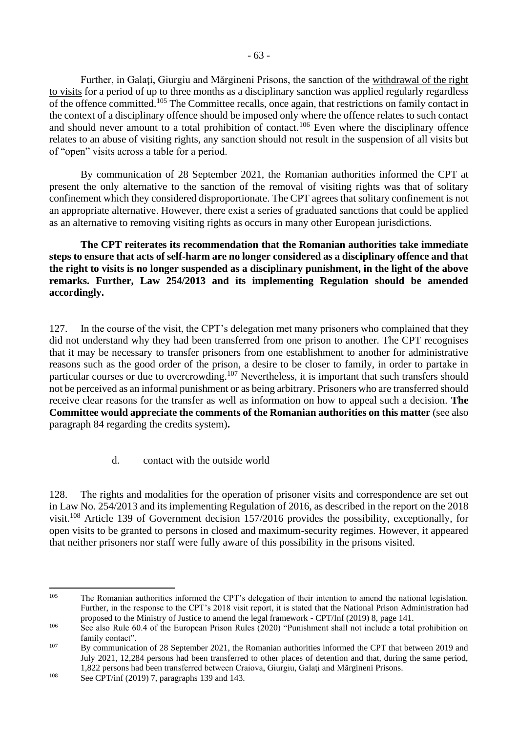Further, in Galaţi, Giurgiu and Mărgineni Prisons, the sanction of the withdrawal of the right to visits for a period of up to three months as a disciplinary sanction was applied regularly regardless of the offence committed.<sup>105</sup> The Committee recalls, once again, that restrictions on family contact in the context of a disciplinary offence should be imposed only where the offence relates to such contact and should never amount to a total prohibition of contact.<sup>106</sup> Even where the disciplinary offence relates to an abuse of visiting rights, any sanction should not result in the suspension of all visits but of "open" visits across a table for a period.

By communication of 28 September 2021, the Romanian authorities informed the CPT at present the only alternative to the sanction of the removal of visiting rights was that of solitary confinement which they considered disproportionate. The CPT agrees that solitary confinement is not an appropriate alternative. However, there exist a series of graduated sanctions that could be applied as an alternative to removing visiting rights as occurs in many other European jurisdictions.

**The CPT reiterates its recommendation that the Romanian authorities take immediate steps to ensure that acts of self-harm are no longer considered as a disciplinary offence and that the right to visits is no longer suspended as a disciplinary punishment, in the light of the above remarks. Further, Law 254/2013 and its implementing Regulation should be amended accordingly.**

127. In the course of the visit, the CPT's delegation met many prisoners who complained that they did not understand why they had been transferred from one prison to another. The CPT recognises that it may be necessary to transfer prisoners from one establishment to another for administrative reasons such as the good order of the prison, a desire to be closer to family, in order to partake in particular courses or due to overcrowding.<sup>107</sup> Nevertheless, it is important that such transfers should not be perceived as an informal punishment or as being arbitrary. Prisoners who are transferred should receive clear reasons for the transfer as well as information on how to appeal such a decision. **The Committee would appreciate the comments of the Romanian authorities on this matter** (see also paragraph 84 regarding the credits system)**.**

d. contact with the outside world

<span id="page-62-0"></span>128. The rights and modalities for the operation of prisoner visits and correspondence are set out in Law No. 254/2013 and its implementing Regulation of 2016, as described in the report on the 2018 visit.<sup>108</sup> Article 139 of Government decision 157/2016 provides the possibility, exceptionally, for open visits to be granted to persons in closed and maximum-security regimes. However, it appeared that neither prisoners nor staff were fully aware of this possibility in the prisons visited.

<sup>&</sup>lt;sup>105</sup> The Romanian authorities informed the CPT's delegation of their intention to amend the national legislation. Further, in the response to the CPT's 2018 visit report, it is stated that the National Prison Administration had proposed to the Ministry of Justice to amend the legal framework - CPT/Inf (2019) 8, page 141.

<sup>&</sup>lt;sup>106</sup> See also Rule 60.4 of the European Prison Rules (2020) "Punishment shall not include a total prohibition on family contact".

<sup>&</sup>lt;sup>107</sup> By communication of 28 September 2021, the Romanian authorities informed the CPT that between 2019 and July 2021, 12,284 persons had been transferred to other places of detention and that, during the same period, 1,822 persons had been transferred between Craiova, Giurgiu, Galaţi and Mărgineni Prisons.

<sup>108</sup> See CPT/inf (2019) 7, paragraphs 139 and 143.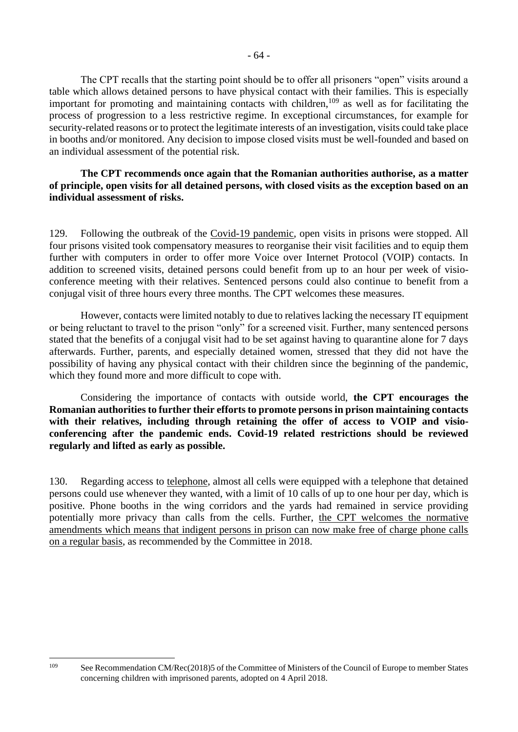The CPT recalls that the starting point should be to offer all prisoners "open" visits around a table which allows detained persons to have physical contact with their families. This is especially important for promoting and maintaining contacts with children, $109$  as well as for facilitating the process of progression to a less restrictive regime. In exceptional circumstances, for example for security-related reasons or to protect the legitimate interests of an investigation, visits could take place in booths and/or monitored. Any decision to impose closed visits must be well-founded and based on an individual assessment of the potential risk.

#### **The CPT recommends once again that the Romanian authorities authorise, as a matter of principle, open visits for all detained persons, with closed visits as the exception based on an individual assessment of risks.**

129. Following the outbreak of the Covid-19 pandemic, open visits in prisons were stopped. All four prisons visited took compensatory measures to reorganise their visit facilities and to equip them further with computers in order to offer more Voice over Internet Protocol (VOIP) contacts. In addition to screened visits, detained persons could benefit from up to an hour per week of visioconference meeting with their relatives. Sentenced persons could also continue to benefit from a conjugal visit of three hours every three months. The CPT welcomes these measures.

However, contacts were limited notably to due to relatives lacking the necessary IT equipment or being reluctant to travel to the prison "only" for a screened visit. Further, many sentenced persons stated that the benefits of a conjugal visit had to be set against having to quarantine alone for 7 days afterwards. Further, parents, and especially detained women, stressed that they did not have the possibility of having any physical contact with their children since the beginning of the pandemic, which they found more and more difficult to cope with.

Considering the importance of contacts with outside world, **the CPT encourages the Romanian authorities to further their efforts to promote persons in prison maintaining contacts with their relatives, including through retaining the offer of access to VOIP and visioconferencing after the pandemic ends. Covid-19 related restrictions should be reviewed regularly and lifted as early as possible.**

130. Regarding access to telephone, almost all cells were equipped with a telephone that detained persons could use whenever they wanted, with a limit of 10 calls of up to one hour per day, which is positive. Phone booths in the wing corridors and the yards had remained in service providing potentially more privacy than calls from the cells. Further, the CPT welcomes the normative amendments which means that indigent persons in prison can now make free of charge phone calls on a regular basis, as recommended by the Committee in 2018.

<sup>&</sup>lt;sup>109</sup> See Recommendation CM/Rec(2018)5 of the Committee of Ministers of the Council of Europe to member States concerning children with imprisoned parents, adopted on 4 April 2018.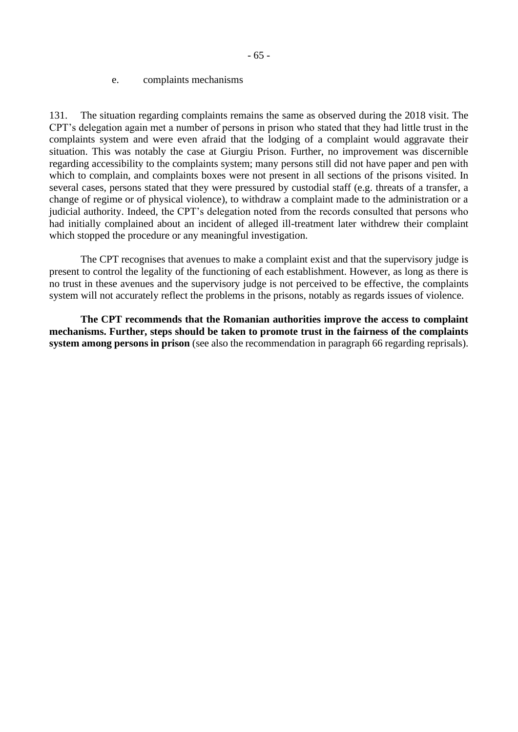<span id="page-64-0"></span>131. The situation regarding complaints remains the same as observed during the 2018 visit. The CPT's delegation again met a number of persons in prison who stated that they had little trust in the complaints system and were even afraid that the lodging of a complaint would aggravate their situation. This was notably the case at Giurgiu Prison. Further, no improvement was discernible regarding accessibility to the complaints system; many persons still did not have paper and pen with which to complain, and complaints boxes were not present in all sections of the prisons visited. In several cases, persons stated that they were pressured by custodial staff (e.g. threats of a transfer, a change of regime or of physical violence), to withdraw a complaint made to the administration or a judicial authority. Indeed, the CPT's delegation noted from the records consulted that persons who had initially complained about an incident of alleged ill-treatment later withdrew their complaint which stopped the procedure or any meaningful investigation.

The CPT recognises that avenues to make a complaint exist and that the supervisory judge is present to control the legality of the functioning of each establishment. However, as long as there is no trust in these avenues and the supervisory judge is not perceived to be effective, the complaints system will not accurately reflect the problems in the prisons, notably as regards issues of violence.

**The CPT recommends that the Romanian authorities improve the access to complaint mechanisms. Further, steps should be taken to promote trust in the fairness of the complaints system among persons in prison** (see also the recommendation in paragraph 66 regarding reprisals).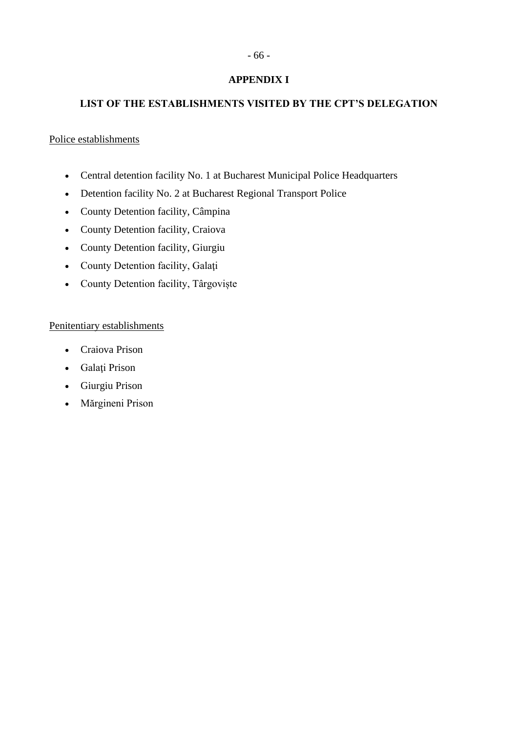# - 66 -

## **APPENDIX I**

## <span id="page-65-1"></span><span id="page-65-0"></span>**LIST OF THE ESTABLISHMENTS VISITED BY THE CPT'S DELEGATION**

### Police establishments

- Central detention facility No. 1 at Bucharest Municipal Police Headquarters
- Detention facility No. 2 at Bucharest Regional Transport Police
- County Detention facility, Câmpina
- County Detention facility, Craiova
- County Detention facility, Giurgiu
- County Detention facility, Galaţi
- County Detention facility, Târgoviște

### Penitentiary establishments

- Craiova Prison
- Galaţi Prison
- Giurgiu Prison
- Mărgineni Prison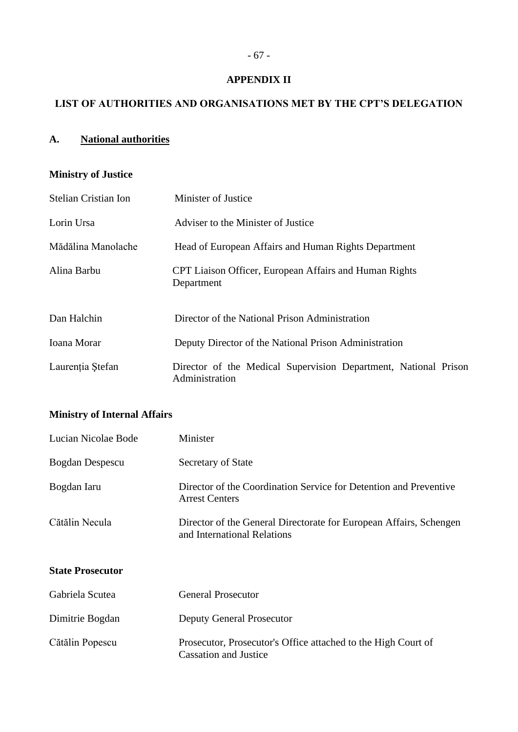### **APPENDIX II**

# <span id="page-66-1"></span><span id="page-66-0"></span>**LIST OF AUTHORITIES AND ORGANISATIONS MET BY THE CPT'S DELEGATION**

## **A. National authorities**

## **Ministry of Justice**

| <b>Stelian Cristian Ion</b> | Minister of Justice                                                               |
|-----------------------------|-----------------------------------------------------------------------------------|
| Lorin Ursa                  | Adviser to the Minister of Justice                                                |
| Mădălina Manolache          | Head of European Affairs and Human Rights Department                              |
| Alina Barbu                 | CPT Liaison Officer, European Affairs and Human Rights<br>Department              |
| Dan Halchin                 | Director of the National Prison Administration                                    |
| Ioana Morar                 | Deputy Director of the National Prison Administration                             |
| Laurenția Ștefan            | Director of the Medical Supervision Department, National Prison<br>Administration |

## **Ministry of Internal Affairs**

| Lucian Nicolae Bode     | Minister                                                                                          |
|-------------------------|---------------------------------------------------------------------------------------------------|
| Bogdan Despescu         | Secretary of State                                                                                |
| Bogdan Iaru             | Director of the Coordination Service for Detention and Preventive<br><b>Arrest Centers</b>        |
| Cătălin Necula          | Director of the General Directorate for European Affairs, Schengen<br>and International Relations |
| <b>State Prosecutor</b> |                                                                                                   |
| Gabriela Scutea         | <b>General Prosecutor</b>                                                                         |

| Dimitrie Bogdan | <b>Deputy General Prosecutor</b>                                                              |
|-----------------|-----------------------------------------------------------------------------------------------|
| Cătălin Popescu | Prosecutor, Prosecutor's Office attached to the High Court of<br><b>Cassation and Justice</b> |